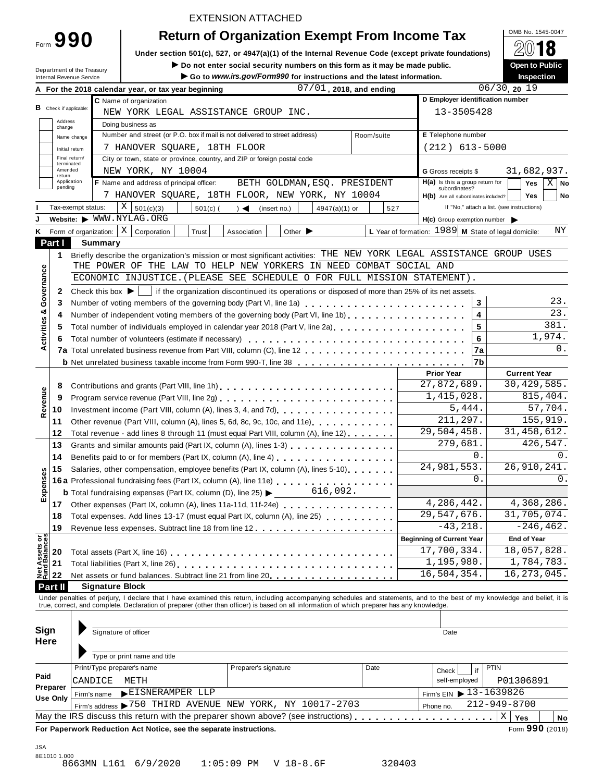Form **990**

# EXTENSION ATTACHED

# **Return of Organization Exempt From Income Tax**  $\frac{\text{OMB No. 1545-0047}}{60.24 \Omega}$

**Under section 501(c), 527, or 4947(a)(1) of the Internal Revenue Code (except private foundations)** À¾µ¼

Department of the Treasury

■ **Do** not enter social security numbers on this form as it may be made public. **Download Depending the part of Public**<br>● Go to www.irs.gov/Form990 for instructions and the latest information. Inspection Go to www.irs.gov/Form990 for instructions and the latest information.

|                                |                               |                    | A For the 2018 calendar year, or tax year beginning                                                                                                                                                                                                                                                                      | $07/01$ , 2018, and ending                       |             |                                                      | 06/30, 2019                                |
|--------------------------------|-------------------------------|--------------------|--------------------------------------------------------------------------------------------------------------------------------------------------------------------------------------------------------------------------------------------------------------------------------------------------------------------------|--------------------------------------------------|-------------|------------------------------------------------------|--------------------------------------------|
|                                |                               |                    | C Name of organization                                                                                                                                                                                                                                                                                                   |                                                  |             | D Employer identification number                     |                                            |
|                                | <b>B</b> Check if applicable: |                    | NEW YORK LEGAL ASSISTANCE GROUP INC.                                                                                                                                                                                                                                                                                     |                                                  |             | 13-3505428                                           |                                            |
|                                | Address<br>change             |                    | Doing business as                                                                                                                                                                                                                                                                                                        |                                                  |             |                                                      |                                            |
|                                |                               | Name change        | Number and street (or P.O. box if mail is not delivered to street address)                                                                                                                                                                                                                                               |                                                  | Room/suite  | E Telephone number                                   |                                            |
|                                |                               | Initial return     | 7 HANOVER SQUARE, 18TH FLOOR                                                                                                                                                                                                                                                                                             |                                                  |             | $(212)$ 613-5000                                     |                                            |
|                                |                               | Final return/      | City or town, state or province, country, and ZIP or foreign postal code                                                                                                                                                                                                                                                 |                                                  |             |                                                      |                                            |
|                                | terminated<br>Amended         |                    | NEW YORK, NY 10004                                                                                                                                                                                                                                                                                                       |                                                  |             | <b>G</b> Gross receipts \$                           | 31,682,937.                                |
|                                | return                        | Application        | <b>F</b> Name and address of principal officer:                                                                                                                                                                                                                                                                          | BETH GOLDMAN, ESQ. PRESIDENT                     |             | H(a) Is this a group return for                      | Yes<br>$X \mid No$                         |
|                                | pending                       |                    |                                                                                                                                                                                                                                                                                                                          | 7 HANOVER SQUARE, 18TH FLOOR, NEW YORK, NY 10004 |             | subordinates?<br>H(b) Are all subordinates included? | Yes<br>No                                  |
|                                |                               | Tax-exempt status: | $X \big  501(c)(3)$<br>$501(c)$ (                                                                                                                                                                                                                                                                                        | 4947(a)(1) or<br>$\rightarrow$<br>(insert no.)   | 527         |                                                      | If "No," attach a list. (see instructions) |
| J                              |                               |                    | Website: WWW.NYLAG.ORG                                                                                                                                                                                                                                                                                                   |                                                  |             | $H(c)$ Group exemption number                        |                                            |
| Κ                              |                               |                    | Form of organization: $\mid X \mid$ Corporation<br>Trust                                                                                                                                                                                                                                                                 | Other $\blacktriangleright$<br>Association       |             | L Year of formation: 1989 M State of legal domicile: | ΝY                                         |
|                                | Part I                        |                    | Summary                                                                                                                                                                                                                                                                                                                  |                                                  |             |                                                      |                                            |
|                                |                               |                    | Briefly describe the organization's mission or most significant activities: THE NEW YORK LEGAL ASSISTANCE GROUP USES                                                                                                                                                                                                     |                                                  |             |                                                      |                                            |
|                                | 1                             |                    | THE POWER OF THE LAW TO HELP NEW YORKERS IN NEED COMBAT SOCIAL AND                                                                                                                                                                                                                                                       |                                                  |             |                                                      |                                            |
| Governance                     |                               |                    | ECONOMIC INJUSTICE. (PLEASE SEE SCHEDULE O FOR FULL MISSION STATEMENT).                                                                                                                                                                                                                                                  |                                                  |             |                                                      |                                            |
|                                |                               |                    |                                                                                                                                                                                                                                                                                                                          |                                                  |             |                                                      |                                            |
|                                | 2                             |                    | Check this box $\blacktriangleright$   if the organization discontinued its operations or disposed of more than 25% of its net assets.                                                                                                                                                                                   |                                                  |             |                                                      | 23.                                        |
|                                | 3                             |                    |                                                                                                                                                                                                                                                                                                                          |                                                  |             | 3                                                    | 23.                                        |
| ctivities &                    | 4                             |                    | Number of independent voting members of the governing body (Part VI, line 1b)                                                                                                                                                                                                                                            |                                                  |             | 4                                                    | 381.                                       |
|                                | 5                             |                    | Total number of individuals employed in calendar year 2018 (Part V, line 2a)                                                                                                                                                                                                                                             |                                                  |             | 5                                                    | 1,974.                                     |
| ⋖                              | 6                             |                    |                                                                                                                                                                                                                                                                                                                          |                                                  |             | 6                                                    | $0$ .                                      |
|                                |                               |                    |                                                                                                                                                                                                                                                                                                                          |                                                  |             | 7a                                                   |                                            |
|                                |                               |                    | <b>b</b> Net unrelated business taxable income from Form 990-T, line 38 <b>business</b> on the unrelated business taxable income from Form 990-T, line 38                                                                                                                                                                |                                                  |             | 7b                                                   |                                            |
| Revenue                        |                               |                    |                                                                                                                                                                                                                                                                                                                          |                                                  |             | <b>Prior Year</b>                                    | <b>Current Year</b>                        |
|                                | 8                             |                    | Contributions and grants (Part VIII, line 1h)                                                                                                                                                                                                                                                                            |                                                  | 27,872,689. | 30, 429, 585.                                        |                                            |
|                                | 9                             |                    |                                                                                                                                                                                                                                                                                                                          | 1,415,028.                                       | 815,404.    |                                                      |                                            |
|                                | 10                            |                    |                                                                                                                                                                                                                                                                                                                          |                                                  |             | 5,444.                                               | 57,704.                                    |
|                                | 11                            |                    | Other revenue (Part VIII, column (A), lines 5, 6d, 8c, 9c, 10c, and 11e)                                                                                                                                                                                                                                                 |                                                  |             | 211,297.                                             | 155,919.                                   |
|                                | 12                            |                    | Total revenue - add lines 8 through 11 (must equal Part VIII, column (A), line 12)                                                                                                                                                                                                                                       |                                                  |             | 29,504,458.                                          | 31, 458, 612.                              |
|                                | 13                            |                    | Grants and similar amounts paid (Part IX, column (A), lines 1-3)<br>Benefits paid to or for members (Part IX, column (A), line 4)                                                                                                                                                                                        |                                                  |             | 279,681.<br>0.                                       | 426,547.                                   |
|                                | 14                            |                    | 0.<br>26, 910, 241.                                                                                                                                                                                                                                                                                                      |                                                  |             |                                                      |                                            |
|                                | 15                            |                    | Salaries, other compensation, employee benefits (Part IX, column (A), lines 5-10)                                                                                                                                                                                                                                        |                                                  |             | 24,981,553.<br>0.                                    | $0$ .                                      |
| Expenses                       |                               |                    | 16a Professional fundraising fees (Part IX, column (A), line 11e)                                                                                                                                                                                                                                                        |                                                  |             |                                                      |                                            |
|                                |                               |                    | <b>b</b> Total fundraising expenses (Part IX, column (D), line 25) $\blacktriangleright$                                                                                                                                                                                                                                 |                                                  |             |                                                      |                                            |
|                                | 17                            |                    | Other expenses (Part IX, column (A), lines 11a-11d, 11f-24e)                                                                                                                                                                                                                                                             |                                                  | 4,286,442.  | 4,368,286.                                           |                                            |
|                                | 18                            |                    | Total expenses. Add lines 13-17 (must equal Part IX, column (A), line 25) [100]                                                                                                                                                                                                                                          |                                                  |             | 29,547,676.                                          | 31,705,074.                                |
|                                | 19                            |                    |                                                                                                                                                                                                                                                                                                                          |                                                  |             | $-43,218.$                                           | $-246, 462.$                               |
| Net Assets or<br>Fund Balances |                               |                    |                                                                                                                                                                                                                                                                                                                          |                                                  |             | <b>Beginning of Current Year</b>                     | <b>End of Year</b>                         |
|                                | 20                            |                    |                                                                                                                                                                                                                                                                                                                          |                                                  |             | 17,700,334.                                          | 18,057,828.                                |
|                                | 21                            |                    |                                                                                                                                                                                                                                                                                                                          |                                                  |             | 1,195,980.                                           | 1,784,783.                                 |
|                                | 22                            |                    | Net assets or fund balances. Subtract line 21 from line 20 [11] [12] Net assets or fund balances. Subtract line 21 from line 20 [12] $\sim$ 100 [12] $\sim$ 100 [12] $\sim$ 100 [12] $\sim$ 100 [12] $\sim$ 100 [12] $\sim$ 100 [12] $\sim$                                                                              |                                                  |             | 16,504,354.                                          | 16, 273, 045.                              |
|                                | Part II                       |                    | <b>Signature Block</b>                                                                                                                                                                                                                                                                                                   |                                                  |             |                                                      |                                            |
|                                |                               |                    | Under penalties of perjury, I declare that I have examined this return, including accompanying schedules and statements, and to the best of my knowledge and belief, it is<br>true, correct, and complete. Declaration of preparer (other than officer) is based on all information of which preparer has any knowledge. |                                                  |             |                                                      |                                            |
|                                |                               |                    |                                                                                                                                                                                                                                                                                                                          |                                                  |             |                                                      |                                            |
| Sign                           |                               |                    | Signature of officer                                                                                                                                                                                                                                                                                                     |                                                  |             | Date                                                 |                                            |
| <b>Here</b>                    |                               |                    |                                                                                                                                                                                                                                                                                                                          |                                                  |             |                                                      |                                            |
|                                |                               |                    | Type or print name and title                                                                                                                                                                                                                                                                                             |                                                  |             |                                                      |                                            |
|                                |                               |                    | Print/Type preparer's name                                                                                                                                                                                                                                                                                               | Preparer's signature                             | Date        |                                                      | <b>PTIN</b>                                |
| Paid                           |                               |                    | CANDICE<br>METH                                                                                                                                                                                                                                                                                                          |                                                  |             | if<br>Check<br>self-employed                         | P01306891                                  |
|                                | Preparer                      |                    |                                                                                                                                                                                                                                                                                                                          |                                                  |             | Firm's EIN 13-1639826                                |                                            |
|                                | Use Only                      |                    | EISNERAMPER LLP<br>Firm's name<br>Firm's address >750 THIRD AVENUE NEW YORK, NY 10017-2703                                                                                                                                                                                                                               |                                                  |             |                                                      | 212-949-8700                               |
|                                |                               |                    |                                                                                                                                                                                                                                                                                                                          |                                                  |             | Phone no.                                            |                                            |
|                                |                               |                    |                                                                                                                                                                                                                                                                                                                          |                                                  |             |                                                      | Χ<br>Yes<br>No                             |
|                                |                               |                    | For Paperwork Reduction Act Notice, see the separate instructions.                                                                                                                                                                                                                                                       |                                                  |             |                                                      | Form 990 (2018)                            |
| JSA                            |                               |                    |                                                                                                                                                                                                                                                                                                                          |                                                  |             |                                                      |                                            |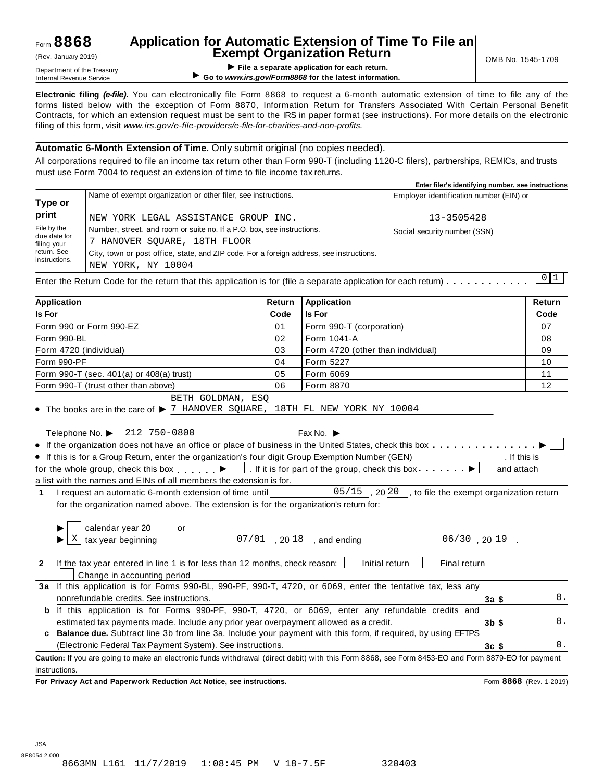# **Application for Automatic Extension of Time To File an Exempt Organization Return** (Rev. January 2019) OMB No. 1545-1709

**EXEMPL OF GET APPLY THE APPLY THE APPLY THE APPLY THE APPLY THE APPLY THE APPLY THE APPLY THE APPLY THE APPLY THE APPLY THE APPLY THE APPLY THE APPLY THE APPLY THE APPLY THE APPLY THE APPLY THE APPLY THE APPLY THE APPLY T** ▶ Go to www.irs.gov/Form8868 for the latest information.

**Electronic filing** *(e-file)***.** You can electronically file Form 8868 to request a 6-month automatic extension of time to file any of the forms listed below with the exception of Form 8870, Information Return for Transfers Associated With Certain Personal Benefit Contracts, for which an extension request must be sent to the IRS in paper format (see instructions). For more details on the electronic filing of this form, visit *www.irs.gov/e-file-providers/e-file-for-charities-and-non-profits.*

#### **Automatic 6-Month Extension of Time.** Only submit original (no copies needed).

All corporations required to file an income tax return other than Form 990-T (including 1120-C filers), partnerships, REMICs, and trusts must use Form 7004 to request an extension of time to file income tax returns.

|                                            |                                                                                                                | Enter filer's identifying number, see instructions |
|--------------------------------------------|----------------------------------------------------------------------------------------------------------------|----------------------------------------------------|
| Type or                                    | Name of exempt organization or other filer, see instructions.                                                  | Employer identification number (EIN) or            |
| print                                      | NEW YORK LEGAL ASSISTANCE GROUP INC.                                                                           | 13-3505428                                         |
| File by the<br>due date for<br>filing your | Number, street, and room or suite no. If a P.O. box, see instructions.<br>T HANOVER SOUARE, 18TH FLOOR         | Social security number (SSN)                       |
| return. See<br>instructions.               | City, town or post office, state, and ZIP code. For a foreign address, see instructions.<br>NEW YORK, NY 10004 | .                                                  |

Enter the Return Code for the return that this application is for (file a separate application for each return)  $\dots \dots \dots$  $\begin{array}{c} \boxed{0} \boxed{1} \end{array}$ 

| <b>Application</b>                                                                                                                                  | Return                | <b>Application</b>                                                                                                      | Return                   |  |  |
|-----------------------------------------------------------------------------------------------------------------------------------------------------|-----------------------|-------------------------------------------------------------------------------------------------------------------------|--------------------------|--|--|
| <b>Is For</b>                                                                                                                                       | Code<br><b>Is For</b> |                                                                                                                         |                          |  |  |
| Form 990 or Form 990-EZ                                                                                                                             | 01                    | Form 990-T (corporation)                                                                                                | 07                       |  |  |
| Form 990-BL                                                                                                                                         | 02                    | Form 1041-A                                                                                                             | 08                       |  |  |
| Form 4720 (individual)                                                                                                                              | 03                    | Form 4720 (other than individual)                                                                                       | 09                       |  |  |
| Form 990-PF                                                                                                                                         | 04                    | Form 5227                                                                                                               | 10                       |  |  |
| Form 990-T (sec. 401(a) or 408(a) trust)                                                                                                            | 05                    | Form 6069                                                                                                               | 11                       |  |  |
| Form 990-T (trust other than above)                                                                                                                 | 06                    | Form 8870                                                                                                               | 12                       |  |  |
| BETH GOLDMAN, ESO<br>• The books are in the care of $\blacktriangleright$ 7 HANOVER SQUARE, 18TH FL NEW YORK NY 10004                               |                       |                                                                                                                         |                          |  |  |
| Telephone No. ▶ 212 750-0800                                                                                                                        |                       | Fax No. $\blacktriangleright$                                                                                           |                          |  |  |
| • If the organization does not have an office or place of business in the United States, check this box                                             |                       |                                                                                                                         |                          |  |  |
| • If this is for a Group Return, enter the organization's four digit Group Exemption Number (GEN) [Cross Compared to Archives 1, 1994]              |                       |                                                                                                                         | . If this is             |  |  |
| for the whole group, check this box $\Box$ . If it is for part of the group, check this box $\Box$                                                  |                       |                                                                                                                         | and attach               |  |  |
| a list with the names and EINs of all members the extension is for.                                                                                 |                       |                                                                                                                         |                          |  |  |
| 1 I request an automatic 6-month extension of time until ______________05/15, 2020, to file the exempt organization return                          |                       |                                                                                                                         |                          |  |  |
| for the organization named above. The extension is for the organization's return for:                                                               |                       |                                                                                                                         |                          |  |  |
|                                                                                                                                                     |                       |                                                                                                                         |                          |  |  |
| X                                                                                                                                                   |                       | calendar year 20 _____ or $\frac{07/01}{1}$ , 20 $\frac{18}{1}$ , and ending ________________06/30, 20 $\frac{19}{1}$ . |                          |  |  |
| If the tax year entered in line 1 is for less than 12 months, check reason: $\vert$   Initial return<br>$\mathbf{2}$<br>Change in accounting period |                       | Final return                                                                                                            |                          |  |  |
| 3a If this application is for Forms 990-BL, 990-PF, 990-T, 4720, or 6069, enter the tentative tax, less any                                         |                       |                                                                                                                         |                          |  |  |
| nonrefundable credits. See instructions.                                                                                                            |                       |                                                                                                                         | 0.<br>3a S               |  |  |
| <b>b</b> If this application is for Forms 990-PF, 990-T, 4720, or 6069, enter any refundable credits and                                            |                       |                                                                                                                         |                          |  |  |
| estimated tax payments made. Include any prior year overpayment allowed as a credit.                                                                |                       |                                                                                                                         | 0.<br>$3b$ $\sqrt{5}$    |  |  |
| c Balance due. Subtract line 3b from line 3a. Include your payment with this form, if required, by using EFTPS                                      |                       |                                                                                                                         |                          |  |  |
| (Electronic Federal Tax Payment System). See instructions.                                                                                          |                       |                                                                                                                         | $0$ .<br>$3c$ $\sqrt{5}$ |  |  |
| Caution: If you are going to make an electronic funds withdrawal (direct debit) with this Form 8868, see Form 8453-EO and Form 8879-EO for payment  |                       |                                                                                                                         |                          |  |  |
| instructions.                                                                                                                                       |                       |                                                                                                                         |                          |  |  |
| For Privacy Act and Paperwork Reduction Act Notice, see instructions.                                                                               |                       |                                                                                                                         | Form 8868 (Rev. 1-2019)  |  |  |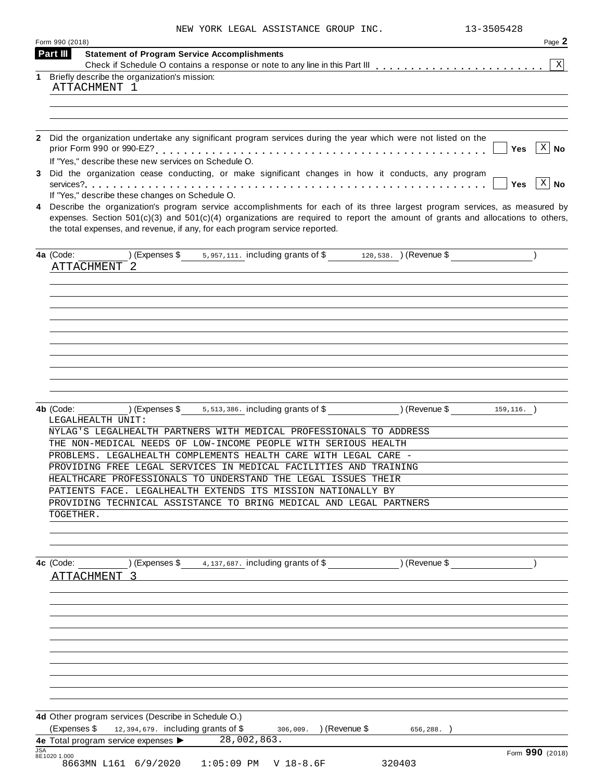|  | NEW YORK LEGAL ASSISTANCE GROUP INC. |  |  |
|--|--------------------------------------|--|--|
|--|--------------------------------------|--|--|

|            | Form 990 (2018)                                                                                                                                                                                                   | Page 2          |
|------------|-------------------------------------------------------------------------------------------------------------------------------------------------------------------------------------------------------------------|-----------------|
|            | Part III<br><b>Statement of Program Service Accomplishments</b>                                                                                                                                                   |                 |
| 1          | Briefly describe the organization's mission:                                                                                                                                                                      | $\mathbf{X}$    |
|            | ATTACHMENT 1                                                                                                                                                                                                      |                 |
|            |                                                                                                                                                                                                                   |                 |
|            |                                                                                                                                                                                                                   |                 |
|            |                                                                                                                                                                                                                   |                 |
|            | 2 Did the organization undertake any significant program services during the year which were not listed on the                                                                                                    |                 |
|            | Yes<br>If "Yes," describe these new services on Schedule O.                                                                                                                                                       | $X \mid No$     |
|            | 3 Did the organization cease conducting, or make significant changes in how it conducts, any program                                                                                                              |                 |
|            | <b>Yes</b>                                                                                                                                                                                                        | $X \mid No$     |
|            | If "Yes," describe these changes on Schedule O.                                                                                                                                                                   |                 |
| 4          | Describe the organization's program service accomplishments for each of its three largest program services, as measured by                                                                                        |                 |
|            | expenses. Section $501(c)(3)$ and $501(c)(4)$ organizations are required to report the amount of grants and allocations to others,<br>the total expenses, and revenue, if any, for each program service reported. |                 |
|            | (Expenses \$ $5,957,111$ . including grants of \$ $120,538$ . ) (Revenue \$<br>4a (Code:                                                                                                                          |                 |
|            | <b>ATTACHMENT</b><br>- 2                                                                                                                                                                                          |                 |
|            |                                                                                                                                                                                                                   |                 |
|            |                                                                                                                                                                                                                   |                 |
|            |                                                                                                                                                                                                                   |                 |
|            |                                                                                                                                                                                                                   |                 |
|            |                                                                                                                                                                                                                   |                 |
|            |                                                                                                                                                                                                                   |                 |
|            |                                                                                                                                                                                                                   |                 |
|            |                                                                                                                                                                                                                   |                 |
|            |                                                                                                                                                                                                                   |                 |
|            |                                                                                                                                                                                                                   |                 |
|            |                                                                                                                                                                                                                   |                 |
|            | (159, 116. )<br>) (Expenses $$5513,386$ . including grants of $$$<br>4b (Code:                                                                                                                                    |                 |
|            | LEGALHEALTH UNIT:                                                                                                                                                                                                 |                 |
|            | NYLAG'S LEGALHEALTH PARTNERS WITH MEDICAL PROFESSIONALS TO ADDRESS                                                                                                                                                |                 |
|            | THE NON-MEDICAL NEEDS OF LOW-INCOME PEOPLE WITH SERIOUS HEALTH                                                                                                                                                    |                 |
|            | PROBLEMS. LEGALHEALTH COMPLEMENTS HEALTH CARE WITH LEGAL CARE -                                                                                                                                                   |                 |
|            | PROVIDING FREE LEGAL SERVICES IN MEDICAL FACILITIES AND TRAINING                                                                                                                                                  |                 |
|            | HEALTHCARE PROFESSIONALS TO UNDERSTAND THE LEGAL ISSUES THEIR                                                                                                                                                     |                 |
|            | PATIENTS FACE. LEGALHEALTH EXTENDS ITS MISSION NATIONALLY BY                                                                                                                                                      |                 |
|            | PROVIDING TECHNICAL ASSISTANCE TO BRING MEDICAL AND LEGAL PARTNERS                                                                                                                                                |                 |
|            | TOGETHER.                                                                                                                                                                                                         |                 |
|            |                                                                                                                                                                                                                   |                 |
|            |                                                                                                                                                                                                                   |                 |
|            |                                                                                                                                                                                                                   |                 |
|            | ) (Expenses \$<br>4, 137, 687. including grants of \$<br>) (Revenue \$<br>4c (Code:                                                                                                                               |                 |
|            | <b>ATTACHMENT</b><br>$\mathcal{R}$                                                                                                                                                                                |                 |
|            |                                                                                                                                                                                                                   |                 |
|            |                                                                                                                                                                                                                   |                 |
|            |                                                                                                                                                                                                                   |                 |
|            |                                                                                                                                                                                                                   |                 |
|            |                                                                                                                                                                                                                   |                 |
|            |                                                                                                                                                                                                                   |                 |
|            |                                                                                                                                                                                                                   |                 |
|            |                                                                                                                                                                                                                   |                 |
|            |                                                                                                                                                                                                                   |                 |
|            |                                                                                                                                                                                                                   |                 |
|            |                                                                                                                                                                                                                   |                 |
|            |                                                                                                                                                                                                                   |                 |
|            | 4d Other program services (Describe in Schedule O.)                                                                                                                                                               |                 |
|            | (Expenses \$<br>12,394,679. including grants of \$<br>306,009. ) (Revenue \$<br>656,288.                                                                                                                          |                 |
|            | 4e Total program service expenses ><br>28,002,863.                                                                                                                                                                |                 |
| <b>JSA</b> | 8E1020 1.000                                                                                                                                                                                                      | Form 990 (2018) |
|            | 8663MN L161 6/9/2020<br>$1:05:09$ PM<br>$V$ 18-8.6F<br>320403                                                                                                                                                     |                 |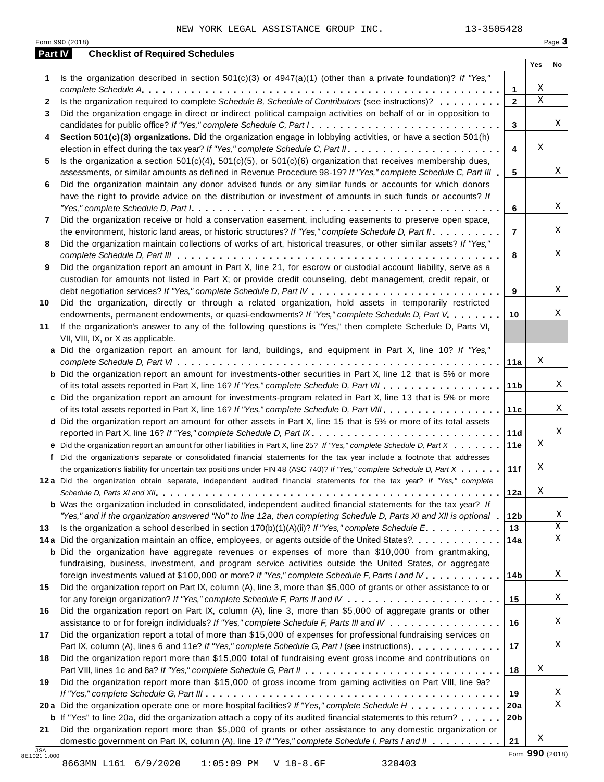| Part IV      | <b>Checklist of Required Schedules</b>                                                                                                                                                                                       |                 |             |    |
|--------------|------------------------------------------------------------------------------------------------------------------------------------------------------------------------------------------------------------------------------|-----------------|-------------|----|
|              |                                                                                                                                                                                                                              |                 | Yes         | No |
| 1            | Is the organization described in section $501(c)(3)$ or $4947(a)(1)$ (other than a private foundation)? If "Yes,"                                                                                                            |                 |             |    |
|              |                                                                                                                                                                                                                              | 1               | Χ           |    |
| $\mathbf{2}$ | Is the organization required to complete Schedule B, Schedule of Contributors (see instructions)?                                                                                                                            | $\overline{2}$  | $\mathbf X$ |    |
| 3            | Did the organization engage in direct or indirect political campaign activities on behalf of or in opposition to                                                                                                             |                 |             |    |
|              | candidates for public office? If "Yes," complete Schedule C, Part I.                                                                                                                                                         | 3               |             | Χ  |
| 4            | Section 501(c)(3) organizations. Did the organization engage in lobbying activities, or have a section 501(h)                                                                                                                |                 |             |    |
|              |                                                                                                                                                                                                                              | 4               | Χ           |    |
| 5            | Is the organization a section $501(c)(4)$ , $501(c)(5)$ , or $501(c)(6)$ organization that receives membership dues,                                                                                                         |                 |             |    |
|              | assessments, or similar amounts as defined in Revenue Procedure 98-19? If "Yes," complete Schedule C, Part III                                                                                                               | 5               |             | Χ  |
| 6            | Did the organization maintain any donor advised funds or any similar funds or accounts for which donors                                                                                                                      |                 |             |    |
|              | have the right to provide advice on the distribution or investment of amounts in such funds or accounts? If                                                                                                                  |                 |             | X  |
|              |                                                                                                                                                                                                                              | 6               |             |    |
| 7            | Did the organization receive or hold a conservation easement, including easements to preserve open space,                                                                                                                    | $\overline{7}$  |             | Χ  |
|              | the environment, historic land areas, or historic structures? If "Yes," complete Schedule D, Part II.<br>Did the organization maintain collections of works of art, historical treasures, or other similar assets? If "Yes," |                 |             |    |
| 8            |                                                                                                                                                                                                                              | 8               |             | Χ  |
| 9            | Did the organization report an amount in Part X, line 21, for escrow or custodial account liability, serve as a                                                                                                              |                 |             |    |
|              | custodian for amounts not listed in Part X; or provide credit counseling, debt management, credit repair, or                                                                                                                 |                 |             |    |
|              |                                                                                                                                                                                                                              | 9               |             | X  |
| 10           | Did the organization, directly or through a related organization, hold assets in temporarily restricted                                                                                                                      |                 |             |    |
|              | endowments, permanent endowments, or quasi-endowments? If "Yes," complete Schedule D, Part V.                                                                                                                                | 10              |             | Χ  |
| 11           | If the organization's answer to any of the following questions is "Yes," then complete Schedule D, Parts VI,                                                                                                                 |                 |             |    |
|              | VII, VIII, IX, or X as applicable.                                                                                                                                                                                           |                 |             |    |
|              | a Did the organization report an amount for land, buildings, and equipment in Part X, line 10? If "Yes,"                                                                                                                     |                 |             |    |
|              |                                                                                                                                                                                                                              | 11a             | Χ           |    |
|              | <b>b</b> Did the organization report an amount for investments-other securities in Part X, line 12 that is 5% or more                                                                                                        |                 |             |    |
|              |                                                                                                                                                                                                                              | 11 <sub>b</sub> |             | Χ  |
|              | c Did the organization report an amount for investments-program related in Part X, line 13 that is 5% or more                                                                                                                |                 |             |    |
|              |                                                                                                                                                                                                                              | 11c             |             | Χ  |
|              | d Did the organization report an amount for other assets in Part X, line 15 that is 5% or more of its total assets                                                                                                           |                 |             |    |
|              | reported in Part X, line 16? If "Yes," complete Schedule D, Part IX.                                                                                                                                                         | 11d             |             | Χ  |
|              | e Did the organization report an amount for other liabilities in Part X, line 25? If "Yes," complete Schedule D, Part X                                                                                                      | 11e             | Χ           |    |
| f            | Did the organization's separate or consolidated financial statements for the tax year include a footnote that addresses                                                                                                      |                 |             |    |
|              | the organization's liability for uncertain tax positions under FIN 48 (ASC 740)? If "Yes," complete Schedule D, Part X                                                                                                       | 11f             | Χ           |    |
|              | 12a Did the organization obtain separate, independent audited financial statements for the tax year? If "Yes," complete                                                                                                      |                 |             |    |
|              |                                                                                                                                                                                                                              | 12a             | Χ           |    |
|              | <b>b</b> Was the organization included in consolidated, independent audited financial statements for the tax year? If                                                                                                        |                 |             |    |
|              | "Yes," and if the organization answered "No" to line 12a, then completing Schedule D, Parts XI and XII is optional                                                                                                           | 12 <sub>b</sub> |             | Χ  |
| 13           | Is the organization a school described in section $170(b)(1)(A)(ii)?$ If "Yes," complete Schedule E.                                                                                                                         | 13              |             | Χ  |
|              | 14a Did the organization maintain an office, employees, or agents outside of the United States?                                                                                                                              | 14a             |             | Χ  |
|              | <b>b</b> Did the organization have aggregate revenues or expenses of more than \$10,000 from grantmaking,                                                                                                                    |                 |             |    |
|              | fundraising, business, investment, and program service activities outside the United States, or aggregate                                                                                                                    |                 |             | Χ  |
|              | foreign investments valued at \$100,000 or more? If "Yes," complete Schedule F, Parts I and IV                                                                                                                               | 14b             |             |    |
| 15           | Did the organization report on Part IX, column (A), line 3, more than \$5,000 of grants or other assistance to or                                                                                                            |                 |             | Χ  |
|              |                                                                                                                                                                                                                              | 15              |             |    |
| 16           | Did the organization report on Part IX, column (A), line 3, more than \$5,000 of aggregate grants or other<br>assistance to or for foreign individuals? If "Yes," complete Schedule F, Parts III and IV                      | 16              |             | Χ  |
| 17           | Did the organization report a total of more than \$15,000 of expenses for professional fundraising services on                                                                                                               |                 |             |    |
|              | Part IX, column (A), lines 6 and 11e? If "Yes," complete Schedule G, Part I (see instructions)                                                                                                                               | 17              |             | Χ  |
| 18           | Did the organization report more than \$15,000 total of fundraising event gross income and contributions on                                                                                                                  |                 |             |    |
|              |                                                                                                                                                                                                                              | 18              | Χ           |    |
| 19           | Did the organization report more than \$15,000 of gross income from gaming activities on Part VIII, line 9a?                                                                                                                 |                 |             |    |
|              |                                                                                                                                                                                                                              | 19              |             | Χ  |
|              | 20a Did the organization operate one or more hospital facilities? If "Yes," complete Schedule H                                                                                                                              | 20a             |             | X  |
|              | <b>b</b> If "Yes" to line 20a, did the organization attach a copy of its audited financial statements to this return?                                                                                                        | 20 <sub>b</sub> |             |    |
|              |                                                                                                                                                                                                                              |                 |             |    |
| 21           | Did the organization report more than \$5,000 of grants or other assistance to any domestic organization or                                                                                                                  |                 |             |    |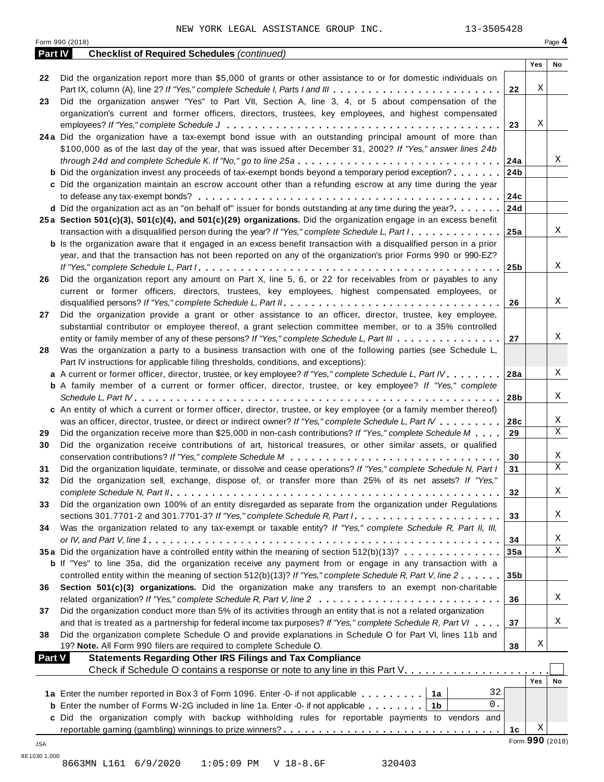|         | Form 990 (2018)                                                                                                             |                 |                 | Page 4      |
|---------|-----------------------------------------------------------------------------------------------------------------------------|-----------------|-----------------|-------------|
| Part IV | <b>Checklist of Required Schedules (continued)</b>                                                                          |                 |                 |             |
|         |                                                                                                                             |                 | Yes             | No          |
| 22      | Did the organization report more than \$5,000 of grants or other assistance to or for domestic individuals on               |                 |                 |             |
|         | Part IX, column (A), line 2? If "Yes," complete Schedule I, Parts I and III                                                 | 22              | Χ               |             |
| 23      | Did the organization answer "Yes" to Part VII, Section A, line 3, 4, or 5 about compensation of the                         |                 |                 |             |
|         | organization's current and former officers, directors, trustees, key employees, and highest compensated                     |                 |                 |             |
|         |                                                                                                                             | 23              | Χ               |             |
|         | 24a Did the organization have a tax-exempt bond issue with an outstanding principal amount of more than                     |                 |                 |             |
|         | \$100,000 as of the last day of the year, that was issued after December 31, 2002? If "Yes," answer lines 24b               |                 |                 |             |
|         | through 24d and complete Schedule K. If "No," go to line 25a                                                                | 24a             |                 | Χ           |
|         | <b>b</b> Did the organization invest any proceeds of tax-exempt bonds beyond a temporary period exception?                  | 24b             |                 |             |
|         | c Did the organization maintain an escrow account other than a refunding escrow at any time during the year                 |                 |                 |             |
|         |                                                                                                                             | 24c             |                 |             |
|         | d Did the organization act as an "on behalf of" issuer for bonds outstanding at any time during the year?                   | 24d             |                 |             |
|         | 25a Section 501(c)(3), 501(c)(4), and 501(c)(29) organizations. Did the organization engage in an excess benefit            |                 |                 |             |
|         | transaction with a disqualified person during the year? If "Yes," complete Schedule L, Part I.                              | 25a             |                 | Χ           |
|         | b Is the organization aware that it engaged in an excess benefit transaction with a disqualified person in a prior          |                 |                 |             |
|         | year, and that the transaction has not been reported on any of the organization's prior Forms 990 or 990-EZ?                |                 |                 |             |
|         |                                                                                                                             | 25 <sub>b</sub> |                 | X           |
| 26      | Did the organization report any amount on Part X, line 5, 6, or 22 for receivables from or payables to any                  |                 |                 |             |
|         | current or former officers, directors, trustees, key employees, highest compensated employees, or                           |                 |                 |             |
|         |                                                                                                                             | 26              |                 | Χ           |
| 27      | Did the organization provide a grant or other assistance to an officer, director, trustee, key employee,                    |                 |                 |             |
|         |                                                                                                                             |                 |                 |             |
|         | substantial contributor or employee thereof, a grant selection committee member, or to a 35% controlled                     | 27              |                 | Χ           |
|         | entity or family member of any of these persons? If "Yes," complete Schedule L, Part III                                    |                 |                 |             |
| 28      | Was the organization a party to a business transaction with one of the following parties (see Schedule L,                   |                 |                 |             |
|         | Part IV instructions for applicable filing thresholds, conditions, and exceptions):                                         |                 |                 |             |
|         | a A current or former officer, director, trustee, or key employee? If "Yes," complete Schedule L, Part IV                   | 28a             |                 | Χ           |
|         | <b>b</b> A family member of a current or former officer, director, trustee, or key employee? If "Yes," complete             |                 |                 |             |
|         |                                                                                                                             | 28b             |                 | Χ           |
|         | c An entity of which a current or former officer, director, trustee, or key employee (or a family member thereof)           |                 |                 |             |
|         | was an officer, director, trustee, or direct or indirect owner? If "Yes," complete Schedule L, Part IV                      | 28c             |                 | X           |
| 29      | Did the organization receive more than \$25,000 in non-cash contributions? If "Yes," complete Schedule M                    | 29              |                 | X           |
| 30      | Did the organization receive contributions of art, historical treasures, or other similar assets, or qualified              |                 |                 |             |
|         |                                                                                                                             | 30              |                 | Χ           |
| 31      | Did the organization liquidate, terminate, or dissolve and cease operations? If "Yes," complete Schedule N, Part I          | 31              |                 | X           |
| 32      | Did the organization sell, exchange, dispose of, or transfer more than 25% of its net assets? If "Yes,"                     |                 |                 |             |
|         |                                                                                                                             | 32              |                 | Χ           |
| 33      | Did the organization own 100% of an entity disregarded as separate from the organization under Regulations                  |                 |                 |             |
|         | sections 301.7701-2 and 301.7701-3? If "Yes," complete Schedule R, Part $l_1, \ldots, l_l, l_l, \ldots, l_l, l_l, l_l, l_l$ | 33              |                 | Χ           |
| 34      | Was the organization related to any tax-exempt or taxable entity? If "Yes," complete Schedule R, Part II, III,              |                 |                 |             |
|         |                                                                                                                             | 34              |                 | Χ           |
|         | 35a Did the organization have a controlled entity within the meaning of section 512(b)(13)?                                 | 35a             |                 | $\mathbf X$ |
|         | b If "Yes" to line 35a, did the organization receive any payment from or engage in any transaction with a                   |                 |                 |             |
|         | controlled entity within the meaning of section 512(b)(13)? If "Yes," complete Schedule R, Part V, line 2                   | 35b             |                 |             |
| 36      | Section 501(c)(3) organizations. Did the organization make any transfers to an exempt non-charitable                        |                 |                 |             |
|         |                                                                                                                             | 36              |                 | Χ           |
| 37      | Did the organization conduct more than 5% of its activities through an entity that is not a related organization            |                 |                 |             |
|         | and that is treated as a partnership for federal income tax purposes? If "Yes," complete Schedule R, Part VI                | 37              |                 | Χ           |
| 38      | Did the organization complete Schedule O and provide explanations in Schedule O for Part VI, lines 11b and                  |                 |                 |             |
|         | 19? Note. All Form 990 filers are required to complete Schedule O.                                                          | 38              | Χ               |             |
|         | <b>Part V</b><br><b>Statements Regarding Other IRS Filings and Tax Compliance</b>                                           |                 |                 |             |
|         | Check if Schedule O contains a response or note to any line in this Part V.                                                 |                 |                 |             |
|         |                                                                                                                             |                 | Yes             | No          |
|         | 32<br>1a Enter the number reported in Box 3 of Form 1096. Enter -0- if not applicable   1a                                  |                 |                 |             |
|         | 0.<br><b>b</b> Enter the number of Forms W-2G included in line 1a. Enter -0- if not applicable $\ldots \ldots$   1b         |                 |                 |             |
|         | c Did the organization comply with backup withholding rules for reportable payments to vendors and                          |                 |                 |             |
|         |                                                                                                                             | 1 <sub>c</sub>  | Χ               |             |
|         |                                                                                                                             |                 | Form 990 (2018) |             |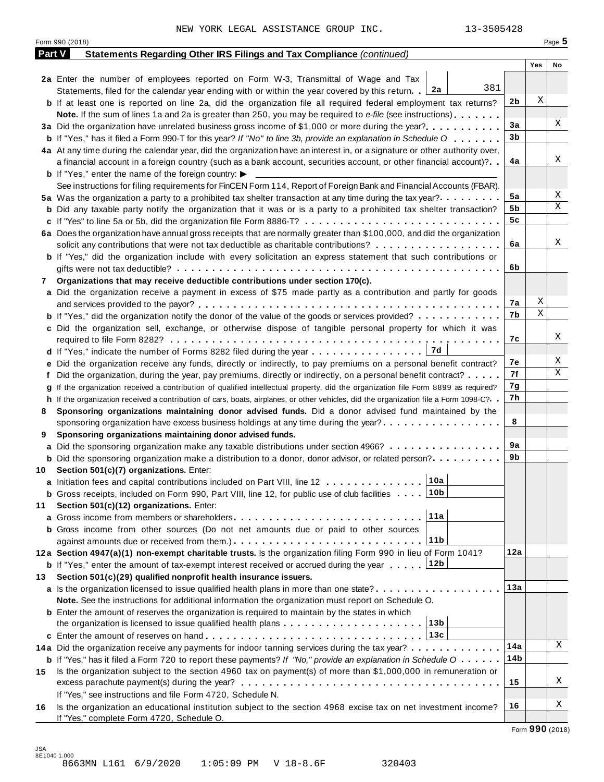|        | Form 990 (2018)                                                                                                                                                               |     |     | Page 5 |
|--------|-------------------------------------------------------------------------------------------------------------------------------------------------------------------------------|-----|-----|--------|
| Part V | Statements Regarding Other IRS Filings and Tax Compliance (continued)                                                                                                         |     |     |        |
|        |                                                                                                                                                                               |     | Yes | No     |
|        | 2a Enter the number of employees reported on Form W-3, Transmittal of Wage and Tax<br>381                                                                                     |     |     |        |
|        | Statements, filed for the calendar year ending with or within the year covered by this return. 2a                                                                             |     | X   |        |
|        | <b>b</b> If at least one is reported on line 2a, did the organization file all required federal employment tax returns?                                                       | 2b  |     |        |
|        | <b>Note.</b> If the sum of lines 1a and 2a is greater than 250, you may be required to e-file (see instructions).                                                             | 3a  |     | Χ      |
|        | 3a Did the organization have unrelated business gross income of \$1,000 or more during the year?                                                                              | 3b  |     |        |
|        | <b>b</b> If "Yes," has it filed a Form 990-T for this year? If "No" to line 3b, provide an explanation in Schedule O                                                          |     |     |        |
|        | 4a At any time during the calendar year, did the organization have an interest in, or a signature or other authority over,                                                    | 4a  |     | Χ      |
|        | a financial account in a foreign country (such as a bank account, securities account, or other financial account)?                                                            |     |     |        |
|        | <b>b</b> If "Yes," enter the name of the foreign country: $\blacktriangleright$                                                                                               |     |     |        |
|        | See instructions for filing requirements for FinCEN Form 114, Report of Foreign Bank and Financial Accounts (FBAR).                                                           | 5a  |     | Χ      |
|        | 5a Was the organization a party to a prohibited tax shelter transaction at any time during the tax year?                                                                      | 5b  |     | Χ      |
|        | <b>b</b> Did any taxable party notify the organization that it was or is a party to a prohibited tax shelter transaction?                                                     | 5c  |     |        |
|        | c If "Yes" to line 5a or 5b, did the organization file Form 8886-T?                                                                                                           |     |     |        |
|        | 6a Does the organization have annual gross receipts that are normally greater than \$100,000, and did the organization                                                        |     |     | Χ      |
|        | solicit any contributions that were not tax deductible as charitable contributions?                                                                                           | 6a  |     |        |
|        | <b>b</b> If "Yes," did the organization include with every solicitation an express statement that such contributions or                                                       |     |     |        |
|        |                                                                                                                                                                               | 6b  |     |        |
| 7      | Organizations that may receive deductible contributions under section 170(c).                                                                                                 |     |     |        |
|        | a Did the organization receive a payment in excess of \$75 made partly as a contribution and partly for goods                                                                 |     | Χ   |        |
|        |                                                                                                                                                                               | 7а  | Χ   |        |
|        | <b>b</b> If "Yes," did the organization notify the donor of the value of the goods or services provided?                                                                      | 7b  |     |        |
|        | c Did the organization sell, exchange, or otherwise dispose of tangible personal property for which it was                                                                    |     |     | Χ      |
|        |                                                                                                                                                                               | 7с  |     |        |
|        | 17d<br><b>d</b> If "Yes," indicate the number of Forms 8282 filed during the year $\dots \dots \dots \dots \dots$                                                             |     |     | Χ      |
|        | e Did the organization receive any funds, directly or indirectly, to pay premiums on a personal benefit contract?                                                             | 7е  |     | Χ      |
|        | f Did the organization, during the year, pay premiums, directly or indirectly, on a personal benefit contract?                                                                | 7f  |     |        |
|        | If the organization received a contribution of qualified intellectual property, did the organization file Form 8899 as required?                                              | 7g  |     |        |
|        | h If the organization received a contribution of cars, boats, airplanes, or other vehicles, did the organization file a Form 1098-C?                                          | 7h  |     |        |
| 8      | Sponsoring organizations maintaining donor advised funds. Did a donor advised fund maintained by the                                                                          |     |     |        |
|        | sponsoring organization have excess business holdings at any time during the year?                                                                                            | 8   |     |        |
| 9      | Sponsoring organizations maintaining donor advised funds.                                                                                                                     |     |     |        |
|        | a Did the sponsoring organization make any taxable distributions under section 4966?                                                                                          | 9а  |     |        |
|        | <b>b</b> Did the sponsoring organization make a distribution to a donor, donor advisor, or related person?                                                                    | 9b  |     |        |
|        | 10 Section 501(c)(7) organizations. Enter:                                                                                                                                    |     |     |        |
|        | a Initiation fees and capital contributions included on Part VIII, line 12 $\ldots \ldots \ldots \ldots$                                                                      |     |     |        |
|        | <b>b</b> Gross receipts, included on Form 990, Part VIII, line 12, for public use of club facilities 10b                                                                      |     |     |        |
| 11     | Section 501(c)(12) organizations. Enter:                                                                                                                                      |     |     |        |
|        | 11a                                                                                                                                                                           |     |     |        |
|        | b Gross income from other sources (Do not net amounts due or paid to other sources                                                                                            |     |     |        |
|        | 11 <sub>b</sub>                                                                                                                                                               |     |     |        |
|        | 12a Section 4947(a)(1) non-exempt charitable trusts. Is the organization filing Form 990 in lieu of Form 1041?                                                                | 12a |     |        |
|        | 12b<br><b>b</b> If "Yes," enter the amount of tax-exempt interest received or accrued during the year                                                                         |     |     |        |
| 13     | Section 501(c)(29) qualified nonprofit health insurance issuers.                                                                                                              |     |     |        |
|        | a Is the organization licensed to issue qualified health plans in more than one state?                                                                                        | 13а |     |        |
|        | Note. See the instructions for additional information the organization must report on Schedule O.                                                                             |     |     |        |
|        | <b>b</b> Enter the amount of reserves the organization is required to maintain by the states in which                                                                         |     |     |        |
|        | 13b<br>the organization is licensed to issue qualified health plans                                                                                                           |     |     |        |
|        | 13c                                                                                                                                                                           |     |     |        |
|        | 14a Did the organization receive any payments for indoor tanning services during the tax year?                                                                                | 14a |     | Χ      |
|        | <b>b</b> If "Yes," has it filed a Form 720 to report these payments? If "No," provide an explanation in Schedule $0 \cdot \cdot \cdot \cdot$                                  | 14b |     |        |
|        | Is the organization subject to the section 4960 tax on payment(s) of more than \$1,000,000 in remuneration or                                                                 |     |     |        |
|        |                                                                                                                                                                               | 15  |     | Χ      |
|        |                                                                                                                                                                               |     |     |        |
| 15     | If "Yes," see instructions and file Form 4720, Schedule N.<br>Is the organization an educational institution subject to the section 4968 excise tax on net investment income? | 16  |     | Χ      |

JSA 8E1040 1.000 8663MN L161 6/9/2020 1:05:09 PM V 18-8.6F 320403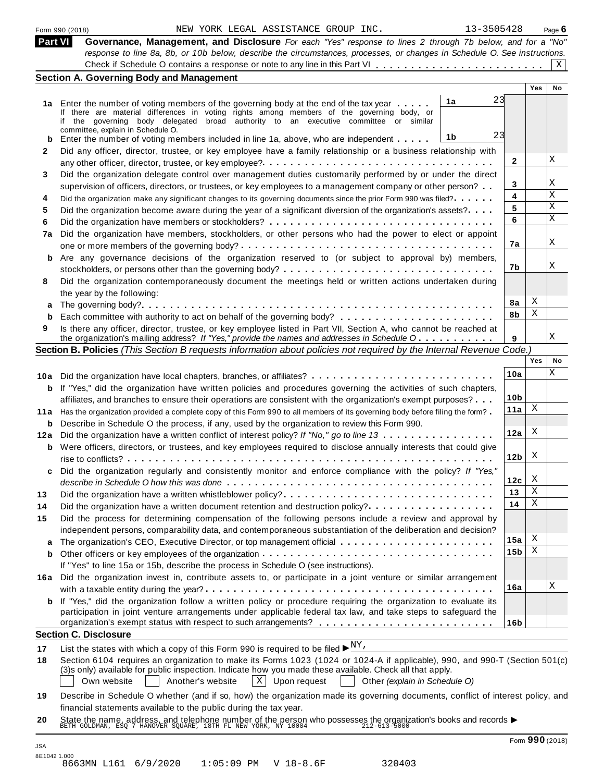|        | 13-3505428<br>NEW YORK LEGAL ASSISTANCE GROUP INC.<br>Form 990 (2018)                                                                                                                                                                   |                 |     | Page $6$ |
|--------|-----------------------------------------------------------------------------------------------------------------------------------------------------------------------------------------------------------------------------------------|-----------------|-----|----------|
|        | <b>Part VI</b><br>Governance, Management, and Disclosure For each "Yes" response to lines 2 through 7b below, and for a "No"                                                                                                            |                 |     |          |
|        | response to line 8a, 8b, or 10b below, describe the circumstances, processes, or changes in Schedule O. See instructions.                                                                                                               |                 |     |          |
|        |                                                                                                                                                                                                                                         |                 |     | X        |
|        | <b>Section A. Governing Body and Management</b>                                                                                                                                                                                         |                 | Yes | No       |
|        | 23<br>1a                                                                                                                                                                                                                                |                 |     |          |
|        | 1a Enter the number of voting members of the governing body at the end of the tax year<br>If there are material differences in voting rights among members of the governing body, or                                                    |                 |     |          |
|        | if the governing body delegated broad authority to an executive committee or similar                                                                                                                                                    |                 |     |          |
|        | committee, explain in Schedule O.<br>23<br>1b<br>Enter the number of voting members included in line 1a, above, who are independent                                                                                                     |                 |     |          |
| b<br>2 | Did any officer, director, trustee, or key employee have a family relationship or a business relationship with                                                                                                                          |                 |     |          |
|        |                                                                                                                                                                                                                                         | 2               |     | X        |
| 3      | Did the organization delegate control over management duties customarily performed by or under the direct                                                                                                                               |                 |     |          |
|        | supervision of officers, directors, or trustees, or key employees to a management company or other person?                                                                                                                              | 3               |     | Χ        |
| 4      | Did the organization make any significant changes to its governing documents since the prior Form 990 was filed?.                                                                                                                       | 4               |     | X        |
|        | Did the organization become aware during the year of a significant diversion of the organization's assets?                                                                                                                              | 5               |     | X        |
|        |                                                                                                                                                                                                                                         | 6               |     | X        |
| 7a     | Did the organization have members, stockholders, or other persons who had the power to elect or appoint                                                                                                                                 |                 |     |          |
|        |                                                                                                                                                                                                                                         | 7a              |     | X        |
|        | b Are any governance decisions of the organization reserved to (or subject to approval by) members,                                                                                                                                     |                 |     |          |
|        |                                                                                                                                                                                                                                         | 7b              |     | Χ        |
|        | Did the organization contemporaneously document the meetings held or written actions undertaken during                                                                                                                                  |                 |     |          |
| 8      | the year by the following:                                                                                                                                                                                                              |                 |     |          |
| a      |                                                                                                                                                                                                                                         | 8a              | Χ   |          |
| b      |                                                                                                                                                                                                                                         | 8b              | Χ   |          |
| 9      | Is there any officer, director, trustee, or key employee listed in Part VII, Section A, who cannot be reached at                                                                                                                        |                 |     |          |
|        | the organization's mailing address? If "Yes," provide the names and addresses in Schedule O                                                                                                                                             | 9               |     | Χ        |
|        | Section B. Policies (This Section B requests information about policies not required by the Internal Revenue Code.)                                                                                                                     |                 |     |          |
|        |                                                                                                                                                                                                                                         |                 | Yes | No       |
|        | 10a Did the organization have local chapters, branches, or affiliates?                                                                                                                                                                  | 10a             |     | Χ        |
|        | <b>b</b> If "Yes," did the organization have written policies and procedures governing the activities of such chapters,                                                                                                                 |                 |     |          |
|        | affiliates, and branches to ensure their operations are consistent with the organization's exempt purposes?                                                                                                                             | 10 <sub>b</sub> |     |          |
| 11 a   | Has the organization provided a complete copy of this Form 990 to all members of its governing body before filing the form?                                                                                                             | 11a             | Χ   |          |
| b      | Describe in Schedule O the process, if any, used by the organization to review this Form 990.                                                                                                                                           |                 |     |          |
| 12a    | Did the organization have a written conflict of interest policy? If "No," go to line 13                                                                                                                                                 | 12a             | Χ   |          |
|        | <b>b</b> Were officers, directors, or trustees, and key employees required to disclose annually interests that could give                                                                                                               |                 |     |          |
|        |                                                                                                                                                                                                                                         | 12 <sub>b</sub> | X   |          |
|        | Did the organization regularly and consistently monitor and enforce compliance with the policy? If "Yes,"                                                                                                                               |                 |     |          |
|        |                                                                                                                                                                                                                                         | 12c             | X   |          |
|        | Did the organization have a written whistleblower policy?                                                                                                                                                                               | 13              | Χ   |          |
|        | Did the organization have a written document retention and destruction policy?                                                                                                                                                          | 14              | Χ   |          |
| 15     | Did the process for determining compensation of the following persons include a review and approval by                                                                                                                                  |                 |     |          |
|        | independent persons, comparability data, and contemporaneous substantiation of the deliberation and decision?                                                                                                                           |                 | Χ   |          |
| a      |                                                                                                                                                                                                                                         | 15a             | Χ   |          |
| b      |                                                                                                                                                                                                                                         | 15 <sub>b</sub> |     |          |
|        | If "Yes" to line 15a or 15b, describe the process in Schedule O (see instructions).                                                                                                                                                     |                 |     |          |
|        | 16a Did the organization invest in, contribute assets to, or participate in a joint venture or similar arrangement                                                                                                                      | 16a             |     | Χ        |
|        |                                                                                                                                                                                                                                         |                 |     |          |
|        | <b>b</b> If "Yes," did the organization follow a written policy or procedure requiring the organization to evaluate its                                                                                                                 |                 |     |          |
|        | participation in joint venture arrangements under applicable federal tax law, and take steps to safeguard the                                                                                                                           | 16 <sub>b</sub> |     |          |
|        | <b>Section C. Disclosure</b>                                                                                                                                                                                                            |                 |     |          |
|        |                                                                                                                                                                                                                                         |                 |     |          |
| 17     | List the states with which a copy of this Form 990 is required to be filed $\blacktriangleright^{\underline{NY}}$ .                                                                                                                     |                 |     |          |
| 18     | Section 6104 requires an organization to make its Forms 1023 (1024 or 1024-A if applicable), 990, and 990-T (Section 501(c)<br>(3)s only) available for public inspection. Indicate how you made these available. Check all that apply. |                 |     |          |
|        | $\mathbf{X}$<br>Upon request<br>Own website<br>Another's website<br>Other (explain in Schedule O)                                                                                                                                       |                 |     |          |
|        |                                                                                                                                                                                                                                         |                 |     |          |
|        |                                                                                                                                                                                                                                         |                 |     |          |
|        | Describe in Schedule O whether (and if so, how) the organization made its governing documents, conflict of interest policy, and<br>financial statements available to the public during the tax year.                                    |                 |     |          |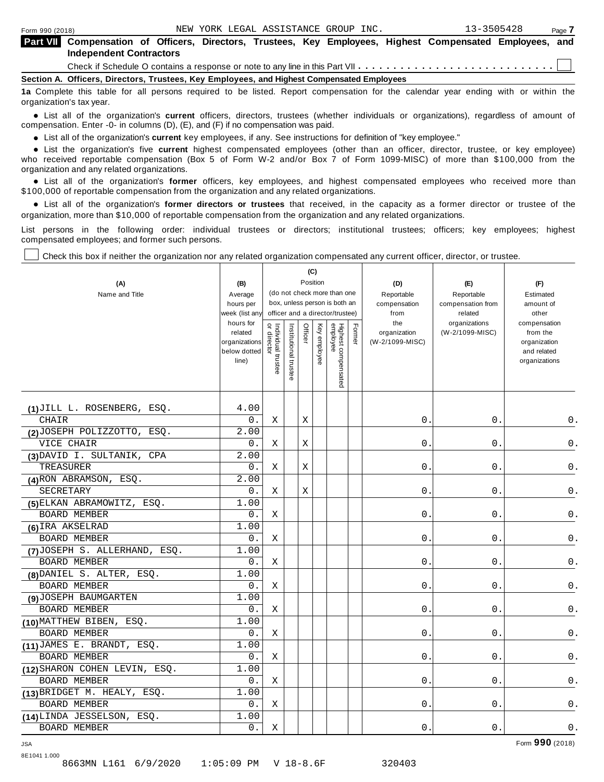| <b>Part VII</b> Compensation of Officers, Directors, Trustees, Key Employees, Highest Compensated Employees, and<br><b>Independent Contractors</b> |  |  |  |  |  |  |  |
|----------------------------------------------------------------------------------------------------------------------------------------------------|--|--|--|--|--|--|--|
|                                                                                                                                                    |  |  |  |  |  |  |  |
| Section A. Officers, Directors, Trustees, Key Employees, and Highest Compensated Employees                                                         |  |  |  |  |  |  |  |

**1a** Complete this table for all persons required to be listed. Report compensation for the calendar year ending with or within the organization's tax year.

anization's lax year.<br>● List all of the organization's **current** officers, directors, trustees (whether individuals or organizations), regardless of amount of<br>nnensation Enter -0- in columns (D) (E) and (E) if no compensa compensation. Enter -0- in columns (D), (E), and (F) if no compensation was paid.

• List all of the organization's **current** key employees, if any. See instructions for definition of "key employee."<br>● List the experientials five expect highest expressed explores (other than an efficer director of

**Example in the organization's current** key employees, if any. See instructions for definition of key employee.<br>• List the organization's five **current** highest compensated employees (other than an officer, director, trust who received reportable compensation (Box 5 of Form W-2 and/or Box 7 of Form 1099-MISC) of more than \$100,000 from the

organization and any related organizations.<br>• List all of the organization's **former** officers, key employees, and highest compensated employees who received more than<br>\$1.00.000 of reportable componention from the erganiza \$100,000 of reportable compensation from the organization and any related organizations.

% List all of the organization's **former directors or trustees** that received, in the capacity as a former director or trustee of the organization, more than \$10,000 of reportable compensation from the organization and any related organizations.

List persons in the following order: individual trustees or directors; institutional trustees; officers; key employees; highest compensated employees; and former such persons.

Т

Check this box if neither the organization nor any related organization compensated any current officer, director, or trustee.

|                               |                             |                                   |                                                              | (C)      |              |                                 |        |                      |                              |                              |
|-------------------------------|-----------------------------|-----------------------------------|--------------------------------------------------------------|----------|--------------|---------------------------------|--------|----------------------|------------------------------|------------------------------|
| (A)                           | (B)                         |                                   |                                                              | Position |              |                                 |        | (D)                  | (E)                          | (F)                          |
| Name and Title                | Average                     |                                   | (do not check more than one<br>box, unless person is both an |          |              |                                 |        | Reportable           | Reportable                   | Estimated                    |
|                               | hours per<br>week (list any |                                   |                                                              |          |              |                                 |        | compensation<br>from | compensation from<br>related | amount of<br>other           |
|                               | hours for                   |                                   | officer and a director/trustee)                              |          |              |                                 |        | the                  | organizations                | compensation                 |
|                               | related                     | Individual trustee<br>or director | Institutional trustee                                        | Officer  | Key employee |                                 | Former | organization         | (W-2/1099-MISC)              | from the                     |
|                               | organizations               |                                   |                                                              |          |              |                                 |        | (W-2/1099-MISC)      |                              | organization                 |
|                               | below dotted<br>line)       |                                   |                                                              |          |              |                                 |        |                      |                              | and related<br>organizations |
|                               |                             |                                   |                                                              |          |              |                                 |        |                      |                              |                              |
|                               |                             |                                   |                                                              |          |              | Highest compensated<br>employee |        |                      |                              |                              |
|                               |                             |                                   |                                                              |          |              |                                 |        |                      |                              |                              |
| (1) JILL L. ROSENBERG, ESQ.   | 4.00                        |                                   |                                                              |          |              |                                 |        |                      |                              |                              |
| CHAIR                         | 0.                          | Χ                                 |                                                              | Χ        |              |                                 |        | 0.                   | 0.                           | 0.                           |
| (2) JOSEPH POLIZZOTTO, ESQ.   | 2.00                        |                                   |                                                              |          |              |                                 |        |                      |                              |                              |
| VICE CHAIR                    | 0.                          | Χ                                 |                                                              | Χ        |              |                                 |        | 0.                   | 0.                           | 0.                           |
| (3) DAVID I. SULTANIK, CPA    | 2.00                        |                                   |                                                              |          |              |                                 |        |                      |                              |                              |
| TREASURER                     | 0.                          | Χ                                 |                                                              | Х        |              |                                 |        | 0.                   | 0.                           | 0.                           |
| (4) RON ABRAMSON, ESQ.        | 2.00                        |                                   |                                                              |          |              |                                 |        |                      |                              |                              |
| SECRETARY                     | 0.                          | Χ                                 |                                                              | Χ        |              |                                 |        | 0.                   | 0.                           | 0.                           |
| (5) ELKAN ABRAMOWITZ, ESQ.    | 1.00                        |                                   |                                                              |          |              |                                 |        |                      |                              |                              |
| BOARD MEMBER                  | 0.                          | Χ                                 |                                                              |          |              |                                 |        | 0.                   | 0.                           | 0.                           |
| (6) IRA AKSELRAD              | 1.00                        |                                   |                                                              |          |              |                                 |        |                      |                              |                              |
| <b>BOARD MEMBER</b>           | 0.                          | Χ                                 |                                                              |          |              |                                 |        | 0.                   | 0.                           | 0.                           |
| (7) JOSEPH S. ALLERHAND, ESQ. | 1.00                        |                                   |                                                              |          |              |                                 |        |                      |                              |                              |
| <b>BOARD MEMBER</b>           | 0.                          | Χ                                 |                                                              |          |              |                                 |        | 0.                   | 0.                           | 0.                           |
| (8) DANIEL S. ALTER, ESQ.     | 1.00                        |                                   |                                                              |          |              |                                 |        |                      |                              |                              |
| <b>BOARD MEMBER</b>           | 0.                          | Χ                                 |                                                              |          |              |                                 |        | 0.                   | 0.                           | 0.                           |
| (9) JOSEPH BAUMGARTEN         | 1.00                        |                                   |                                                              |          |              |                                 |        |                      |                              |                              |
| <b>BOARD MEMBER</b>           | 0.                          | Χ                                 |                                                              |          |              |                                 |        | 0.                   | 0.                           | 0.                           |
| (10) MATTHEW BIBEN, ESQ.      | 1.00                        |                                   |                                                              |          |              |                                 |        |                      |                              |                              |
| <b>BOARD MEMBER</b>           | 0.                          | Χ                                 |                                                              |          |              |                                 |        | 0.                   | 0.                           | $0$ .                        |
| (11) JAMES E. BRANDT, ESQ.    | 1.00                        |                                   |                                                              |          |              |                                 |        |                      |                              |                              |
| BOARD MEMBER                  | 0.                          | Χ                                 |                                                              |          |              |                                 |        | 0.                   | 0.                           | 0.                           |
| (12) SHARON COHEN LEVIN, ESQ. | 1.00                        |                                   |                                                              |          |              |                                 |        |                      |                              |                              |
| <b>BOARD MEMBER</b>           | 0.                          | Χ                                 |                                                              |          |              |                                 |        | $0$ .                | $0$ .                        | 0.                           |
| (13) BRIDGET M. HEALY, ESQ.   | 1.00                        |                                   |                                                              |          |              |                                 |        |                      |                              |                              |
| <b>BOARD MEMBER</b>           | 0.                          | Χ                                 |                                                              |          |              |                                 |        | $0$ .                | 0.                           | 0.                           |
| (14) LINDA JESSELSON, ESQ.    | 1.00                        |                                   |                                                              |          |              |                                 |        |                      |                              |                              |
| <b>BOARD MEMBER</b>           | 0.                          | Χ                                 |                                                              |          |              |                                 |        | $0$ .                | 0.                           | $\mathsf 0$ .                |

8E1041 1.000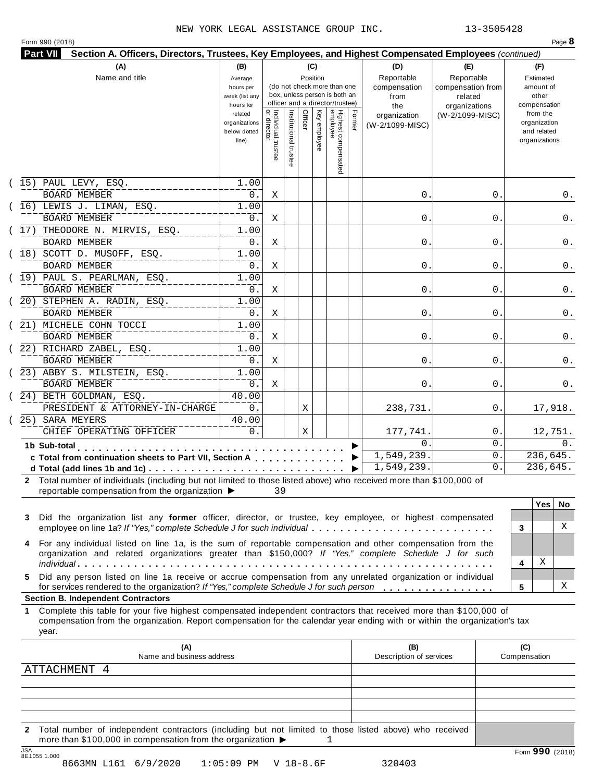|  | Form 990 (2018) |
|--|-----------------|
|  |                 |

|    |                                                                                                                                                                                                                                                           |                                                     |                                     |                       |         | (C)          |                                                                                                 |        | (D)                                       | (E)                                                         |              | (F)                                                      |     |
|----|-----------------------------------------------------------------------------------------------------------------------------------------------------------------------------------------------------------------------------------------------------------|-----------------------------------------------------|-------------------------------------|-----------------------|---------|--------------|-------------------------------------------------------------------------------------------------|--------|-------------------------------------------|-------------------------------------------------------------|--------------|----------------------------------------------------------|-----|
|    | Name and title                                                                                                                                                                                                                                            | Average<br>hours per<br>week (list any<br>hours for |                                     |                       |         | Position     | (do not check more than one<br>box, unless person is both an<br>officer and a director/trustee) |        | Reportable<br>compensation<br>from<br>the | Reportable<br>compensation from<br>related<br>organizations |              | Estimated<br>amount of<br>other<br>compensation          |     |
|    |                                                                                                                                                                                                                                                           | related<br>organizations<br>below dotted<br>line)   | Individual trustee<br>  or director | Institutional trustee | Officer | Key employee | Highest compensated<br>employee                                                                 | Former | organization<br>(W-2/1099-MISC)           | (W-2/1099-MISC)                                             |              | from the<br>organization<br>and related<br>organizations |     |
|    | (15) PAUL LEVY, ESQ.<br><b>BOARD MEMBER</b>                                                                                                                                                                                                               | 1.00<br>$0$ .                                       | Χ                                   |                       |         |              |                                                                                                 |        | 0.                                        | 0.                                                          |              |                                                          | 0.  |
|    | $(16)$ LEWIS J. LIMAN, ESQ.                                                                                                                                                                                                                               | 1.00                                                |                                     |                       |         |              |                                                                                                 |        |                                           |                                                             |              |                                                          |     |
|    | <b>BOARD MEMBER</b>                                                                                                                                                                                                                                       | $0$ .                                               | Χ                                   |                       |         |              |                                                                                                 |        | 0.                                        | 0                                                           |              |                                                          | 0.  |
|    | (17) THEODORE N. MIRVIS, ESQ.                                                                                                                                                                                                                             | 1.00                                                |                                     |                       |         |              |                                                                                                 |        |                                           |                                                             |              |                                                          |     |
|    | <b>BOARD MEMBER</b><br>(18) SCOTT D. MUSOFF, ESQ.                                                                                                                                                                                                         | 0.<br>1.00                                          | Χ                                   |                       |         |              |                                                                                                 |        | 0.                                        | 0                                                           |              |                                                          | 0.  |
|    | <b>BOARD MEMBER</b>                                                                                                                                                                                                                                       | $0$ .                                               | Χ                                   |                       |         |              |                                                                                                 |        | 0.                                        | 0                                                           |              |                                                          | 0.  |
|    | (19) PAUL S. PEARLMAN, ESQ.                                                                                                                                                                                                                               | 1.00                                                |                                     |                       |         |              |                                                                                                 |        |                                           |                                                             |              |                                                          |     |
|    | <b>BOARD MEMBER</b>                                                                                                                                                                                                                                       | $0$ .                                               | Χ                                   |                       |         |              |                                                                                                 |        | 0.                                        | 0                                                           |              |                                                          | 0.  |
|    | (20) STEPHEN A. RADIN, ESQ.                                                                                                                                                                                                                               | 1.00                                                |                                     |                       |         |              |                                                                                                 |        |                                           |                                                             |              |                                                          |     |
|    | <b>BOARD MEMBER</b><br>(21) MICHELE COHN TOCCI                                                                                                                                                                                                            | 0.<br>1.00                                          | Χ                                   |                       |         |              |                                                                                                 |        | 0.                                        | 0                                                           |              |                                                          | 0.  |
|    | <b>BOARD MEMBER</b>                                                                                                                                                                                                                                       | 0.                                                  | Χ                                   |                       |         |              |                                                                                                 |        | 0.                                        | 0                                                           |              |                                                          | 0.  |
|    | (22) RICHARD ZABEL, ESQ.                                                                                                                                                                                                                                  | 1.00                                                |                                     |                       |         |              |                                                                                                 |        |                                           |                                                             |              |                                                          |     |
|    | <b>BOARD MEMBER</b>                                                                                                                                                                                                                                       | 0.                                                  | Χ                                   |                       |         |              |                                                                                                 |        | 0.                                        | 0                                                           |              |                                                          | 0.  |
|    | (23) ABBY S. MILSTEIN, ESQ.                                                                                                                                                                                                                               | 1.00                                                |                                     |                       |         |              |                                                                                                 |        |                                           |                                                             |              |                                                          |     |
|    | <b>BOARD MEMBER</b>                                                                                                                                                                                                                                       | 0.                                                  | Χ                                   |                       |         |              |                                                                                                 |        | 0.                                        | 0                                                           |              |                                                          | 0.  |
|    | (24) BETH GOLDMAN, ESQ.<br>PRESIDENT & ATTORNEY-IN-CHARGE                                                                                                                                                                                                 | 40.00<br>0.                                         |                                     |                       | Χ       |              |                                                                                                 |        | 238,731.                                  | 0.                                                          |              | 17,918.                                                  |     |
|    | 25) SARA MEYERS                                                                                                                                                                                                                                           | 40.00                                               |                                     |                       |         |              |                                                                                                 |        |                                           |                                                             |              |                                                          |     |
|    | CHIEF OPERATING OFFICER                                                                                                                                                                                                                                   | 0.                                                  |                                     |                       | Χ       |              |                                                                                                 |        | 177,741.                                  | 0.                                                          |              | 12,751.                                                  |     |
|    | 1b Sub-total<br>.                                                                                                                                                                                                                                         |                                                     |                                     |                       |         |              |                                                                                                 |        | 0.                                        | 0.                                                          |              |                                                          | 0.  |
|    | c Total from continuation sheets to Part VII, Section A                                                                                                                                                                                                   |                                                     |                                     |                       |         |              |                                                                                                 |        | 1,549,239.                                | 0.                                                          |              | 236,645.                                                 |     |
|    |                                                                                                                                                                                                                                                           |                                                     |                                     |                       |         |              |                                                                                                 | ▶      | 1,549,239.                                | 0.                                                          |              | 236,645.                                                 |     |
|    | 2 Total number of individuals (including but not limited to those listed above) who received more than \$100,000 of<br>reportable compensation from the organization ▶                                                                                    |                                                     | 39                                  |                       |         |              |                                                                                                 |        |                                           |                                                             |              |                                                          |     |
|    |                                                                                                                                                                                                                                                           |                                                     |                                     |                       |         |              |                                                                                                 |        |                                           |                                                             |              | <b>Yes</b>                                               | No. |
| 3  | Did the organization list any former officer, director, or trustee, key employee, or highest compensated<br>employee on line 1a? If "Yes," complete Schedule J for such individual                                                                        |                                                     |                                     |                       |         |              |                                                                                                 |        |                                           |                                                             | 3            |                                                          | X   |
|    | For any individual listed on line 1a, is the sum of reportable compensation and other compensation from the                                                                                                                                               |                                                     |                                     |                       |         |              |                                                                                                 |        |                                           |                                                             |              |                                                          |     |
| 4  | organization and related organizations greater than \$150,000? If "Yes," complete Schedule J for such                                                                                                                                                     |                                                     |                                     |                       |         |              |                                                                                                 |        |                                           |                                                             |              |                                                          |     |
|    |                                                                                                                                                                                                                                                           |                                                     |                                     |                       |         |              |                                                                                                 |        |                                           |                                                             | 4            | Χ                                                        |     |
| 5. | Did any person listed on line 1a receive or accrue compensation from any unrelated organization or individual<br>for services rendered to the organization? If "Yes," complete Schedule J for such person                                                 |                                                     |                                     |                       |         |              |                                                                                                 |        |                                           |                                                             | 5            |                                                          | X   |
|    | <b>Section B. Independent Contractors</b>                                                                                                                                                                                                                 |                                                     |                                     |                       |         |              |                                                                                                 |        |                                           |                                                             |              |                                                          |     |
| 1. | Complete this table for your five highest compensated independent contractors that received more than \$100,000 of<br>compensation from the organization. Report compensation for the calendar year ending with or within the organization's tax<br>year. |                                                     |                                     |                       |         |              |                                                                                                 |        |                                           |                                                             |              |                                                          |     |
|    | (A)<br>Name and business address                                                                                                                                                                                                                          |                                                     |                                     |                       |         |              |                                                                                                 |        | (B)                                       |                                                             | (C)          |                                                          |     |
|    | ATTACHMENT 4                                                                                                                                                                                                                                              |                                                     |                                     |                       |         |              |                                                                                                 |        | Description of services                   |                                                             | Compensation |                                                          |     |
|    |                                                                                                                                                                                                                                                           |                                                     |                                     |                       |         |              |                                                                                                 |        |                                           |                                                             |              |                                                          |     |
|    |                                                                                                                                                                                                                                                           |                                                     |                                     |                       |         |              |                                                                                                 |        |                                           |                                                             |              |                                                          |     |

**2** Total number of independent contractors (including but not limited to those listed above) who received more than \$100,000 in compensation from the organization  $\blacktriangleright$  1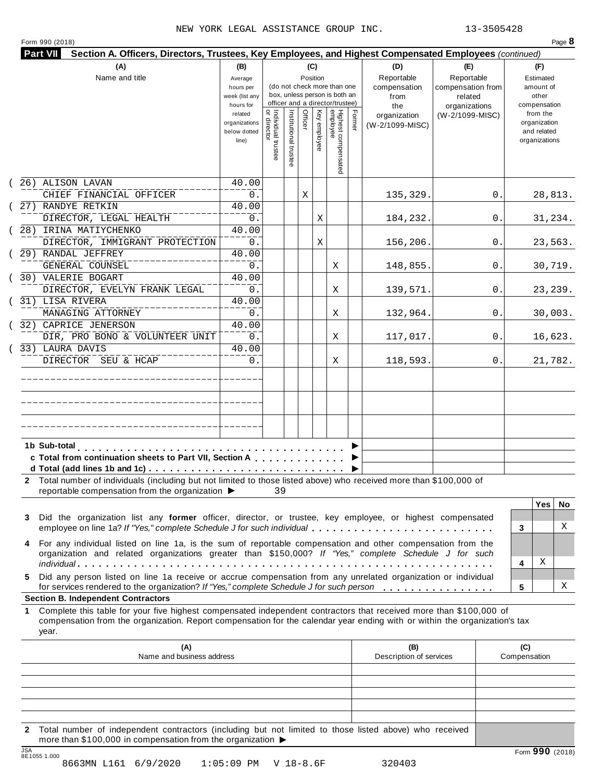| Form 990 (2018)                                                                                                                                                                                                                                                                                             |                                                            |                                   |                       |         |              |                                                                                                 |        |                                                  |                                                                    |    |                                                          | Page 8   |
|-------------------------------------------------------------------------------------------------------------------------------------------------------------------------------------------------------------------------------------------------------------------------------------------------------------|------------------------------------------------------------|-----------------------------------|-----------------------|---------|--------------|-------------------------------------------------------------------------------------------------|--------|--------------------------------------------------|--------------------------------------------------------------------|----|----------------------------------------------------------|----------|
| Section A. Officers, Directors, Trustees, Key Employees, and Highest Compensated Employees (continued)<br><b>Part VII</b>                                                                                                                                                                                   |                                                            |                                   |                       |         |              |                                                                                                 |        |                                                  |                                                                    |    |                                                          |          |
| (A)<br>Name and title                                                                                                                                                                                                                                                                                       | (B)<br>Average<br>hours per<br>week (list any<br>hours for |                                   |                       | (C)     | Position     | (do not check more than one<br>box, unless person is both an<br>officer and a director/trustee) |        | (D)<br>Reportable<br>compensation<br>from<br>the | (E)<br>Reportable<br>compensation from<br>related<br>organizations |    | (F)<br>Estimated<br>amount of<br>other<br>compensation   |          |
|                                                                                                                                                                                                                                                                                                             | related<br>organizations<br>below dotted<br>line)          | Individual trustee<br>or director | Institutional trustee | Officer | Key employee | Highest compensated<br>employee                                                                 | Former | organization<br>(W-2/1099-MISC)                  | (W-2/1099-MISC)                                                    |    | from the<br>organization<br>and related<br>organizations |          |
| (26) ALISON LAVAN                                                                                                                                                                                                                                                                                           | 40.00                                                      |                                   |                       |         |              |                                                                                                 |        |                                                  |                                                                    |    |                                                          |          |
| CHIEF FINANCIAL OFFICER<br>27) RANDYE RETKIN                                                                                                                                                                                                                                                                | 0.<br>40.00                                                |                                   |                       | Χ       |              |                                                                                                 |        | 135,329.                                         |                                                                    | 0. |                                                          | 28,813.  |
| DIRECTOR, LEGAL HEALTH                                                                                                                                                                                                                                                                                      | 0.                                                         |                                   |                       |         | Χ            |                                                                                                 |        | 184,232.                                         |                                                                    | 0. |                                                          | 31,234.  |
| 28) IRINA MATIYCHENKO                                                                                                                                                                                                                                                                                       | 40.00                                                      |                                   |                       |         |              |                                                                                                 |        |                                                  |                                                                    |    |                                                          |          |
| DIRECTOR, IMMIGRANT PROTECTION                                                                                                                                                                                                                                                                              | $0$ .                                                      |                                   |                       |         | Χ            |                                                                                                 |        | 156,206.                                         |                                                                    | 0. |                                                          | 23,563.  |
| 29) RANDAL JEFFREY<br>GENERAL COUNSEL                                                                                                                                                                                                                                                                       | 40.00<br>0.                                                |                                   |                       |         |              | Χ                                                                                               |        | 148,855.                                         |                                                                    | 0. |                                                          | 30,719.  |
| 30) VALERIE BOGART<br>DIRECTOR, EVELYN FRANK LEGAL                                                                                                                                                                                                                                                          | 40.00<br>0.                                                |                                   |                       |         |              | Χ                                                                                               |        | 139,571.                                         |                                                                    | 0. |                                                          | 23, 239. |
| 31) LISA RIVERA                                                                                                                                                                                                                                                                                             | 40.00                                                      |                                   |                       |         |              |                                                                                                 |        |                                                  |                                                                    |    |                                                          |          |
| MANAGING ATTORNEY<br>32) CAPRICE JENERSON                                                                                                                                                                                                                                                                   | 0.<br>40.00                                                |                                   |                       |         |              | Χ                                                                                               |        | 132,964.                                         |                                                                    | 0  |                                                          | 30,003.  |
| DIR, PRO BONO & VOLUNTEER UNIT                                                                                                                                                                                                                                                                              | $0$ .                                                      |                                   |                       |         |              | Χ                                                                                               |        | 117,017.                                         |                                                                    | 0. |                                                          | 16,623.  |
| 33) LAURA DAVIS<br>DIRECTOR SEU & HCAP                                                                                                                                                                                                                                                                      | 40.00<br>0.                                                |                                   |                       |         |              | Χ                                                                                               |        | 118,593.                                         |                                                                    | 0. |                                                          | 21,782.  |
| 1b Sub-total                                                                                                                                                                                                                                                                                                |                                                            |                                   |                       |         |              |                                                                                                 |        |                                                  |                                                                    |    |                                                          |          |
| c Total from continuation sheets to Part VII, Section A                                                                                                                                                                                                                                                     |                                                            |                                   |                       |         |              |                                                                                                 |        |                                                  |                                                                    |    |                                                          |          |
| Total number of individuals (including but not limited to those listed above) who received more than \$100,000 of<br>reportable compensation from the organization ▶                                                                                                                                        |                                                            | 39                                |                       |         |              |                                                                                                 |        |                                                  |                                                                    |    |                                                          |          |
|                                                                                                                                                                                                                                                                                                             |                                                            |                                   |                       |         |              |                                                                                                 |        |                                                  |                                                                    |    | <b>Yes</b>                                               | No       |
| Did the organization list any former officer, director, or trustee, key employee, or highest compensated<br>3<br>employee on line 1a? If "Yes," complete Schedule J for such individual                                                                                                                     |                                                            |                                   |                       |         |              |                                                                                                 |        |                                                  |                                                                    |    | 3                                                        | Χ        |
| For any individual listed on line 1a, is the sum of reportable compensation and other compensation from the<br>organization and related organizations greater than \$150,000? If "Yes," complete Schedule J for such                                                                                        |                                                            |                                   |                       |         |              |                                                                                                 |        |                                                  |                                                                    |    |                                                          |          |
| Did any person listed on line 1a receive or accrue compensation from any unrelated organization or individual<br>5.                                                                                                                                                                                         |                                                            |                                   |                       |         |              |                                                                                                 |        |                                                  |                                                                    |    | Χ<br>4                                                   |          |
| for services rendered to the organization? If "Yes," complete Schedule J for such person                                                                                                                                                                                                                    |                                                            |                                   |                       |         |              |                                                                                                 |        |                                                  |                                                                    |    | 5                                                        | Χ        |
| <b>Section B. Independent Contractors</b><br>Complete this table for your five highest compensated independent contractors that received more than \$100,000 of<br>1<br>compensation from the organization. Report compensation for the calendar year ending with or within the organization's tax<br>year. |                                                            |                                   |                       |         |              |                                                                                                 |        |                                                  |                                                                    |    |                                                          |          |
| (A)<br>Name and business address                                                                                                                                                                                                                                                                            |                                                            |                                   |                       |         |              |                                                                                                 |        | (B)<br>Description of services                   |                                                                    |    | (C)<br>Compensation                                      |          |
|                                                                                                                                                                                                                                                                                                             |                                                            |                                   |                       |         |              |                                                                                                 |        |                                                  |                                                                    |    |                                                          |          |
|                                                                                                                                                                                                                                                                                                             |                                                            |                                   |                       |         |              |                                                                                                 |        |                                                  |                                                                    |    |                                                          |          |
|                                                                                                                                                                                                                                                                                                             |                                                            |                                   |                       |         |              |                                                                                                 |        |                                                  |                                                                    |    |                                                          |          |
|                                                                                                                                                                                                                                                                                                             |                                                            |                                   |                       |         |              |                                                                                                 |        |                                                  |                                                                    |    |                                                          |          |

**2** Total number of independent contractors (including but not limited to those listed above) who received more than \$100,000 in compensation from the organization  $\blacktriangleright$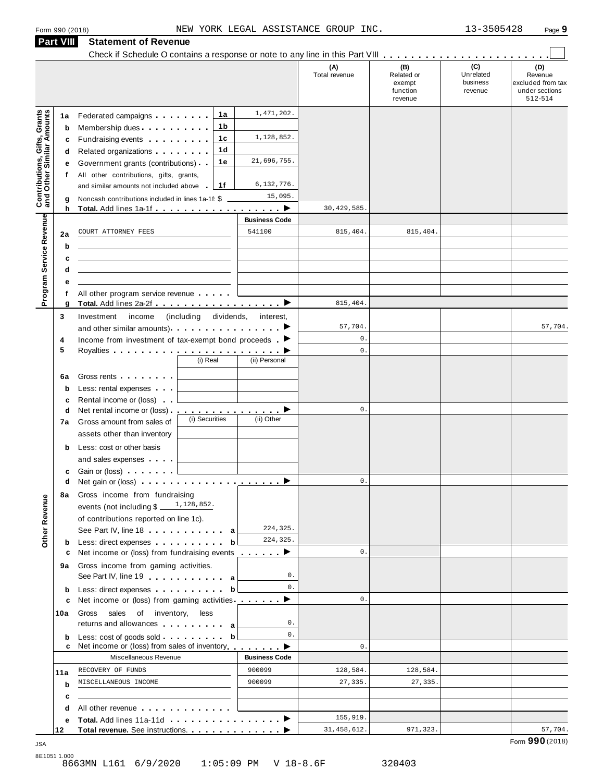|                                                                  | <b>Part VIII</b> | <b>Statement of Revenue</b>                                                                                                                                                                                                         |                       |                      |                      |                             |                              |                                     |
|------------------------------------------------------------------|------------------|-------------------------------------------------------------------------------------------------------------------------------------------------------------------------------------------------------------------------------------|-----------------------|----------------------|----------------------|-----------------------------|------------------------------|-------------------------------------|
|                                                                  |                  | Check if Schedule O contains a response or note to any line in this Part VIII                                                                                                                                                       |                       |                      | (A)<br>Total revenue | (B)<br>Related or<br>exempt | (C)<br>Unrelated<br>business | (D)<br>Revenue<br>excluded from tax |
|                                                                  |                  |                                                                                                                                                                                                                                     |                       |                      |                      | function<br>revenue         | revenue                      | under sections<br>512-514           |
| <b>Contributions, Gifts, Grants</b><br>and Other Similar Amounts | 1a               | Federated campaigns <b>Federated</b>                                                                                                                                                                                                | 1a                    | 1,471,202.           |                      |                             |                              |                                     |
|                                                                  | b                | Membership dues                                                                                                                                                                                                                     | 1b                    |                      |                      |                             |                              |                                     |
|                                                                  | c                | Fundraising events <b>Fundraising</b>                                                                                                                                                                                               | 1c                    | 1,128,852.           |                      |                             |                              |                                     |
|                                                                  | d                | Related organizations <b>contains</b> and <b>Related</b> organizations <b>and relations</b>                                                                                                                                         | 1d                    | 21,696,755.          |                      |                             |                              |                                     |
|                                                                  | е                | Government grants (contributions)                                                                                                                                                                                                   | 1е                    |                      |                      |                             |                              |                                     |
|                                                                  | f                | All other contributions, gifts, grants,                                                                                                                                                                                             | 1f                    | 6,132,776.           |                      |                             |                              |                                     |
|                                                                  |                  | and similar amounts not included above                                                                                                                                                                                              |                       | 15,095.              |                      |                             |                              |                                     |
|                                                                  | g<br>h           | Noncash contributions included in lines 1a-1f: \$                                                                                                                                                                                   |                       |                      | 30, 429, 585         |                             |                              |                                     |
| Program Service Revenue                                          |                  |                                                                                                                                                                                                                                     |                       | <b>Business Code</b> |                      |                             |                              |                                     |
|                                                                  | 2a               | COURT ATTORNEY FEES                                                                                                                                                                                                                 |                       | 541100               | 815,404.             | 815,404.                    |                              |                                     |
|                                                                  | b                |                                                                                                                                                                                                                                     |                       |                      |                      |                             |                              |                                     |
|                                                                  | с                |                                                                                                                                                                                                                                     |                       |                      |                      |                             |                              |                                     |
|                                                                  | d                |                                                                                                                                                                                                                                     |                       |                      |                      |                             |                              |                                     |
|                                                                  | е                |                                                                                                                                                                                                                                     |                       |                      |                      |                             |                              |                                     |
|                                                                  | f<br>g           | All other program service revenue                                                                                                                                                                                                   |                       |                      | 815,404              |                             |                              |                                     |
|                                                                  | 3                | Investment<br>income                                                                                                                                                                                                                | (including dividends, | interest,            |                      |                             |                              |                                     |
|                                                                  |                  | and other similar amounts) $\cdots$ $\cdots$ $\cdots$ $\cdots$                                                                                                                                                                      |                       |                      | 57,704.              |                             |                              | 57,704.                             |
|                                                                  | 4                | Income from investment of tax-exempt bond proceeds $\blacksquare$                                                                                                                                                                   |                       |                      | $\mathbf 0$ .        |                             |                              |                                     |
|                                                                  | 5                |                                                                                                                                                                                                                                     |                       |                      | $\mathbf{0}$ .       |                             |                              |                                     |
|                                                                  |                  |                                                                                                                                                                                                                                     | (i) Real              | (ii) Personal        |                      |                             |                              |                                     |
|                                                                  | 6a               | Gross rents <b>Container and Container</b>                                                                                                                                                                                          |                       |                      |                      |                             |                              |                                     |
|                                                                  | $\mathbf b$      | Less: rental expenses                                                                                                                                                                                                               |                       |                      |                      |                             |                              |                                     |
|                                                                  | c                | Rental income or (loss)                                                                                                                                                                                                             |                       |                      |                      |                             |                              |                                     |
|                                                                  | d                | Net rental income or (loss) <b>interact in the set of the set of the set of the set of the set of the set of the set of the set of the set of the set of the set of the set of the set of the set of the set of the set of the </b> |                       |                      | $\mathbb O$ .        |                             |                              |                                     |
|                                                                  | 7a               | Gross amount from sales of                                                                                                                                                                                                          | (i) Securities        | (ii) Other           |                      |                             |                              |                                     |
|                                                                  |                  | assets other than inventory                                                                                                                                                                                                         |                       |                      |                      |                             |                              |                                     |
|                                                                  | b                | Less: cost or other basis                                                                                                                                                                                                           |                       |                      |                      |                             |                              |                                     |
|                                                                  |                  | and sales expenses                                                                                                                                                                                                                  |                       |                      |                      |                             |                              |                                     |
|                                                                  | с                | Gain or (loss)                                                                                                                                                                                                                      |                       |                      |                      |                             |                              |                                     |
|                                                                  | d                | Net gain or (loss) $\cdots$ $\cdots$ $\cdots$ $\cdots$ $\cdots$ $\cdots$                                                                                                                                                            |                       |                      | 0.                   |                             |                              |                                     |
|                                                                  | 8а               | Gross income from fundraising                                                                                                                                                                                                       |                       |                      |                      |                             |                              |                                     |
|                                                                  |                  | events (not including \$                                                                                                                                                                                                            | $1\,, 128\,, 852\,.$  |                      |                      |                             |                              |                                     |
|                                                                  |                  | of contributions reported on line 1c).                                                                                                                                                                                              |                       |                      |                      |                             |                              |                                     |
| Other Revenue                                                    |                  | See Part IV, line 18 and the same state of the same state of the same state of the same state of the same state of the same state of the same state of the same state of the same state of the same state of the same state of      |                       | 224,325.             |                      |                             |                              |                                     |
|                                                                  | b                | Less: direct expenses                                                                                                                                                                                                               | b                     | 224,325.             |                      |                             |                              |                                     |
|                                                                  | c                | Net income or (loss) from fundraising events <u>example</u>                                                                                                                                                                         |                       |                      | $\mathsf{0}$ .       |                             |                              |                                     |
|                                                                  | 9а               | Gross income from gaming activities.                                                                                                                                                                                                |                       |                      |                      |                             |                              |                                     |
|                                                                  |                  | See Part IV, line 19 and the set of the set of the set of the set of the set of the set of the set of the set of the set of the set of the set of the set of the set of the set of the set of the set of the set of the set of      |                       | 0.<br>0.             |                      |                             |                              |                                     |
|                                                                  | b<br>c           | Less: direct expenses<br>Net income or (loss) from gaming activities $\cdots$                                                                                                                                                       | b                     |                      | $\mathbf{0}$ .       |                             |                              |                                     |
|                                                                  | 10a              | sales of inventory, less<br>Gross                                                                                                                                                                                                   |                       |                      |                      |                             |                              |                                     |
|                                                                  |                  | returns and allowances and allowances                                                                                                                                                                                               |                       | 0.                   |                      |                             |                              |                                     |
|                                                                  | b<br>c           | Less: cost of goods sold.<br>Net income or (loss) from sales of inventory                                                                                                                                                           | b                     | 0.                   | $\mathbf{0}$ .       |                             |                              |                                     |
|                                                                  |                  | Miscellaneous Revenue                                                                                                                                                                                                               |                       | <b>Business Code</b> |                      |                             |                              |                                     |
|                                                                  | 11a              | RECOVERY OF FUNDS                                                                                                                                                                                                                   |                       | 900099               | 128,584.             | 128,584.                    |                              |                                     |
|                                                                  | b                | MISCELLANEOUS INCOME                                                                                                                                                                                                                |                       | 900099               | 27,335.              | 27,335.                     |                              |                                     |
|                                                                  | c                |                                                                                                                                                                                                                                     |                       |                      |                      |                             |                              |                                     |
|                                                                  | d                | All other revenue entitled and a series of the series of the series of the series of the series of the series                                                                                                                       |                       |                      |                      |                             |                              |                                     |
|                                                                  | е                |                                                                                                                                                                                                                                     |                       |                      | 155,919.             |                             |                              |                                     |
|                                                                  | 12               | Total revenue. See instructions.                                                                                                                                                                                                    |                       |                      | 31, 458, 612.        | 971,323.                    |                              | 57,704.                             |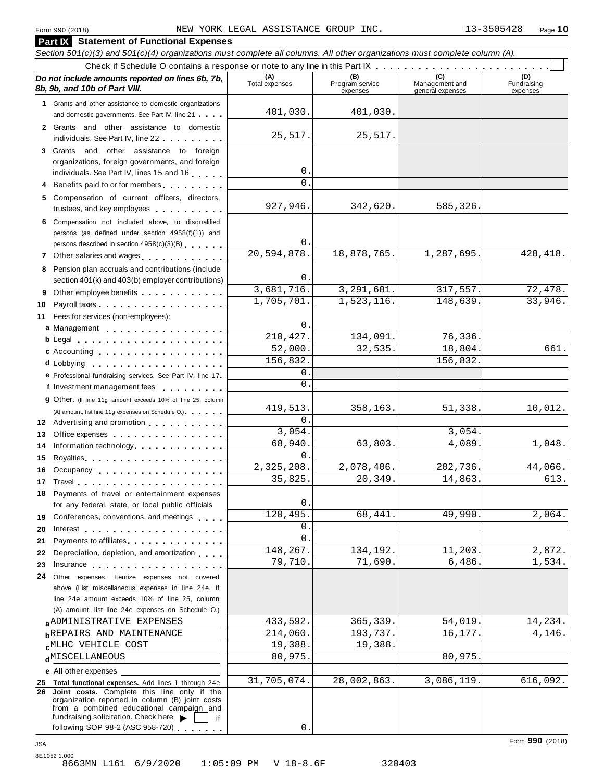**Part IX Statement of Functional Expenses**

#### Section 501(c)(3) and 501(c)(4) organizations must complete all columns. All other organizations must complete column (A). Check if Schedule <sup>O</sup> contains <sup>a</sup> response or note to any line in this Part IX m m m m m m m m m m m m m m m m m m m m m m m m m *Do no* **(A) (B) (C) (D)** *t include amounts reported on lines 6b, 7b,* **8b, 9b, and 10b of Part VIII.** The construction of *B***, 9b, and 10b of Part VIII.** expenses Management and general expenses Fundraising expenses **1** Grants and other assistance to domestic organizations and domestic governments. See Part IV, line 21 m m m **2** Grants and other assistance to domestic individuals. See Part IV, line 22 **3** Grants and other assistance to foreign organizations, foreign governments, and foreign individuals. See Part IV, lines <sup>15</sup> and <sup>16</sup> <sup>m</sup> <sup>m</sup> <sup>m</sup> <sup>m</sup> <sup>m</sup> **<sup>4</sup>** Benefits paid to or for members <sup>m</sup> <sup>m</sup> <sup>m</sup> <sup>m</sup> <sup>m</sup> <sup>m</sup> <sup>m</sup> <sup>m</sup> <sup>m</sup> **5** Compensation of current officers, directors, trustees, and key employees m m m m m m m m m m **6** Compensation not included above, to disqualified persons (as defined under section 4958(f)(1)) and persons described in section 4958(c)(3)(B) <sup>m</sup> <sup>m</sup> <sup>m</sup> <sup>m</sup> <sup>m</sup> <sup>m</sup> **<sup>7</sup>** Other salaries and wages <sup>m</sup> <sup>m</sup> <sup>m</sup> <sup>m</sup> <sup>m</sup> <sup>m</sup> <sup>m</sup> <sup>m</sup> <sup>m</sup> <sup>m</sup> <sup>m</sup> <sup>m</sup> **8** Pension plan accruals and contributions (include section 401(k) and 403(b) employer contributions) **9** Section 401(k) and 403(b) employer contributions<br>9 Other employee benefits 9 Other employee benefits **10** Payroll taxes **10** Fees for services (non-employees): **11** A) amount, list line 11g expenses on Schedule O.<br>**12** Advertising and promotion **manual 13** Office expenses **13** Office expenses<br>**14** Information technology............. **15** Royalties m m m m m m m m m m m m m m m m m m m m **16** Occupancy m m m m m m m m m m m m m m m m m m **16** Occupancy ...................<br>17 Travel..................... **18** Payments of travel or entertainment expenses for any federal, state, or local public officials<br>**19** Conferences, conventions, and meetings **19** Conferences, conventions, and meetings **with meetings**<br>20 Interest **manual meetings 21** Payments to affiliates 21 Payments to affiliates<br>22 Depreciation, depletion, and amortization <sub>1</sub> . . . **22** Depreciation, depletion, and amortization **manufation**<br>23 Insurance 24 Other expenses. Itemize expenses not covered | Fees for services (non-employees):<br>**a** Management ..................<br>**b** Legal ......................... **cd** Lobbying m m m m m m m m m m m m m m m m m m m **d** Lobbying **e**<br> **e** Professional fundraising services. See Part IV, line 17 **P** Professional fundraising services. See Part IV, line 17<br>**f** Investment management fees **g** Other. (If line 11g amount exceeds 10% of line 25, column Legal m m m m m m m m m m m m m m m m m m m m m c Accounting **c Accounting** m m m m m m m m m m m m m m m m m m (A) amount, list line 11g expenses on Schedule O.) m m m m m m m m m m m m m m m m for any federal, state, or local public officials m m m m m m m m m m m m m m above (List miscellaneous expenses in line 24e. If line 24e amount exceeds 10% of line 25, column (A) amount, list line 24e expenses on Schedule O.) **a** <u>ADMINISTRATIVE EXPENSES</u> (214,060. 193,737. 16,177. 14,146. 14,146. 14,146. 14,146. 15. 14,146. 14,146. 193,737. 16,177. 16,177. 14,146. **c**<sup>MLHC</sup> VEHICLE COST 19,388. 19,388. 20,975. **e** All other expenses **25 Total functional expenses.** Add lines 1 through 24e **26 Joint costs.** Complete this line only if the organization reported in column (B) joint costs from a combined educational campaign and from a combined educational campaign and<br>fundraising solicitation. Check here  $\blacktriangleright$  if<br>following SOP 98-2 (ASC 958-720) 401,030. 401,030. 25,517. 25,517.  $\Omega$  $\mathbf{0}$ . 927,946. 342,620. 585,326 0. 20,594,878. 18,878,765. 1,287,695. 428,418.  $\Omega$ 3,681,716. 3,291,681. 317,557. 72,478.  $1,705,701.$   $1,523,116.$   $148,639.$   $33,946.$  $\Omega$ 210,427. 134,091. 76,336. 52,000. 32,535. 18,804. 661. 156,832. 156,832. 0.  $\overline{0}$ 419,513. 358,163. 51,338. 10,012.  $\Omega$ 3,054. 3,054. 68,940. 63,803. 4,089. 1,048. 0. 2,325,208. 2,078,406. 202,736. 44,066. 35,825. 20,349. 14,863. 613. 0. 120,495. 68,441. 49,990. 2,064. 0.  $\overline{0}$ . 148,267. 134,192. 11,203. 2,872. 79,710. 71,690. 6,486. 1,534. **ADMINISTRATIVE EXPENSES** 433,592. 365,339. 54,019. 14,234.  $\epsilon$ MLHC VEHICLE COST 19,388. 19,388. 31,705,074. 28,002,863. 3,086,119. 616,092.

0.

8E1052 1.000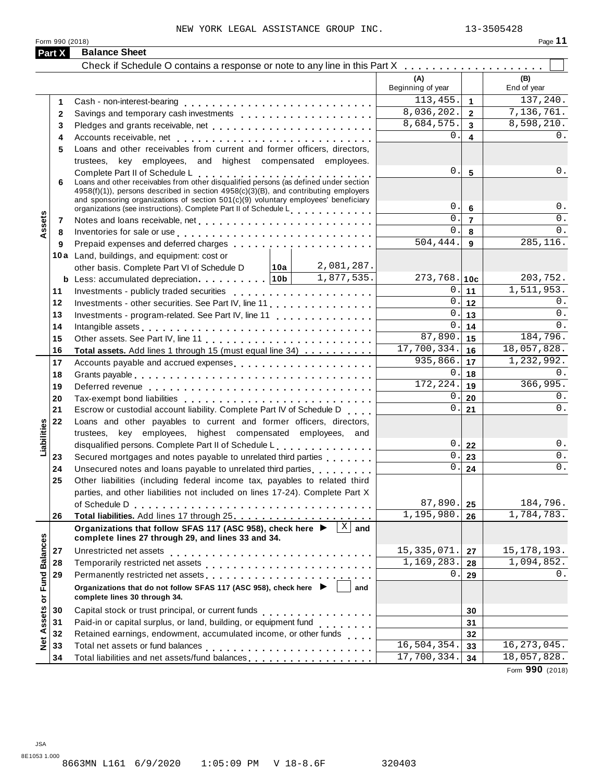Form 990 (2018)

|--|--|--|--|

|                      | Part X | <b>Balance Sheet</b>                                                                                                                                                                                                                                                                                                                                                                          |                          |                         |                          |
|----------------------|--------|-----------------------------------------------------------------------------------------------------------------------------------------------------------------------------------------------------------------------------------------------------------------------------------------------------------------------------------------------------------------------------------------------|--------------------------|-------------------------|--------------------------|
|                      |        | Check if Schedule O contains a response or note to any line in this Part X                                                                                                                                                                                                                                                                                                                    |                          |                         |                          |
|                      |        |                                                                                                                                                                                                                                                                                                                                                                                               | (A)<br>Beginning of year |                         | (B)<br>End of year       |
|                      | 1      |                                                                                                                                                                                                                                                                                                                                                                                               | 113,455.                 | $\mathbf{1}$            | 137,240.                 |
|                      | 2      |                                                                                                                                                                                                                                                                                                                                                                                               | 8,036,202.               | $\overline{2}$          | 7,136,761.               |
|                      | 3      | Pledges and grants receivable, net enterprise and produce and grants receivable, net enterprise and produce and                                                                                                                                                                                                                                                                               | 8,684,575.               | $\overline{\mathbf{3}}$ | 8,598,210.               |
|                      | 4      |                                                                                                                                                                                                                                                                                                                                                                                               | 0                        | $\overline{\mathbf{4}}$ | 0.                       |
|                      | 5      | Loans and other receivables from current and former officers, directors,                                                                                                                                                                                                                                                                                                                      |                          |                         |                          |
|                      |        | trustees, key employees, and highest compensated employees.                                                                                                                                                                                                                                                                                                                                   |                          |                         |                          |
|                      | 6      | Complete Part II of Schedule L<br>Loans and other receivables from other disqualified persons (as defined under section<br>4958(f)(1)), persons described in section 4958(c)(3)(B), and contributing employers<br>and sponsoring organizations of section $501(c)(9)$ voluntary employees' beneficiary<br>organizations (see instructions). Complete Part II of Schedule Letter Part 1 and 20 | 0.<br>0.                 | 5<br>$\bf 6$            | 0.<br>$0$ .              |
|                      | 7      |                                                                                                                                                                                                                                                                                                                                                                                               | 0.                       | $\overline{7}$          | 0.                       |
| Assets               | 8      | Inventories for sale or use enterpreteral resources and response to the set of the set of the set of the set of the set of the set of the set of the set of the set of the set of the set of the set of the set of the set of                                                                                                                                                                 | $\mathbf 0$ .            | 8                       | 0.                       |
|                      | 9      |                                                                                                                                                                                                                                                                                                                                                                                               | 504, 444.                | 9                       | 285, 116.                |
|                      |        | 10a Land, buildings, and equipment: cost or                                                                                                                                                                                                                                                                                                                                                   |                          |                         |                          |
|                      |        | 2,081,287.<br>∣10a  <br>other basis. Complete Part VI of Schedule D                                                                                                                                                                                                                                                                                                                           |                          |                         |                          |
|                      |        | 1,877,535.                                                                                                                                                                                                                                                                                                                                                                                    | $273,768.$ 10c           |                         | 203,752.                 |
|                      | 11     |                                                                                                                                                                                                                                                                                                                                                                                               | 0.                       | 11                      | $\overline{1,511,953}$ . |
|                      | 12     |                                                                                                                                                                                                                                                                                                                                                                                               | 0.                       | 12                      | 0.                       |
|                      | 13     | Investments - program-related. See Part IV, line 11                                                                                                                                                                                                                                                                                                                                           | 0.                       | 13                      | 0.                       |
|                      | 14     | Intangible assets experience in the contract of the contract of the contract of the contract of the contract of the contract of the contract of the contract of the contract of the contract of the contract of the contract o                                                                                                                                                                | 0                        | 14                      | 0.                       |
|                      | 15     |                                                                                                                                                                                                                                                                                                                                                                                               | 87,890.                  | 15                      | 184,796.                 |
|                      | 16     | Total assets. Add lines 1 through 15 (must equal line 34)                                                                                                                                                                                                                                                                                                                                     | 17,700,334.              | 16                      | 18,057,828.              |
|                      | 17     | Accounts payable and accrued expenses                                                                                                                                                                                                                                                                                                                                                         | 935,866.                 | 17                      | 1,232,992.               |
|                      | 18     |                                                                                                                                                                                                                                                                                                                                                                                               | 0.                       | 18                      | 0.                       |
|                      | 19     |                                                                                                                                                                                                                                                                                                                                                                                               | 172, 224.                | 19                      | 366,995.                 |
|                      | 20     |                                                                                                                                                                                                                                                                                                                                                                                               | 0.                       | 20                      | 0.                       |
|                      | 21     | Escrow or custodial account liability. Complete Part IV of Schedule D                                                                                                                                                                                                                                                                                                                         | 0.                       | 21                      | $0$ .                    |
|                      | 22     | Loans and other payables to current and former officers, directors,                                                                                                                                                                                                                                                                                                                           |                          |                         |                          |
|                      |        | trustees, key employees, highest compensated employees, and                                                                                                                                                                                                                                                                                                                                   |                          |                         |                          |
| Liabilities          |        | disqualified persons. Complete Part II of Schedule L                                                                                                                                                                                                                                                                                                                                          | $0$ .                    | 22                      | $0$ .                    |
|                      | 23     | Secured mortgages and notes payable to unrelated third parties                                                                                                                                                                                                                                                                                                                                | $\mathbf 0$ .            | 23                      | 0.                       |
|                      | 24     | Unsecured notes and loans payable to unrelated third parties                                                                                                                                                                                                                                                                                                                                  | $\mathbf{0}$ .           | 24                      | $0$ .                    |
|                      | 25     | Other liabilities (including federal income tax, payables to related third                                                                                                                                                                                                                                                                                                                    |                          |                         |                          |
|                      |        | parties, and other liabilities not included on lines 17-24). Complete Part X                                                                                                                                                                                                                                                                                                                  |                          |                         |                          |
|                      |        | of Schedule D                                                                                                                                                                                                                                                                                                                                                                                 | 87,890.                  | 25                      | 184,796.                 |
|                      | 26     |                                                                                                                                                                                                                                                                                                                                                                                               | 1,195,980.               | 26                      | 1,784,783.               |
|                      |        | Organizations that follow SFAS 117 (ASC 958), check here ▶<br>$X \mid$ and<br>complete lines 27 through 29, and lines 33 and 34.                                                                                                                                                                                                                                                              |                          |                         |                          |
|                      | 27     | Unrestricted net assets                                                                                                                                                                                                                                                                                                                                                                       | 15, 335, 071.            | 27                      | 15, 178, 193.            |
| <b>Fund Balances</b> | 28     |                                                                                                                                                                                                                                                                                                                                                                                               | 1,169,283.               | 28                      | 1,094,852.               |
|                      | 29     | Permanently restricted net assets<br>intervals and intervals are not restricted in the set of assets<br>intervals and intervals are not restricted in the set of a set of a set of a set of an intervals are not restricted in the                                                                                                                                                            | $0$ .                    | 29                      | 0.                       |
|                      |        | Organizations that do not follow SFAS 117 (ASC 958), check here ▶<br>and<br>complete lines 30 through 34.                                                                                                                                                                                                                                                                                     |                          |                         |                          |
|                      | 30     |                                                                                                                                                                                                                                                                                                                                                                                               |                          | 30                      |                          |
| Net Assets or        | 31     | Paid-in or capital surplus, or land, building, or equipment fund<br>                                                                                                                                                                                                                                                                                                                          |                          | 31                      |                          |
|                      | 32     | Retained earnings, endowment, accumulated income, or other funds                                                                                                                                                                                                                                                                                                                              |                          | 32                      |                          |
|                      | 33     |                                                                                                                                                                                                                                                                                                                                                                                               | 16, 504, 354.            | 33                      | 16, 273, 045.            |
|                      | 34     | Total liabilities and net assets/fund balances                                                                                                                                                                                                                                                                                                                                                | 17,700,334.              | 34                      | 18,057,828.              |

Form **990** (2018)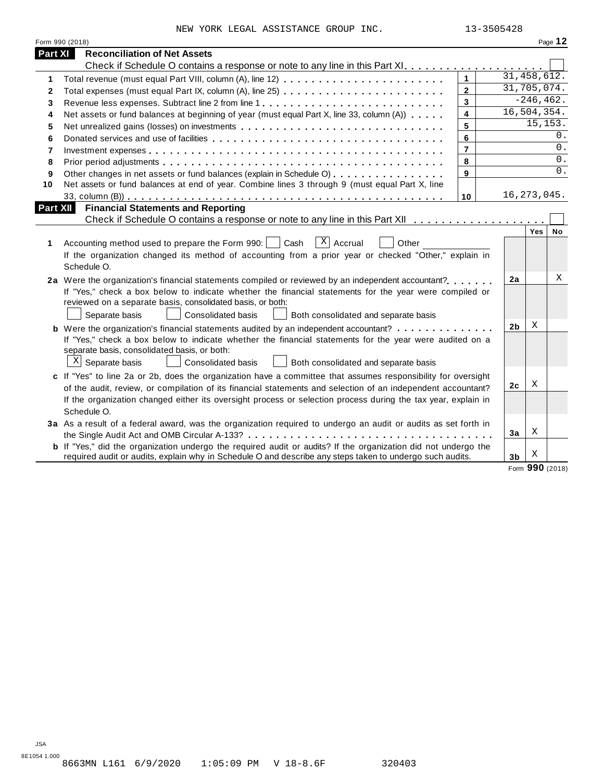NEW YORK LEGAL ASSISTANCE GROUP INC.  $13-3505428$ 

|             | Form 990 (2018)                                                                                                                                                                                                                                                                                                                                                   |                |                |              | Page 12 |
|-------------|-------------------------------------------------------------------------------------------------------------------------------------------------------------------------------------------------------------------------------------------------------------------------------------------------------------------------------------------------------------------|----------------|----------------|--------------|---------|
| Part XI     | <b>Reconciliation of Net Assets</b>                                                                                                                                                                                                                                                                                                                               |                |                |              |         |
|             |                                                                                                                                                                                                                                                                                                                                                                   |                |                |              |         |
| $\mathbf 1$ |                                                                                                                                                                                                                                                                                                                                                                   | $\mathbf{1}$   | 31, 458, 612.  |              |         |
| 2           | Total expenses (must equal Part IX, column (A), line 25)                                                                                                                                                                                                                                                                                                          | $\overline{2}$ | 31,705,074.    |              |         |
| 3           |                                                                                                                                                                                                                                                                                                                                                                   | $\overline{3}$ |                | $-246, 462.$ |         |
| 4           | Net assets or fund balances at beginning of year (must equal Part X, line 33, column (A))                                                                                                                                                                                                                                                                         | 4              | 16,504,354.    |              |         |
| 5           | Net unrealized gains (losses) on investments                                                                                                                                                                                                                                                                                                                      | 5              |                | 15, 153.     |         |
| 6           |                                                                                                                                                                                                                                                                                                                                                                   | 6              |                |              | $0$ .   |
| 7           |                                                                                                                                                                                                                                                                                                                                                                   | $\overline{7}$ |                |              | 0.      |
| 8           |                                                                                                                                                                                                                                                                                                                                                                   | 8              |                |              | 0.      |
| 9           | Other changes in net assets or fund balances (explain in Schedule O)                                                                                                                                                                                                                                                                                              | 9              |                |              | $0$ .   |
| 10          | Net assets or fund balances at end of year. Combine lines 3 through 9 (must equal Part X, line                                                                                                                                                                                                                                                                    |                |                |              |         |
|             |                                                                                                                                                                                                                                                                                                                                                                   | 10             | 16, 273, 045.  |              |         |
| Part XII    | <b>Financial Statements and Reporting</b>                                                                                                                                                                                                                                                                                                                         |                |                |              |         |
|             |                                                                                                                                                                                                                                                                                                                                                                   |                |                |              |         |
| 1           | $ X $ Accrual<br>Cash<br>Other<br>Accounting method used to prepare the Form 990:  <br>If the organization changed its method of accounting from a prior year or checked "Other," explain in<br>Schedule O.                                                                                                                                                       |                |                | Yes          | No      |
|             | 2a Were the organization's financial statements compiled or reviewed by an independent accountant?<br>If "Yes," check a box below to indicate whether the financial statements for the year were compiled or<br>reviewed on a separate basis, consolidated basis, or both:<br>Separate basis<br><b>Consolidated basis</b><br>Both consolidated and separate basis |                | 2a             |              | Χ       |
|             | <b>b</b> Were the organization's financial statements audited by an independent accountant?                                                                                                                                                                                                                                                                       |                | 2b             | X            |         |
|             | If "Yes," check a box below to indicate whether the financial statements for the year were audited on a<br>separate basis, consolidated basis, or both:<br>$\mathbf{x}$<br>Separate basis<br><b>Consolidated basis</b><br>Both consolidated and separate basis                                                                                                    |                |                |              |         |
|             | c If "Yes" to line 2a or 2b, does the organization have a committee that assumes responsibility for oversight                                                                                                                                                                                                                                                     |                |                | Χ            |         |
|             | of the audit, review, or compilation of its financial statements and selection of an independent accountant?                                                                                                                                                                                                                                                      |                | 2c             |              |         |
|             | If the organization changed either its oversight process or selection process during the tax year, explain in<br>Schedule O.                                                                                                                                                                                                                                      |                |                |              |         |
|             | 3a As a result of a federal award, was the organization required to undergo an audit or audits as set forth in                                                                                                                                                                                                                                                    |                |                |              |         |
|             |                                                                                                                                                                                                                                                                                                                                                                   |                | 3a             | X            |         |
|             | <b>b</b> If "Yes," did the organization undergo the required audit or audits? If the organization did not undergo the<br>required audit or audits, explain why in Schedule O and describe any steps taken to undergo such audits.                                                                                                                                 |                | 3 <sub>b</sub> | Х            |         |

Form **990** (2018)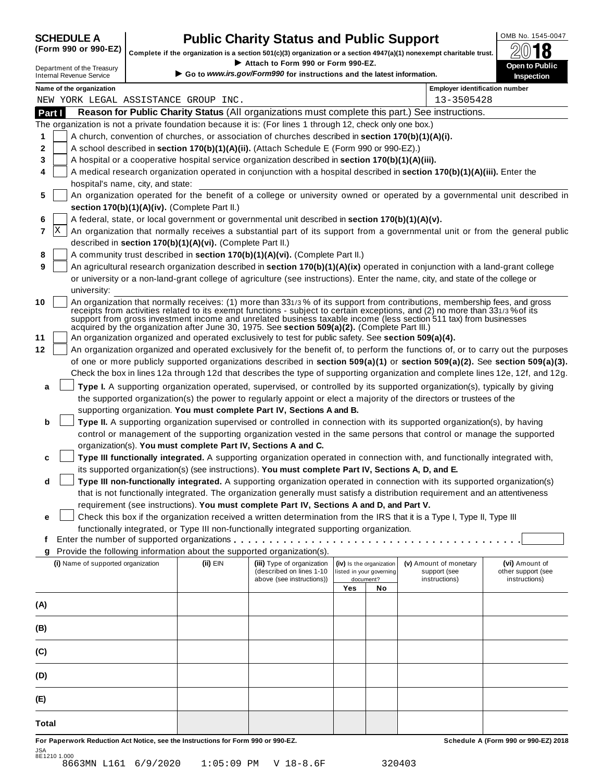| <b>SCHEDULE A</b> |  |  |                               |  |
|-------------------|--|--|-------------------------------|--|
|                   |  |  | $\sqrt{2}$ and and $\sqrt{2}$ |  |

# **CHEDULE A Public Charity Status and Public Support**  $\frac{\text{OMB No. 1545-0047}}{\text{OMB}}$

(Form 990 or 990-EZ) complete if the organization is a section 501(c)(3) organization or a section 4947(a)(1) nonexempt charitable trust.  $2018$ 

|                                                               |                                   |                                                            | Complete if the organization is a section 501(c)(3) organization or a section $4947(a)(1)$ nonexempt charitable trust. |     |                          |                                                                                                                                                                                                                                                                                                                                                                                                                                                                                                        | ZW IO                                                                                                                            |
|---------------------------------------------------------------|-----------------------------------|------------------------------------------------------------|------------------------------------------------------------------------------------------------------------------------|-----|--------------------------|--------------------------------------------------------------------------------------------------------------------------------------------------------------------------------------------------------------------------------------------------------------------------------------------------------------------------------------------------------------------------------------------------------------------------------------------------------------------------------------------------------|----------------------------------------------------------------------------------------------------------------------------------|
| Department of the Treasury<br><b>Internal Revenue Service</b> |                                   |                                                            | Attach to Form 990 or Form 990-EZ.<br>Go to www.irs.gov/Form990 for instructions and the latest information.           |     |                          |                                                                                                                                                                                                                                                                                                                                                                                                                                                                                                        | Open to Public<br>Inspection                                                                                                     |
| Name of the organization                                      |                                   |                                                            |                                                                                                                        |     |                          | <b>Employer identification number</b>                                                                                                                                                                                                                                                                                                                                                                                                                                                                  |                                                                                                                                  |
| NEW YORK LEGAL ASSISTANCE GROUP INC.                          |                                   |                                                            |                                                                                                                        |     |                          | 13-3505428                                                                                                                                                                                                                                                                                                                                                                                                                                                                                             |                                                                                                                                  |
| Part I                                                        |                                   |                                                            |                                                                                                                        |     |                          | Reason for Public Charity Status (All organizations must complete this part.) See instructions.                                                                                                                                                                                                                                                                                                                                                                                                        |                                                                                                                                  |
|                                                               |                                   |                                                            | The organization is not a private foundation because it is: (For lines 1 through 12, check only one box.)              |     |                          |                                                                                                                                                                                                                                                                                                                                                                                                                                                                                                        |                                                                                                                                  |
| 1                                                             |                                   |                                                            | A church, convention of churches, or association of churches described in section 170(b)(1)(A)(i).                     |     |                          |                                                                                                                                                                                                                                                                                                                                                                                                                                                                                                        |                                                                                                                                  |
| 2                                                             |                                   |                                                            | A school described in section 170(b)(1)(A)(ii). (Attach Schedule E (Form 990 or 990-EZ).)                              |     |                          |                                                                                                                                                                                                                                                                                                                                                                                                                                                                                                        |                                                                                                                                  |
| 3                                                             |                                   |                                                            | A hospital or a cooperative hospital service organization described in section 170(b)(1)(A)(iii).                      |     |                          |                                                                                                                                                                                                                                                                                                                                                                                                                                                                                                        |                                                                                                                                  |
| 4                                                             | hospital's name, city, and state: |                                                            |                                                                                                                        |     |                          | A medical research organization operated in conjunction with a hospital described in section 170(b)(1)(A)(iii). Enter the                                                                                                                                                                                                                                                                                                                                                                              |                                                                                                                                  |
| 5                                                             |                                   |                                                            |                                                                                                                        |     |                          |                                                                                                                                                                                                                                                                                                                                                                                                                                                                                                        | An organization operated for the benefit of a college or university owned or operated by a governmental unit described in        |
|                                                               |                                   | section 170(b)(1)(A)(iv). (Complete Part II.)              |                                                                                                                        |     |                          |                                                                                                                                                                                                                                                                                                                                                                                                                                                                                                        |                                                                                                                                  |
| 6                                                             |                                   |                                                            | A federal, state, or local government or governmental unit described in section 170(b)(1)(A)(v).                       |     |                          |                                                                                                                                                                                                                                                                                                                                                                                                                                                                                                        |                                                                                                                                  |
| X<br>7                                                        |                                   |                                                            |                                                                                                                        |     |                          |                                                                                                                                                                                                                                                                                                                                                                                                                                                                                                        | An organization that normally receives a substantial part of its support from a governmental unit or from the general public     |
|                                                               |                                   | described in section 170(b)(1)(A)(vi). (Complete Part II.) |                                                                                                                        |     |                          |                                                                                                                                                                                                                                                                                                                                                                                                                                                                                                        |                                                                                                                                  |
| 8                                                             |                                   |                                                            | A community trust described in section 170(b)(1)(A)(vi). (Complete Part II.)                                           |     |                          |                                                                                                                                                                                                                                                                                                                                                                                                                                                                                                        |                                                                                                                                  |
| 9                                                             |                                   |                                                            |                                                                                                                        |     |                          | An agricultural research organization described in section 170(b)(1)(A)(ix) operated in conjunction with a land-grant college                                                                                                                                                                                                                                                                                                                                                                          |                                                                                                                                  |
|                                                               |                                   |                                                            |                                                                                                                        |     |                          | or university or a non-land-grant college of agriculture (see instructions). Enter the name, city, and state of the college or                                                                                                                                                                                                                                                                                                                                                                         |                                                                                                                                  |
| university:                                                   |                                   |                                                            |                                                                                                                        |     |                          |                                                                                                                                                                                                                                                                                                                                                                                                                                                                                                        |                                                                                                                                  |
| 10                                                            |                                   |                                                            | acquired by the organization after June 30, 1975. See section 509(a)(2). (Complete Part III.)                          |     |                          | An organization that normally receives: (1) more than 331/3% of its support from contributions, membership fees, and gross<br>receipts from activities related to its exempt functions - subject to certain exceptions, and (2) no more than 331/3% of its<br>support from gross investment income and unrelated business taxable income (less section 511 tax) from businesses                                                                                                                        |                                                                                                                                  |
| 11                                                            |                                   |                                                            | An organization organized and operated exclusively to test for public safety. See section 509(a)(4).                   |     |                          |                                                                                                                                                                                                                                                                                                                                                                                                                                                                                                        |                                                                                                                                  |
| 12                                                            |                                   |                                                            |                                                                                                                        |     |                          |                                                                                                                                                                                                                                                                                                                                                                                                                                                                                                        | An organization organized and operated exclusively for the benefit of, to perform the functions of, or to carry out the purposes |
|                                                               |                                   |                                                            |                                                                                                                        |     |                          |                                                                                                                                                                                                                                                                                                                                                                                                                                                                                                        | of one or more publicly supported organizations described in section 509(a)(1) or section 509(a)(2). See section 509(a)(3).      |
|                                                               |                                   |                                                            |                                                                                                                        |     |                          |                                                                                                                                                                                                                                                                                                                                                                                                                                                                                                        | Check the box in lines 12a through 12d that describes the type of supporting organization and complete lines 12e, 12f, and 12g.  |
| a<br>b                                                        |                                   |                                                            | supporting organization. You must complete Part IV, Sections A and B.                                                  |     |                          | Type I. A supporting organization operated, supervised, or controlled by its supported organization(s), typically by giving<br>the supported organization(s) the power to regularly appoint or elect a majority of the directors or trustees of the<br>Type II. A supporting organization supervised or controlled in connection with its supported organization(s), by having<br>control or management of the supporting organization vested in the same persons that control or manage the supported |                                                                                                                                  |
|                                                               |                                   |                                                            | organization(s). You must complete Part IV, Sections A and C.                                                          |     |                          |                                                                                                                                                                                                                                                                                                                                                                                                                                                                                                        |                                                                                                                                  |
| c                                                             |                                   |                                                            |                                                                                                                        |     |                          | Type III functionally integrated. A supporting organization operated in connection with, and functionally integrated with,                                                                                                                                                                                                                                                                                                                                                                             |                                                                                                                                  |
|                                                               |                                   |                                                            | its supported organization(s) (see instructions). You must complete Part IV, Sections A, D, and E.                     |     |                          |                                                                                                                                                                                                                                                                                                                                                                                                                                                                                                        |                                                                                                                                  |
| d                                                             |                                   |                                                            |                                                                                                                        |     |                          | Type III non-functionally integrated. A supporting organization operated in connection with its supported organization(s)                                                                                                                                                                                                                                                                                                                                                                              |                                                                                                                                  |
|                                                               |                                   |                                                            |                                                                                                                        |     |                          | that is not functionally integrated. The organization generally must satisfy a distribution requirement and an attentiveness                                                                                                                                                                                                                                                                                                                                                                           |                                                                                                                                  |
|                                                               |                                   |                                                            | requirement (see instructions). You must complete Part IV, Sections A and D, and Part V.                               |     |                          |                                                                                                                                                                                                                                                                                                                                                                                                                                                                                                        |                                                                                                                                  |
| е                                                             |                                   |                                                            |                                                                                                                        |     |                          | Check this box if the organization received a written determination from the IRS that it is a Type I, Type II, Type III                                                                                                                                                                                                                                                                                                                                                                                |                                                                                                                                  |
|                                                               |                                   |                                                            | functionally integrated, or Type III non-functionally integrated supporting organization.                              |     |                          |                                                                                                                                                                                                                                                                                                                                                                                                                                                                                                        |                                                                                                                                  |
| t                                                             |                                   |                                                            | Provide the following information about the supported organization(s).                                                 |     |                          |                                                                                                                                                                                                                                                                                                                                                                                                                                                                                                        |                                                                                                                                  |
| g<br>(i) Name of supported organization                       |                                   | (ii) EIN                                                   | (iii) Type of organization                                                                                             |     | (iv) Is the organization | (v) Amount of monetary                                                                                                                                                                                                                                                                                                                                                                                                                                                                                 | (vi) Amount of                                                                                                                   |
|                                                               |                                   |                                                            | (described on lines 1-10                                                                                               |     | listed in your governing | support (see                                                                                                                                                                                                                                                                                                                                                                                                                                                                                           | other support (see                                                                                                               |
|                                                               |                                   |                                                            | above (see instructions))                                                                                              |     | document?                | instructions)                                                                                                                                                                                                                                                                                                                                                                                                                                                                                          | instructions)                                                                                                                    |
|                                                               |                                   |                                                            |                                                                                                                        | Yes | No                       |                                                                                                                                                                                                                                                                                                                                                                                                                                                                                                        |                                                                                                                                  |
| (A)                                                           |                                   |                                                            |                                                                                                                        |     |                          |                                                                                                                                                                                                                                                                                                                                                                                                                                                                                                        |                                                                                                                                  |
| (B)                                                           |                                   |                                                            |                                                                                                                        |     |                          |                                                                                                                                                                                                                                                                                                                                                                                                                                                                                                        |                                                                                                                                  |
| (C)                                                           |                                   |                                                            |                                                                                                                        |     |                          |                                                                                                                                                                                                                                                                                                                                                                                                                                                                                                        |                                                                                                                                  |
| (D)                                                           |                                   |                                                            |                                                                                                                        |     |                          |                                                                                                                                                                                                                                                                                                                                                                                                                                                                                                        |                                                                                                                                  |
| (E)                                                           |                                   |                                                            |                                                                                                                        |     |                          |                                                                                                                                                                                                                                                                                                                                                                                                                                                                                                        |                                                                                                                                  |
| Total                                                         |                                   |                                                            |                                                                                                                        |     |                          |                                                                                                                                                                                                                                                                                                                                                                                                                                                                                                        |                                                                                                                                  |
|                                                               |                                   |                                                            |                                                                                                                        |     |                          |                                                                                                                                                                                                                                                                                                                                                                                                                                                                                                        |                                                                                                                                  |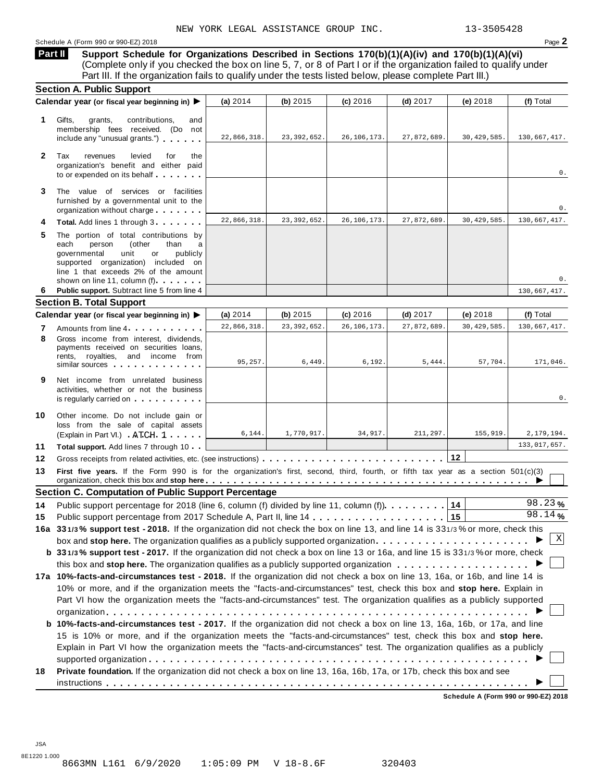**Support Schedule for Organizations Described in Sections 170(b)(1)(A)(iv) and 170(b)(1)(A)(vi)** (Complete only if you checked the box on line 5, 7, or 8 of Part I or if the organization failed to qualify under Part III. If the organization fails to qualify under the tests listed below, please complete Part III.) **Part II**

|                                                                                                                                                                                                                                                                                                                 | (a) 2014                                                                                                                                                                                            | (b) $2015$    | $(c)$ 2016                                                 | $(d)$ 2017  | (e) 2018                                                                               | (f) Total                                                                                                                                                                                                                                                                                                                                                                                                                                                                                                                                                                                                                                                                                                                                                                                                                                                                                                                                                                                                                                                                                                                                                                                                                                                                                                                                                                                                                                             |
|-----------------------------------------------------------------------------------------------------------------------------------------------------------------------------------------------------------------------------------------------------------------------------------------------------------------|-----------------------------------------------------------------------------------------------------------------------------------------------------------------------------------------------------|---------------|------------------------------------------------------------|-------------|----------------------------------------------------------------------------------------|-------------------------------------------------------------------------------------------------------------------------------------------------------------------------------------------------------------------------------------------------------------------------------------------------------------------------------------------------------------------------------------------------------------------------------------------------------------------------------------------------------------------------------------------------------------------------------------------------------------------------------------------------------------------------------------------------------------------------------------------------------------------------------------------------------------------------------------------------------------------------------------------------------------------------------------------------------------------------------------------------------------------------------------------------------------------------------------------------------------------------------------------------------------------------------------------------------------------------------------------------------------------------------------------------------------------------------------------------------------------------------------------------------------------------------------------------------|
| Gifts,<br>grants,<br>contributions.<br>and<br>membership fees received. (Do not<br>include any "unusual grants.")                                                                                                                                                                                               | 22,866,318.                                                                                                                                                                                         | 23, 392, 652. | 26, 106, 173.                                              | 27,872,689. | 30, 429, 585.                                                                          | 130,667,417.                                                                                                                                                                                                                                                                                                                                                                                                                                                                                                                                                                                                                                                                                                                                                                                                                                                                                                                                                                                                                                                                                                                                                                                                                                                                                                                                                                                                                                          |
| Tax<br>revenues<br>levied<br>for<br>the<br>organization's benefit and either paid<br>to or expended on its behalf                                                                                                                                                                                               |                                                                                                                                                                                                     |               |                                                            |             |                                                                                        | 0.                                                                                                                                                                                                                                                                                                                                                                                                                                                                                                                                                                                                                                                                                                                                                                                                                                                                                                                                                                                                                                                                                                                                                                                                                                                                                                                                                                                                                                                    |
| The value of services or facilities<br>furnished by a governmental unit to the<br>organization without charge                                                                                                                                                                                                   |                                                                                                                                                                                                     |               |                                                            |             |                                                                                        | 0.                                                                                                                                                                                                                                                                                                                                                                                                                                                                                                                                                                                                                                                                                                                                                                                                                                                                                                                                                                                                                                                                                                                                                                                                                                                                                                                                                                                                                                                    |
| Total. Add lines 1 through 3                                                                                                                                                                                                                                                                                    | 22,866,318.                                                                                                                                                                                         | 23, 392, 652. | 26, 106, 173.                                              | 27,872,689. | 30, 429, 585.                                                                          | 130,667,417.                                                                                                                                                                                                                                                                                                                                                                                                                                                                                                                                                                                                                                                                                                                                                                                                                                                                                                                                                                                                                                                                                                                                                                                                                                                                                                                                                                                                                                          |
| The portion of total contributions by<br>each<br>person<br>(other<br>than<br>a<br>governmental<br>unit<br>publicly<br>or<br>supported organization) included on<br>line 1 that exceeds 2% of the amount                                                                                                         |                                                                                                                                                                                                     |               |                                                            |             |                                                                                        | 0.                                                                                                                                                                                                                                                                                                                                                                                                                                                                                                                                                                                                                                                                                                                                                                                                                                                                                                                                                                                                                                                                                                                                                                                                                                                                                                                                                                                                                                                    |
| Public support. Subtract line 5 from line 4                                                                                                                                                                                                                                                                     |                                                                                                                                                                                                     |               |                                                            |             |                                                                                        | 130,667,417.                                                                                                                                                                                                                                                                                                                                                                                                                                                                                                                                                                                                                                                                                                                                                                                                                                                                                                                                                                                                                                                                                                                                                                                                                                                                                                                                                                                                                                          |
|                                                                                                                                                                                                                                                                                                                 |                                                                                                                                                                                                     |               |                                                            |             |                                                                                        |                                                                                                                                                                                                                                                                                                                                                                                                                                                                                                                                                                                                                                                                                                                                                                                                                                                                                                                                                                                                                                                                                                                                                                                                                                                                                                                                                                                                                                                       |
|                                                                                                                                                                                                                                                                                                                 | (a) $2014$                                                                                                                                                                                          | (b) $2015$    | $(c)$ 2016                                                 | $(d)$ 2017  | (e) 2018                                                                               | (f) Total                                                                                                                                                                                                                                                                                                                                                                                                                                                                                                                                                                                                                                                                                                                                                                                                                                                                                                                                                                                                                                                                                                                                                                                                                                                                                                                                                                                                                                             |
| Amounts from line 4                                                                                                                                                                                                                                                                                             | 22,866,318.                                                                                                                                                                                         | 23, 392, 652. | 26, 106, 173                                               | 27,872,689  | 30, 429, 585.                                                                          | 130,667,417.                                                                                                                                                                                                                                                                                                                                                                                                                                                                                                                                                                                                                                                                                                                                                                                                                                                                                                                                                                                                                                                                                                                                                                                                                                                                                                                                                                                                                                          |
| Gross income from interest. dividends.<br>payments received on securities loans,<br>rents, royalties, and income from<br>similar sources experiences                                                                                                                                                            | 95,257.                                                                                                                                                                                             | 6,449.        | 6,192                                                      | 5,444.      | 57,704.                                                                                | 171,046.                                                                                                                                                                                                                                                                                                                                                                                                                                                                                                                                                                                                                                                                                                                                                                                                                                                                                                                                                                                                                                                                                                                                                                                                                                                                                                                                                                                                                                              |
| Net income from unrelated business<br>activities, whether or not the business<br>is regularly carried on the control of the control of the control of the control of the control of the control of the control of the control of the control of the control of the control of the control of the control of the |                                                                                                                                                                                                     |               |                                                            |             |                                                                                        | 0.                                                                                                                                                                                                                                                                                                                                                                                                                                                                                                                                                                                                                                                                                                                                                                                                                                                                                                                                                                                                                                                                                                                                                                                                                                                                                                                                                                                                                                                    |
| Other income. Do not include gain or<br>loss from the sale of capital assets<br>(Explain in Part VI.) ATCH 1                                                                                                                                                                                                    | 6, 144.                                                                                                                                                                                             | 1,770,917.    | 34,917.                                                    | 211,297.    | 155,919.                                                                               | 2,179,194.                                                                                                                                                                                                                                                                                                                                                                                                                                                                                                                                                                                                                                                                                                                                                                                                                                                                                                                                                                                                                                                                                                                                                                                                                                                                                                                                                                                                                                            |
| Total support. Add lines 7 through 10                                                                                                                                                                                                                                                                           |                                                                                                                                                                                                     |               |                                                            |             |                                                                                        | 133,017,657.                                                                                                                                                                                                                                                                                                                                                                                                                                                                                                                                                                                                                                                                                                                                                                                                                                                                                                                                                                                                                                                                                                                                                                                                                                                                                                                                                                                                                                          |
|                                                                                                                                                                                                                                                                                                                 |                                                                                                                                                                                                     |               |                                                            |             |                                                                                        |                                                                                                                                                                                                                                                                                                                                                                                                                                                                                                                                                                                                                                                                                                                                                                                                                                                                                                                                                                                                                                                                                                                                                                                                                                                                                                                                                                                                                                                       |
|                                                                                                                                                                                                                                                                                                                 |                                                                                                                                                                                                     |               |                                                            |             |                                                                                        |                                                                                                                                                                                                                                                                                                                                                                                                                                                                                                                                                                                                                                                                                                                                                                                                                                                                                                                                                                                                                                                                                                                                                                                                                                                                                                                                                                                                                                                       |
|                                                                                                                                                                                                                                                                                                                 |                                                                                                                                                                                                     |               |                                                            |             |                                                                                        |                                                                                                                                                                                                                                                                                                                                                                                                                                                                                                                                                                                                                                                                                                                                                                                                                                                                                                                                                                                                                                                                                                                                                                                                                                                                                                                                                                                                                                                       |
|                                                                                                                                                                                                                                                                                                                 |                                                                                                                                                                                                     |               |                                                            |             |                                                                                        | 98.23%                                                                                                                                                                                                                                                                                                                                                                                                                                                                                                                                                                                                                                                                                                                                                                                                                                                                                                                                                                                                                                                                                                                                                                                                                                                                                                                                                                                                                                                |
|                                                                                                                                                                                                                                                                                                                 |                                                                                                                                                                                                     |               |                                                            |             |                                                                                        | 98.14%                                                                                                                                                                                                                                                                                                                                                                                                                                                                                                                                                                                                                                                                                                                                                                                                                                                                                                                                                                                                                                                                                                                                                                                                                                                                                                                                                                                                                                                |
|                                                                                                                                                                                                                                                                                                                 |                                                                                                                                                                                                     |               |                                                            |             |                                                                                        |                                                                                                                                                                                                                                                                                                                                                                                                                                                                                                                                                                                                                                                                                                                                                                                                                                                                                                                                                                                                                                                                                                                                                                                                                                                                                                                                                                                                                                                       |
|                                                                                                                                                                                                                                                                                                                 |                                                                                                                                                                                                     |               |                                                            |             |                                                                                        | Χ                                                                                                                                                                                                                                                                                                                                                                                                                                                                                                                                                                                                                                                                                                                                                                                                                                                                                                                                                                                                                                                                                                                                                                                                                                                                                                                                                                                                                                                     |
|                                                                                                                                                                                                                                                                                                                 |                                                                                                                                                                                                     |               |                                                            |             |                                                                                        |                                                                                                                                                                                                                                                                                                                                                                                                                                                                                                                                                                                                                                                                                                                                                                                                                                                                                                                                                                                                                                                                                                                                                                                                                                                                                                                                                                                                                                                       |
|                                                                                                                                                                                                                                                                                                                 |                                                                                                                                                                                                     |               |                                                            |             |                                                                                        |                                                                                                                                                                                                                                                                                                                                                                                                                                                                                                                                                                                                                                                                                                                                                                                                                                                                                                                                                                                                                                                                                                                                                                                                                                                                                                                                                                                                                                                       |
|                                                                                                                                                                                                                                                                                                                 |                                                                                                                                                                                                     |               |                                                            |             |                                                                                        |                                                                                                                                                                                                                                                                                                                                                                                                                                                                                                                                                                                                                                                                                                                                                                                                                                                                                                                                                                                                                                                                                                                                                                                                                                                                                                                                                                                                                                                       |
|                                                                                                                                                                                                                                                                                                                 |                                                                                                                                                                                                     |               |                                                            |             |                                                                                        |                                                                                                                                                                                                                                                                                                                                                                                                                                                                                                                                                                                                                                                                                                                                                                                                                                                                                                                                                                                                                                                                                                                                                                                                                                                                                                                                                                                                                                                       |
|                                                                                                                                                                                                                                                                                                                 |                                                                                                                                                                                                     |               |                                                            |             |                                                                                        |                                                                                                                                                                                                                                                                                                                                                                                                                                                                                                                                                                                                                                                                                                                                                                                                                                                                                                                                                                                                                                                                                                                                                                                                                                                                                                                                                                                                                                                       |
|                                                                                                                                                                                                                                                                                                                 |                                                                                                                                                                                                     |               |                                                            |             |                                                                                        |                                                                                                                                                                                                                                                                                                                                                                                                                                                                                                                                                                                                                                                                                                                                                                                                                                                                                                                                                                                                                                                                                                                                                                                                                                                                                                                                                                                                                                                       |
|                                                                                                                                                                                                                                                                                                                 |                                                                                                                                                                                                     |               |                                                            |             |                                                                                        |                                                                                                                                                                                                                                                                                                                                                                                                                                                                                                                                                                                                                                                                                                                                                                                                                                                                                                                                                                                                                                                                                                                                                                                                                                                                                                                                                                                                                                                       |
|                                                                                                                                                                                                                                                                                                                 |                                                                                                                                                                                                     |               |                                                            |             |                                                                                        |                                                                                                                                                                                                                                                                                                                                                                                                                                                                                                                                                                                                                                                                                                                                                                                                                                                                                                                                                                                                                                                                                                                                                                                                                                                                                                                                                                                                                                                       |
|                                                                                                                                                                                                                                                                                                                 |                                                                                                                                                                                                     |               |                                                            |             |                                                                                        |                                                                                                                                                                                                                                                                                                                                                                                                                                                                                                                                                                                                                                                                                                                                                                                                                                                                                                                                                                                                                                                                                                                                                                                                                                                                                                                                                                                                                                                       |
|                                                                                                                                                                                                                                                                                                                 |                                                                                                                                                                                                     |               |                                                            |             |                                                                                        |                                                                                                                                                                                                                                                                                                                                                                                                                                                                                                                                                                                                                                                                                                                                                                                                                                                                                                                                                                                                                                                                                                                                                                                                                                                                                                                                                                                                                                                       |
|                                                                                                                                                                                                                                                                                                                 |                                                                                                                                                                                                     |               |                                                            |             |                                                                                        |                                                                                                                                                                                                                                                                                                                                                                                                                                                                                                                                                                                                                                                                                                                                                                                                                                                                                                                                                                                                                                                                                                                                                                                                                                                                                                                                                                                                                                                       |
|                                                                                                                                                                                                                                                                                                                 | <b>Section A. Public Support</b><br>Calendar year (or fiscal year beginning in) ▶<br>shown on line 11, column (f)<br><b>Section B. Total Support</b><br>Calendar year (or fiscal year beginning in) |               | <b>Section C. Computation of Public Support Percentage</b> |             | Public support percentage for 2018 (line 6, column (f) divided by line 11, column (f). | First five years. If the Form 990 is for the organization's first, second, third, fourth, or fifth tax year as a section 501(c)(3)<br>14<br>16a 331/3% support test - 2018. If the organization did not check the box on line 13, and line 14 is 331/3% or more, check this<br>b 331/3% support test - 2017. If the organization did not check a box on line 13 or 16a, and line 15 is 331/3% or more, check<br>this box and stop here. The organization qualifies as a publicly supported organization $\ldots \ldots \ldots \ldots \ldots \ldots$<br>17a 10%-facts-and-circumstances test - 2018. If the organization did not check a box on line 13, 16a, or 16b, and line 14 is<br>10% or more, and if the organization meets the "facts-and-circumstances" test, check this box and stop here. Explain in<br>Part VI how the organization meets the "facts-and-circumstances" test. The organization qualifies as a publicly supported<br>b 10%-facts-and-circumstances test - 2017. If the organization did not check a box on line 13, 16a, 16b, or 17a, and line<br>15 is 10% or more, and if the organization meets the "facts-and-circumstances" test, check this box and stop here.<br>Explain in Part VI how the organization meets the "facts-and-circumstances" test. The organization qualifies as a publicly<br>Private foundation. If the organization did not check a box on line 13, 16a, 16b, 17a, or 17b, check this box and see |

**Schedule A (Form 990 or 990-EZ) 2018**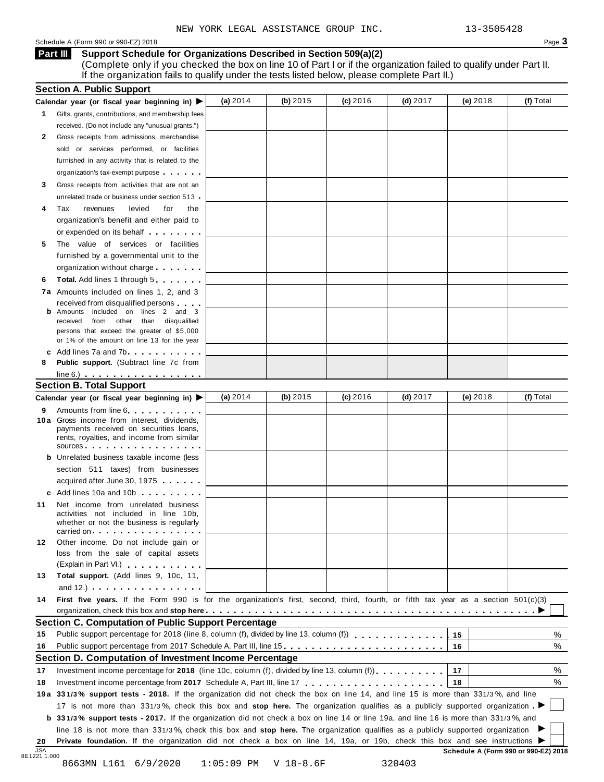#### Schedule <sup>A</sup> (Form <sup>990</sup> or 990-EZ) <sup>2018</sup> Page **3**

**Support Schedule for Organizations Described in Section 509(a)(2) Part III**

(Complete only if you checked the box on line 10 of Part I or if the organization failed to qualify under Part II. If the organization fails to qualify under the tests listed below, please complete Part II.)

|                                  | Calendar year (or fiscal year beginning in) $\blacktriangleright$                                                                                                                                                                                                     | (a) 2014   | (b) $2015$ | (c) 2016   | $(d)$ 2017 | $(e)$ 2018 | (f) Total        |
|----------------------------------|-----------------------------------------------------------------------------------------------------------------------------------------------------------------------------------------------------------------------------------------------------------------------|------------|------------|------------|------------|------------|------------------|
|                                  | 1 Gifts, grants, contributions, and membership fees                                                                                                                                                                                                                   |            |            |            |            |            |                  |
|                                  | received. (Do not include any "unusual grants.")                                                                                                                                                                                                                      |            |            |            |            |            |                  |
| 2                                | Gross receipts from admissions, merchandise                                                                                                                                                                                                                           |            |            |            |            |            |                  |
|                                  | sold or services performed, or facilities                                                                                                                                                                                                                             |            |            |            |            |            |                  |
|                                  | furnished in any activity that is related to the                                                                                                                                                                                                                      |            |            |            |            |            |                  |
|                                  | organization's tax-exempt purpose                                                                                                                                                                                                                                     |            |            |            |            |            |                  |
| 3                                | Gross receipts from activities that are not an                                                                                                                                                                                                                        |            |            |            |            |            |                  |
|                                  | unrelated trade or business under section 513 -                                                                                                                                                                                                                       |            |            |            |            |            |                  |
| 4                                | Tax<br>revenues<br>levied<br>for<br>the                                                                                                                                                                                                                               |            |            |            |            |            |                  |
|                                  | organization's benefit and either paid to                                                                                                                                                                                                                             |            |            |            |            |            |                  |
|                                  | or expended on its behalf <b>contained</b> by the set of the set of the set of the set of the set of the set of the set of the set of the set of the set of the set of the set of the set of the set of the set of the set of the s                                   |            |            |            |            |            |                  |
| 5                                | The value of services or facilities                                                                                                                                                                                                                                   |            |            |            |            |            |                  |
|                                  | furnished by a governmental unit to the                                                                                                                                                                                                                               |            |            |            |            |            |                  |
|                                  | organization without charge                                                                                                                                                                                                                                           |            |            |            |            |            |                  |
| 6                                | <b>Total.</b> Add lines 1 through 5                                                                                                                                                                                                                                   |            |            |            |            |            |                  |
|                                  | 7a Amounts included on lines 1, 2, and 3                                                                                                                                                                                                                              |            |            |            |            |            |                  |
|                                  | received from disqualified persons                                                                                                                                                                                                                                    |            |            |            |            |            |                  |
|                                  | Amounts included on lines 2 and 3<br>received from other than disqualified                                                                                                                                                                                            |            |            |            |            |            |                  |
|                                  | persons that exceed the greater of \$5,000                                                                                                                                                                                                                            |            |            |            |            |            |                  |
|                                  | or 1% of the amount on line 13 for the year                                                                                                                                                                                                                           |            |            |            |            |            |                  |
|                                  | c Add lines $7a$ and $7b$                                                                                                                                                                                                                                             |            |            |            |            |            |                  |
| 8                                | <b>Public support.</b> (Subtract line 7c from                                                                                                                                                                                                                         |            |            |            |            |            |                  |
|                                  | $line 6.)$ $\ldots$ $\ldots$ $\ldots$ $\ldots$ $\ldots$                                                                                                                                                                                                               |            |            |            |            |            |                  |
|                                  | <b>Section B. Total Support</b>                                                                                                                                                                                                                                       |            |            |            |            |            |                  |
|                                  | Calendar year (or fiscal year beginning in) ▶                                                                                                                                                                                                                         | (a) $2014$ | (b) 2015   | $(c)$ 2016 | (d) $2017$ | $(e)$ 2018 | (f) Total        |
| 9                                | Amounts from line 6.                                                                                                                                                                                                                                                  |            |            |            |            |            |                  |
|                                  | 10 a Gross income from interest, dividends,                                                                                                                                                                                                                           |            |            |            |            |            |                  |
|                                  | payments received on securities loans,                                                                                                                                                                                                                                |            |            |            |            |            |                  |
|                                  | rents, royalties, and income from similar<br>$sources$                                                                                                                                                                                                                |            |            |            |            |            |                  |
|                                  | <b>b</b> Unrelated business taxable income (less                                                                                                                                                                                                                      |            |            |            |            |            |                  |
|                                  | section 511 taxes) from businesses                                                                                                                                                                                                                                    |            |            |            |            |            |                  |
|                                  | acquired after June 30, 1975                                                                                                                                                                                                                                          |            |            |            |            |            |                  |
|                                  | c Add lines 10a and 10b                                                                                                                                                                                                                                               |            |            |            |            |            |                  |
| 11                               | Net income from unrelated business                                                                                                                                                                                                                                    |            |            |            |            |            |                  |
|                                  | activities not included in line 10b,                                                                                                                                                                                                                                  |            |            |            |            |            |                  |
|                                  | whether or not the business is regularly                                                                                                                                                                                                                              |            |            |            |            |            |                  |
|                                  | carried on entering the entering term in the care in the case of the case of the case of the case of the case o                                                                                                                                                       |            |            |            |            |            |                  |
| 12                               | Other income. Do not include gain or                                                                                                                                                                                                                                  |            |            |            |            |            |                  |
|                                  | loss from the sale of capital assets                                                                                                                                                                                                                                  |            |            |            |            |            |                  |
|                                  |                                                                                                                                                                                                                                                                       |            |            |            |            |            |                  |
|                                  | (Explain in Part VI.) <b>All Accords</b>                                                                                                                                                                                                                              |            |            |            |            |            |                  |
| 13                               | Total support. (Add lines 9, 10c, 11,                                                                                                                                                                                                                                 |            |            |            |            |            |                  |
|                                  | and $12.$ ) $\cdots$ $\cdots$ $\cdots$ $\cdots$ $\cdots$                                                                                                                                                                                                              |            |            |            |            |            |                  |
|                                  | First five years. If the Form 990 is for the organization's first, second, third, fourth, or fifth tax year as a section 501(c)(3)                                                                                                                                    |            |            |            |            |            |                  |
|                                  |                                                                                                                                                                                                                                                                       |            |            |            |            |            |                  |
|                                  | <b>Section C. Computation of Public Support Percentage</b>                                                                                                                                                                                                            |            |            |            |            |            |                  |
|                                  | Public support percentage for 2018 (line 8, column (f), divided by line 13, column (f) [1] [1] $\ldots$ [1] $\ldots$ [1] $\ldots$ [1] $\ldots$ [1] $\ldots$ [1] $\ldots$ [1] $\ldots$ [1] $\ldots$ [1] $\ldots$ [1] $\ldots$ [1] $\ldots$ [1] $\ldots$ [1] $\ldots$ [ |            |            |            |            | 15         |                  |
|                                  | Public support percentage from 2017 Schedule A, Part III, line 15                                                                                                                                                                                                     |            |            |            |            | 16         |                  |
|                                  | Section D. Computation of Investment Income Percentage                                                                                                                                                                                                                |            |            |            |            |            |                  |
|                                  | Investment income percentage for 2018 (line 10c, column (f), divided by line 13, column (f)), $\ldots$ , , , , , , ,                                                                                                                                                  |            |            |            |            | 17         |                  |
|                                  |                                                                                                                                                                                                                                                                       |            |            |            |            | 18         |                  |
|                                  | 19a 331/3% support tests - 2018. If the organization did not check the box on line 14, and line 15 is more than 331/3%, and line                                                                                                                                      |            |            |            |            |            | %<br>%<br>%<br>% |
|                                  | 17 is not more than 331/3%, check this box and stop here. The organization qualifies as a publicly supported organization                                                                                                                                             |            |            |            |            |            |                  |
|                                  | <b>b</b> 331/3% support tests - 2017. If the organization did not check a box on line 14 or line 19a, and line 16 is more than 331/3%, and                                                                                                                            |            |            |            |            |            |                  |
| 14<br>15<br>16<br>17<br>18<br>20 | line 18 is not more than 331/3%, check this box and stop here. The organization qualifies as a publicly supported organization<br>Private foundation. If the organization did not check a box on line 14, 19a, or 19b, check this box and see instructions ▶          |            |            |            |            |            |                  |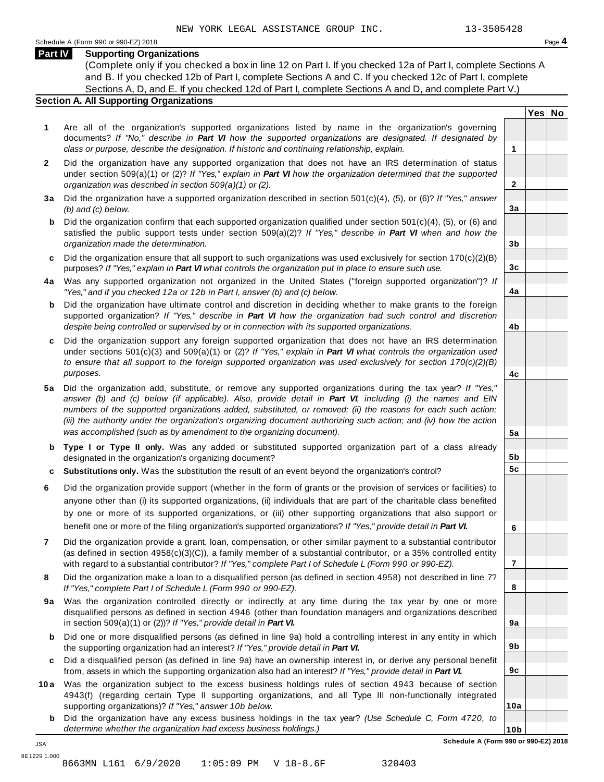**Yes No**

**2**

**3a**

**3b**

**3c**

**4a**

**4b**

**4c**

**5a**

**5b 5c**

**6**

**7**

**8**

**9a**

**9b**

**9c**

**10a**

### **Part IV Supporting Organizations**

(Complete only if you checked a box in line 12 on Part I. If you checked 12a of Part I, complete Sections A and B. If you checked 12b of Part I, complete Sections A and C. If you checked 12c of Part I, complete Sections A, D, and E. If you checked 12d of Part I, complete Sections A and D, and complete Part V.)

## **Section A. All Supporting Organizations**

- **1** Are all of the organization's supported organizations listed by name in the organization's governing documents? *If "No," describe in Part VI how the supported organizations are designated. If designated by class or purpose, describe the designation. If historic and continuing relationship, explain.* **1**
- **2** Did the organization have any supported organization that does not have an IRS determination of status under section 509(a)(1) or (2)? *If"Yes," explain in Part VI how the organization determined that the supported organization was described in section 509(a)(1) or (2).*
- **3 a** Did the organization have a supported organization described in section 501(c)(4), (5), or (6)? *If "Yes," answer (b) and (c) below.*
- **b** Did the organization confirm that each supported organization qualified under section 501(c)(4), (5), or (6) and | satisfied the public support tests under section 509(a)(2)? *If "Yes," describe in Part VI when and how the organization made the determination.*
- **c** Did the organization ensure that all support to such organizations was used exclusively for section 170(c)(2)(B) purposes? *If"Yes," explain in Part VI what controls the organization put in place to ensure such use.*
- **4 a** Was any supported organization not organized in the United States ("foreign supported organization")? *If "Yes," and if you checked 12a or 12b in Part I, answer (b) and (c) below.*
- **b** Did the organization have ultimate control and discretion in deciding whether to make grants to the foreign | supported organization? *If "Yes," describe in Part VI how the organization had such control and discretion despite being controlled or supervised by or in connection with its supported organizations.*
- **c** Did the organization support any foreign supported organization that does not have an IRS determination | under sections 501(c)(3) and 509(a)(1) or (2)? *If "Yes," explain in Part VI what controls the organization used to ensure that all support to the foreign supported organization was used exclusively for section 170(c)(2)(B) purposes.*
- **5 a** Did the organization add, substitute, or remove any supported organizations during the tax year? *If "Yes,"* answer (b) and (c) below (if applicable). Also, provide detail in Part VI, including (i) the names and EIN *numbers of the supported organizations added, substituted, or removed; (ii) the reasons for each such action;* (iii) the authority under the organization's organizing document authorizing such action; and (iv) how the action *was accomplished (such as by amendment to the organizing document).*
- **b Type I or Type II only.** Was any added or substituted supported organization part of a class already designated in the organization's organizing document?
- **c Substitutions only.** Was the substitution the result of an event beyond the organization's control?
- **6** Did the organization provide support (whether in the form of grants or the provision of services or facilities) to anyone other than (i) its supported organizations, (ii) individuals that are part of the charitable class benefited by one or more of its supported organizations, or (iii) other supporting organizations that also support or benefit one or more of the filing organization's supported organizations? *If"Yes," provide detail in Part VI.*
- **7** Did the organization provide a grant, loan, compensation, or other similar payment to a substantial contributor (as defined in section 4958(c)(3)(C)), a family member of a substantial contributor, or a 35% controlled entity with regard to a substantial contributor? *If"Yes," complete Part I of Schedule L (Form 990 or 990-EZ).*
- **8** Did the organization make a loan to a disqualified person (as defined in section 4958) not described in line 7? *If "Yes," complete Part I of Schedule L (Form 990 or 990-EZ).*
- **9a** Was the organization controlled directly or indirectly at any time during the tax year by one or more | disqualified persons as defined in section 4946 (other than foundation managers and organizations described in section 509(a)(1) or (2))? *If"Yes," provide detail in Part VI.*
- **b** Did one or more disqualified persons (as defined in line 9a) hold a controlling interest in any entity in which | the supporting organization had an interest? *If"Yes," provide detail in Part VI.*
- **c** Did a disqualified person (as defined in line 9a) have an ownership interest in, or derive any personal benefit from, assets in which the supporting organization also had an interest? *If"Yes," provide detail in Part VI.*
- **10a** Was the organization subject to the excess business holdings rules of section 4943 because of section | 4943(f) (regarding certain Type II supporting organizations, and all Type III non-functionally integrated supporting organizations)? *If"Yes," answer 10b below.*
	- **b** Did the organization have any excess business holdings in the tax year? *(Use Schedule C, Form 4720, to determine whether the organization had excess business holdings.)*

**10b Schedule A (Form 990 or 990-EZ) 2018**

JSA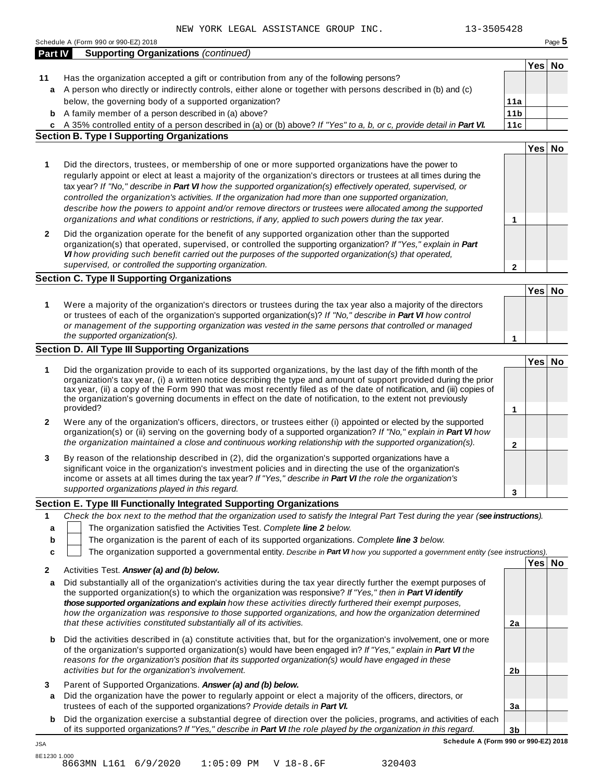|                | Schedule A (Form 990 or 990-EZ) 2018                                                                                                                                                                                                                                                                                                                          |                        |        | Page 5 |
|----------------|---------------------------------------------------------------------------------------------------------------------------------------------------------------------------------------------------------------------------------------------------------------------------------------------------------------------------------------------------------------|------------------------|--------|--------|
| <b>Part IV</b> | <b>Supporting Organizations (continued)</b>                                                                                                                                                                                                                                                                                                                   |                        |        |        |
|                |                                                                                                                                                                                                                                                                                                                                                               |                        | Yes No |        |
| 11             | Has the organization accepted a gift or contribution from any of the following persons?                                                                                                                                                                                                                                                                       |                        |        |        |
| a              | A person who directly or indirectly controls, either alone or together with persons described in (b) and (c)<br>below, the governing body of a supported organization?                                                                                                                                                                                        |                        |        |        |
|                |                                                                                                                                                                                                                                                                                                                                                               | 11a<br>11 <sub>b</sub> |        |        |
| b              | A family member of a person described in (a) above?                                                                                                                                                                                                                                                                                                           | 11c                    |        |        |
|                | c A 35% controlled entity of a person described in (a) or (b) above? If "Yes" to a, b, or c, provide detail in Part VI.<br><b>Section B. Type I Supporting Organizations</b>                                                                                                                                                                                  |                        |        |        |
|                |                                                                                                                                                                                                                                                                                                                                                               |                        | Yes No |        |
| 1              | Did the directors, trustees, or membership of one or more supported organizations have the power to                                                                                                                                                                                                                                                           |                        |        |        |
|                | regularly appoint or elect at least a majority of the organization's directors or trustees at all times during the<br>tax year? If "No," describe in Part VI how the supported organization(s) effectively operated, supervised, or<br>controlled the organization's activities. If the organization had more than one supported organization,                |                        |        |        |
|                | describe how the powers to appoint and/or remove directors or trustees were allocated among the supported                                                                                                                                                                                                                                                     |                        |        |        |
|                | organizations and what conditions or restrictions, if any, applied to such powers during the tax year.                                                                                                                                                                                                                                                        | 1                      |        |        |
| $\mathbf{2}$   | Did the organization operate for the benefit of any supported organization other than the supported<br>organization(s) that operated, supervised, or controlled the supporting organization? If "Yes," explain in Part                                                                                                                                        |                        |        |        |
|                | VI how providing such benefit carried out the purposes of the supported organization(s) that operated,                                                                                                                                                                                                                                                        |                        |        |        |
|                | supervised, or controlled the supporting organization.                                                                                                                                                                                                                                                                                                        | $\mathbf{2}$           |        |        |
|                | <b>Section C. Type II Supporting Organizations</b>                                                                                                                                                                                                                                                                                                            |                        |        |        |
|                |                                                                                                                                                                                                                                                                                                                                                               |                        | Yes No |        |
| 1              | Were a majority of the organization's directors or trustees during the tax year also a majority of the directors<br>or trustees of each of the organization's supported organization(s)? If "No," describe in Part VI how control<br>or management of the supporting organization was vested in the same persons that controlled or managed                   |                        |        |        |
|                | the supported organization(s).                                                                                                                                                                                                                                                                                                                                |                        |        |        |
|                | <b>Section D. All Type III Supporting Organizations</b>                                                                                                                                                                                                                                                                                                       | 1                      |        |        |
|                |                                                                                                                                                                                                                                                                                                                                                               |                        | Yes No |        |
| 1              | Did the organization provide to each of its supported organizations, by the last day of the fifth month of the<br>organization's tax year, (i) a written notice describing the type and amount of support provided during the prior<br>tax year, (ii) a copy of the Form 990 that was most recently filed as of the date of notification, and (iii) copies of |                        |        |        |
|                | the organization's governing documents in effect on the date of notification, to the extent not previously<br>provided?                                                                                                                                                                                                                                       | 1                      |        |        |
| 2              | Were any of the organization's officers, directors, or trustees either (i) appointed or elected by the supported<br>organization(s) or (ii) serving on the governing body of a supported organization? If "No," explain in Part VI how<br>the organization maintained a close and continuous working relationship with the supported organization(s).         | 2                      |        |        |
|                | By reason of the relationship described in (2), did the organization's supported organizations have a                                                                                                                                                                                                                                                         |                        |        |        |
| 3              | significant voice in the organization's investment policies and in directing the use of the organization's<br>income or assets at all times during the tax year? If "Yes," describe in Part VI the role the organization's                                                                                                                                    |                        |        |        |
|                | supported organizations played in this regard.                                                                                                                                                                                                                                                                                                                | 3                      |        |        |
|                | Section E. Type III Functionally Integrated Supporting Organizations                                                                                                                                                                                                                                                                                          |                        |        |        |
| 1              | Check the box next to the method that the organization used to satisfy the Integral Part Test during the year (see instructions).                                                                                                                                                                                                                             |                        |        |        |
| a              | The organization satisfied the Activities Test. Complete line 2 below.                                                                                                                                                                                                                                                                                        |                        |        |        |
| b              | The organization is the parent of each of its supported organizations. Complete line 3 below.                                                                                                                                                                                                                                                                 |                        |        |        |
| c              | The organization supported a governmental entity. Describe in Part VI how you supported a government entity (see instructions).                                                                                                                                                                                                                               |                        |        |        |
| 2              | Activities Test. Answer (a) and (b) below.                                                                                                                                                                                                                                                                                                                    |                        | Yes No |        |
| а              | Did substantially all of the organization's activities during the tax year directly further the exempt purposes of<br>the supported organization(s) to which the organization was responsive? If "Yes," then in Part VI identify                                                                                                                              |                        |        |        |
|                |                                                                                                                                                                                                                                                                                                                                                               |                        |        |        |
|                | those supported organizations and explain how these activities directly furthered their exempt purposes,                                                                                                                                                                                                                                                      |                        |        |        |
|                | how the organization was responsive to those supported organizations, and how the organization determined<br>that these activities constituted substantially all of its activities.                                                                                                                                                                           | 2a                     |        |        |
| b              | Did the activities described in (a) constitute activities that, but for the organization's involvement, one or more<br>of the organization's supported organization(s) would have been engaged in? If "Yes," explain in Part VI the<br>reasons for the organization's position that its supported organization(s) would have engaged in these                 |                        |        |        |
|                | activities but for the organization's involvement.                                                                                                                                                                                                                                                                                                            | 2 <sub>b</sub>         |        |        |
| 3<br>а         | Parent of Supported Organizations. Answer (a) and (b) below.<br>Did the organization have the power to regularly appoint or elect a majority of the officers, directors, or                                                                                                                                                                                   |                        |        |        |
| b              | trustees of each of the supported organizations? Provide details in Part VI.<br>Did the organization exercise a substantial degree of direction over the policies, programs, and activities of each<br>of its supported organizations? If "Yes," describe in Part VI the role played by the organization in this regard.                                      | 3a<br>3 <sub>b</sub>   |        |        |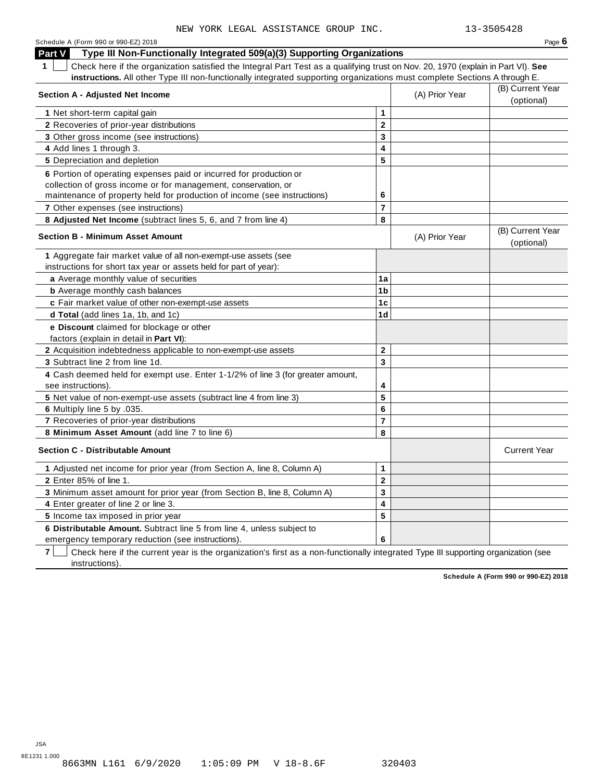| Schedule A (Form 990 or 990-EZ) 2018                                                                                                  |                 |                | Page $6$                       |
|---------------------------------------------------------------------------------------------------------------------------------------|-----------------|----------------|--------------------------------|
| Type III Non-Functionally Integrated 509(a)(3) Supporting Organizations<br>Part V                                                     |                 |                |                                |
| 1<br>Check here if the organization satisfied the Integral Part Test as a qualifying trust on Nov. 20, 1970 (explain in Part VI). See |                 |                |                                |
| instructions. All other Type III non-functionally integrated supporting organizations must complete Sections A through E.             |                 |                |                                |
|                                                                                                                                       |                 |                | (B) Current Year               |
| <b>Section A - Adjusted Net Income</b>                                                                                                |                 | (A) Prior Year | (optional)                     |
| 1 Net short-term capital gain                                                                                                         | 1               |                |                                |
| 2 Recoveries of prior-year distributions                                                                                              | $\mathbf{2}$    |                |                                |
| 3 Other gross income (see instructions)                                                                                               | 3               |                |                                |
| 4 Add lines 1 through 3.                                                                                                              | 4               |                |                                |
| 5 Depreciation and depletion                                                                                                          | 5               |                |                                |
| 6 Portion of operating expenses paid or incurred for production or                                                                    |                 |                |                                |
| collection of gross income or for management, conservation, or                                                                        |                 |                |                                |
| maintenance of property held for production of income (see instructions)                                                              | 6               |                |                                |
| 7 Other expenses (see instructions)                                                                                                   | $\overline{7}$  |                |                                |
| 8 Adjusted Net Income (subtract lines 5, 6, and 7 from line 4)                                                                        | 8               |                |                                |
| <b>Section B - Minimum Asset Amount</b>                                                                                               |                 | (A) Prior Year | (B) Current Year<br>(optional) |
| 1 Aggregate fair market value of all non-exempt-use assets (see                                                                       |                 |                |                                |
| instructions for short tax year or assets held for part of year):                                                                     |                 |                |                                |
| a Average monthly value of securities                                                                                                 | 1a              |                |                                |
| <b>b</b> Average monthly cash balances                                                                                                | 1 <sub>b</sub>  |                |                                |
| c Fair market value of other non-exempt-use assets                                                                                    | 1 <sub>c</sub>  |                |                                |
| d Total (add lines 1a, 1b, and 1c)                                                                                                    | 1 <sub>d</sub>  |                |                                |
| e Discount claimed for blockage or other                                                                                              |                 |                |                                |
| factors (explain in detail in Part VI):                                                                                               |                 |                |                                |
| 2 Acquisition indebtedness applicable to non-exempt-use assets                                                                        | $\overline{2}$  |                |                                |
| 3 Subtract line 2 from line 1d.                                                                                                       | 3               |                |                                |
| 4 Cash deemed held for exempt use. Enter 1-1/2% of line 3 (for greater amount,                                                        |                 |                |                                |
| see instructions).                                                                                                                    | 4               |                |                                |
| 5 Net value of non-exempt-use assets (subtract line 4 from line 3)                                                                    | 5               |                |                                |
| 6 Multiply line 5 by .035.                                                                                                            | $6\phantom{1}6$ |                |                                |
| 7 Recoveries of prior-year distributions                                                                                              | $\overline{7}$  |                |                                |
| 8 Minimum Asset Amount (add line 7 to line 6)                                                                                         | 8               |                |                                |
| <b>Section C - Distributable Amount</b>                                                                                               |                 |                | <b>Current Year</b>            |
| 1 Adjusted net income for prior year (from Section A, line 8, Column A)                                                               | $\mathbf{1}$    |                |                                |
| 2 Enter 85% of line 1.                                                                                                                | $\mathbf{2}$    |                |                                |
| 3 Minimum asset amount for prior year (from Section B, line 8, Column A)                                                              | 3               |                |                                |
| 4 Enter greater of line 2 or line 3.                                                                                                  | 4               |                |                                |
| 5 Income tax imposed in prior year                                                                                                    | 5               |                |                                |
| 6 Distributable Amount. Subtract line 5 from line 4, unless subject to                                                                |                 |                |                                |
| emergency temporary reduction (see instructions).                                                                                     | 6               |                |                                |

**7** | Check here if the current year is the organization's first as a non-functionally integrated Type III supporting organization (see instructions).

**Schedule A (Form 990 or 990-EZ) 2018**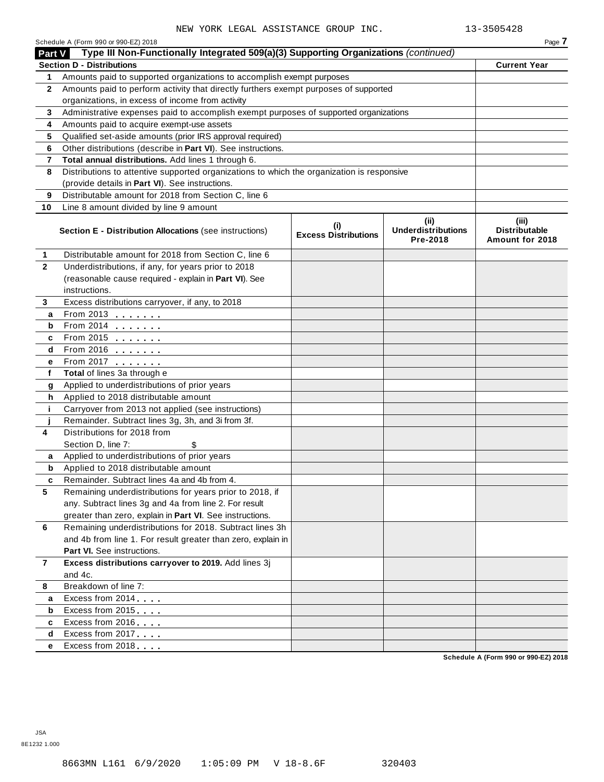| Part V       | Schedule A (Form 990 or 990-EZ) 2018<br>Type III Non-Functionally Integrated 509(a)(3) Supporting Organizations (continued) |                                    |                                                | Page 7                                           |
|--------------|-----------------------------------------------------------------------------------------------------------------------------|------------------------------------|------------------------------------------------|--------------------------------------------------|
|              | <b>Section D - Distributions</b>                                                                                            |                                    |                                                | <b>Current Year</b>                              |
| 1.           | Amounts paid to supported organizations to accomplish exempt purposes                                                       |                                    |                                                |                                                  |
| $\mathbf{2}$ | Amounts paid to perform activity that directly furthers exempt purposes of supported                                        |                                    |                                                |                                                  |
|              | organizations, in excess of income from activity                                                                            |                                    |                                                |                                                  |
| 3            | Administrative expenses paid to accomplish exempt purposes of supported organizations                                       |                                    |                                                |                                                  |
| 4            | Amounts paid to acquire exempt-use assets                                                                                   |                                    |                                                |                                                  |
| 5            | Qualified set-aside amounts (prior IRS approval required)                                                                   |                                    |                                                |                                                  |
| 6            | Other distributions (describe in Part VI). See instructions.                                                                |                                    |                                                |                                                  |
| 7            | Total annual distributions. Add lines 1 through 6.                                                                          |                                    |                                                |                                                  |
| 8            | Distributions to attentive supported organizations to which the organization is responsive                                  |                                    |                                                |                                                  |
|              | (provide details in Part VI). See instructions.                                                                             |                                    |                                                |                                                  |
| 9            | Distributable amount for 2018 from Section C, line 6                                                                        |                                    |                                                |                                                  |
| 10           | Line 8 amount divided by line 9 amount                                                                                      |                                    |                                                |                                                  |
|              | <b>Section E - Distribution Allocations (see instructions)</b>                                                              | (i)<br><b>Excess Distributions</b> | (iii)<br><b>Underdistributions</b><br>Pre-2018 | (iii)<br><b>Distributable</b><br>Amount for 2018 |
| 1            | Distributable amount for 2018 from Section C, line 6                                                                        |                                    |                                                |                                                  |
| $\mathbf{2}$ | Underdistributions, if any, for years prior to 2018                                                                         |                                    |                                                |                                                  |
|              | (reasonable cause required - explain in Part VI). See                                                                       |                                    |                                                |                                                  |
|              | instructions.                                                                                                               |                                    |                                                |                                                  |
| 3            | Excess distributions carryover, if any, to 2018                                                                             |                                    |                                                |                                                  |
| а            | From 2013                                                                                                                   |                                    |                                                |                                                  |
| b            | From 2014 <b></b>                                                                                                           |                                    |                                                |                                                  |
| c            | From 2015 <b></b>                                                                                                           |                                    |                                                |                                                  |
| d            | From 2016 <b></b>                                                                                                           |                                    |                                                |                                                  |
| е            | From 2017                                                                                                                   |                                    |                                                |                                                  |
| f            | Total of lines 3a through e                                                                                                 |                                    |                                                |                                                  |
| g            | Applied to underdistributions of prior years                                                                                |                                    |                                                |                                                  |
| h            | Applied to 2018 distributable amount                                                                                        |                                    |                                                |                                                  |
| j.           | Carryover from 2013 not applied (see instructions)                                                                          |                                    |                                                |                                                  |
| Ĵ            | Remainder. Subtract lines 3g, 3h, and 3i from 3f.                                                                           |                                    |                                                |                                                  |
| 4            | Distributions for 2018 from                                                                                                 |                                    |                                                |                                                  |
|              | Section D, line 7:<br>\$                                                                                                    |                                    |                                                |                                                  |
| а            | Applied to underdistributions of prior years                                                                                |                                    |                                                |                                                  |
| b            | Applied to 2018 distributable amount                                                                                        |                                    |                                                |                                                  |
| c            | Remainder. Subtract lines 4a and 4b from 4.                                                                                 |                                    |                                                |                                                  |
| 5            | Remaining underdistributions for years prior to 2018, if                                                                    |                                    |                                                |                                                  |
|              | any. Subtract lines 3g and 4a from line 2. For result                                                                       |                                    |                                                |                                                  |
|              | greater than zero, explain in Part VI. See instructions.                                                                    |                                    |                                                |                                                  |
| 6            | Remaining underdistributions for 2018. Subtract lines 3h                                                                    |                                    |                                                |                                                  |
|              | and 4b from line 1. For result greater than zero, explain in                                                                |                                    |                                                |                                                  |
|              | <b>Part VI.</b> See instructions.                                                                                           |                                    |                                                |                                                  |
| 7            | Excess distributions carryover to 2019. Add lines 3j                                                                        |                                    |                                                |                                                  |
|              | and 4c.                                                                                                                     |                                    |                                                |                                                  |
| 8            | Breakdown of line 7:                                                                                                        |                                    |                                                |                                                  |
| а            | Excess from 2014                                                                                                            |                                    |                                                |                                                  |
| b            | Excess from 2015                                                                                                            |                                    |                                                |                                                  |
| c            | Excess from 2016                                                                                                            |                                    |                                                |                                                  |
| d            | Excess from 2017                                                                                                            |                                    |                                                |                                                  |
| е            | Excess from 2018                                                                                                            |                                    |                                                | Schodule A (Form 990 or 990-F7) 2018             |

**Schedule A (Form 990 or 990-EZ) 2018**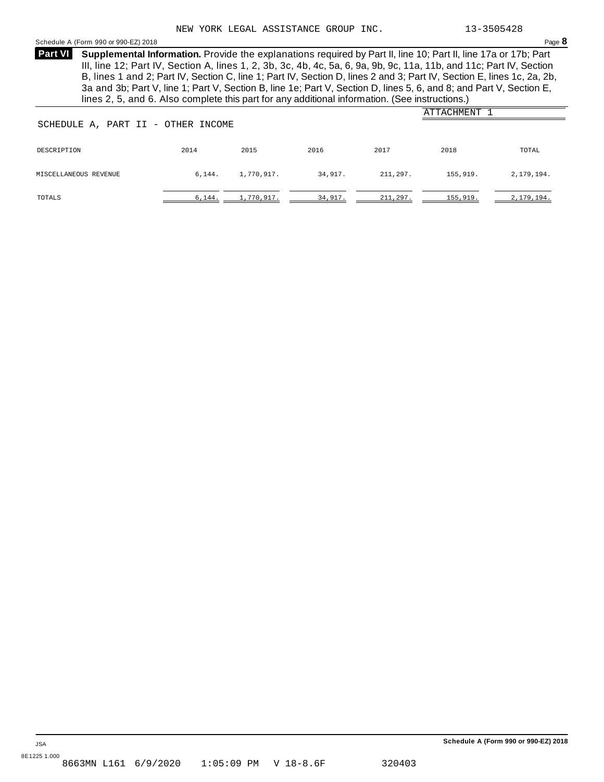#### <span id="page-21-0"></span>Schedule <sup>A</sup> (Form <sup>990</sup> or 990-EZ) <sup>2018</sup> Page **8**

**Supplemental Information.** Provide the explanations required by Part II, line 10; Part II, line 17a or 17b; Part **Part VI** III, line 12; Part IV, Section A, lines 1, 2, 3b, 3c, 4b, 4c, 5a, 6, 9a, 9b, 9c, 11a, 11b, and 11c; Part IV, Section B, lines 1 and 2; Part IV, Section C, line 1; Part IV, Section D, lines 2 and 3; Part IV, Section E, lines 1c, 2a, 2b, 3a and 3b; Part V, line 1; Part V, Section B, line 1e; Part V, Section D, lines 5, 6, and 8; and Part V, Section E, lines 2, 5, and 6. Also complete this part for any additional information. (See instructions.)

| SCHEDULE A, PART II - OTHER INCOME | ATTACHMENT |            |         |           |          |            |
|------------------------------------|------------|------------|---------|-----------|----------|------------|
| DESCRIPTION                        | 2014       | 2015       | 2016    | 2017      | 2018     | TOTAL      |
| MISCELLANEOUS REVENUE              | 6,144.     | 1,770,917. | 34,917. | 211,297.  | 155,919. | 2,179,194. |
| TOTALS                             | 6,144.     | 1,770,917. | 34,917. | 211, 297. | 155,919. | 2,179,194. |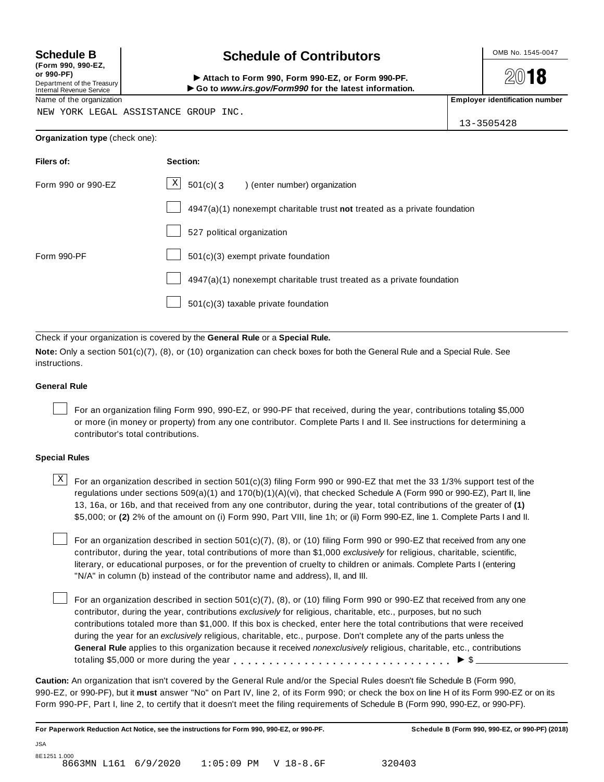**(Form 990, 990-EZ, or 990-PF)** Department of the Treasury<br>Internal Revenue Service

# **Schedule B chedule of Contributors**

**2018** 

(Porm 990, Form 990, Form 990-EZ, or Form 990-PF.<br>Department of the Treasury → Attach to Form 990, Form 990-EZ, or Form 990-PF.<br>Internal Revenue Service → → Go to www.irs.gov/Form990 for the latest information.<br>Name of th

NEW YORK LEGAL ASSISTANCE GROUP INC.

13-3505428

| Filers of:         | Section:                                                                  |
|--------------------|---------------------------------------------------------------------------|
| Form 990 or 990-EZ | $X$ 501(c)(3) (enter number) organization                                 |
|                    | 4947(a)(1) nonexempt charitable trust not treated as a private foundation |
|                    | 527 political organization                                                |
| Form 990-PF        | 501(c)(3) exempt private foundation                                       |
|                    | 4947(a)(1) nonexempt charitable trust treated as a private foundation     |
|                    | 501(c)(3) taxable private foundation                                      |

Check if your organization is covered by the **General Rule** or a **Special Rule.**

**Note:** Only a section 501(c)(7), (8), or (10) organization can check boxes for both the General Rule and a Special Rule. See instructions.

#### **General Rule**

For an organization filing Form 990, 990-EZ, or 990-PF that received, during the year, contributions totaling \$5,000 or more (in money or property) from any one contributor. Complete Parts I and II. See instructions for determining a contributor's total contributions.

#### **Special Rules**

 $\text{X}$  For an organization described in section 501(c)(3) filing Form 990 or 990-EZ that met the 33 1/3% support test of the regulations under sections 509(a)(1) and 170(b)(1)(A)(vi), that checked Schedule A (Form 990 or 990-EZ), Part II, line 13, 16a, or 16b, and that received from any one contributor, during the year, total contributions of the greater of **(1)** \$5,000; or **(2)** 2% of the amount on (i) Form 990, Part VIII, line 1h; or (ii) Form 990-EZ, line 1. Complete Parts I and II.

For an organization described in section 501(c)(7), (8), or (10) filing Form 990 or 990-EZ that received from any one contributor, during the year, total contributions of more than \$1,000 *exclusively* for religious, charitable, scientific, literary, or educational purposes, or for the prevention of cruelty to children or animals. Complete Parts I (entering "N/A" in column (b) instead of the contributor name and address), II, and III.

For an organization described in section 501(c)(7), (8), or (10) filing Form 990 or 990-EZ that received from any one contributor, during the year, contributions *exclusively* for religious, charitable, etc., purposes, but no such contributions totaled more than \$1,000. If this box is checked, enter here the total contributions that were received during the year for an *exclusively* religious, charitable, etc., purpose. Don't complete any of the parts unless the **General Rule** applies to this organization because it received *nonexclusively* religious, charitable, etc., contributions totaling \$5,000 or more during the year  $\ldots \ldots \ldots \ldots \ldots \ldots \ldots \ldots \ldots \vdots$ 

**Caution:** An organization that isn't covered by the General Rule and/or the Special Rules doesn't file Schedule B (Form 990, 990-EZ, or 990-PF), but it **must** answer "No" on Part IV, line 2, of its Form 990; or check the box on line H of its Form 990-EZ or on its Form 990-PF, Part I, line 2, to certify that it doesn't meet the filing requirements of Schedule B (Form 990, 990-EZ, or 990-PF).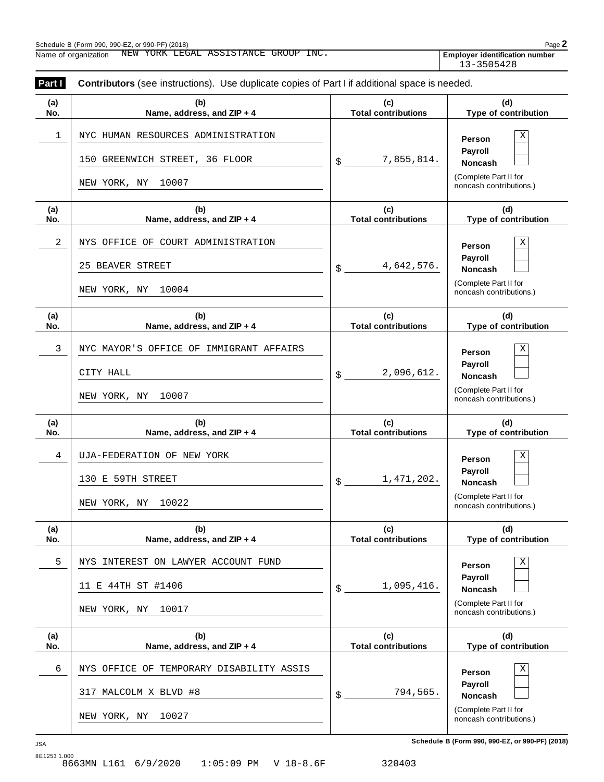| Part I     |                                                                                               | <b>Contributors</b> (see instructions). Use duplicate copies of Part I if additional space is needed. |                                                                                              |  |  |  |
|------------|-----------------------------------------------------------------------------------------------|-------------------------------------------------------------------------------------------------------|----------------------------------------------------------------------------------------------|--|--|--|
| (a)<br>No. | (b)<br>Name, address, and ZIP + 4                                                             | (c)<br><b>Total contributions</b>                                                                     | (d)<br>Type of contribution                                                                  |  |  |  |
| 1          | NYC HUMAN RESOURCES ADMINISTRATION<br>150 GREENWICH STREET, 36 FLOOR<br>NEW YORK, NY<br>10007 | 7,855,814.<br>\$                                                                                      | X<br>Person<br>Payroll<br><b>Noncash</b><br>(Complete Part II for<br>noncash contributions.) |  |  |  |
| (a)<br>No. | (b)<br>Name, address, and ZIP + 4                                                             | (c)<br><b>Total contributions</b>                                                                     | (d)<br>Type of contribution                                                                  |  |  |  |
| 2          | NYS OFFICE OF COURT ADMINISTRATION<br>25 BEAVER STREET<br>10004<br>NEW YORK, NY               | 4,642,576.<br>\$                                                                                      | X<br>Person<br>Payroll<br><b>Noncash</b><br>(Complete Part II for<br>noncash contributions.) |  |  |  |
| (a)<br>No. | (b)<br>Name, address, and ZIP + 4                                                             | (c)<br><b>Total contributions</b>                                                                     | (d)<br>Type of contribution                                                                  |  |  |  |
| 3          | NYC MAYOR'S OFFICE OF IMMIGRANT AFFAIRS<br>CITY HALL<br>10007<br>NEW YORK, NY                 | 2,096,612.<br>\$                                                                                      | Χ<br>Person<br>Payroll<br><b>Noncash</b><br>(Complete Part II for<br>noncash contributions.) |  |  |  |
| (a)<br>No. | (b)<br>Name, address, and ZIP + 4                                                             | (c)<br><b>Total contributions</b>                                                                     | (d)<br>Type of contribution                                                                  |  |  |  |
| 4          | UJA-FEDERATION OF NEW YORK<br>130 E 59TH STREET<br>NEW YORK, NY<br>10022                      | 1,471,202.<br>\$                                                                                      | Χ<br>Person<br>Payroll<br><b>Noncash</b><br>(Complete Part II for<br>noncash contributions.) |  |  |  |
| (a)<br>No. | (b)<br>Name, address, and ZIP + 4                                                             | (c)<br><b>Total contributions</b>                                                                     | (d)<br>Type of contribution                                                                  |  |  |  |
| 5          | NYS INTEREST ON LAWYER ACCOUNT FUND<br>11 E 44TH ST #1406<br>10017<br>NEW YORK, NY            | 1,095,416.<br>\$                                                                                      | Χ<br>Person<br>Payroll<br><b>Noncash</b><br>(Complete Part II for<br>noncash contributions.) |  |  |  |
| (a)<br>No. | (b)<br>Name, address, and ZIP + 4                                                             | (c)<br><b>Total contributions</b>                                                                     | (d)<br>Type of contribution                                                                  |  |  |  |
| 6          | NYS OFFICE OF TEMPORARY DISABILITY ASSIS<br>317 MALCOLM X BLVD #8<br>NEW YORK, NY<br>10027    | 794,565.<br>\$                                                                                        | Χ<br>Person<br>Payroll<br><b>Noncash</b><br>(Complete Part II for<br>noncash contributions.) |  |  |  |

**Schedule B (Form 990, 990-EZ, or 990-PF) (2018)** JSA 8E1253 1.000<br>8663MN L161 6/9/2020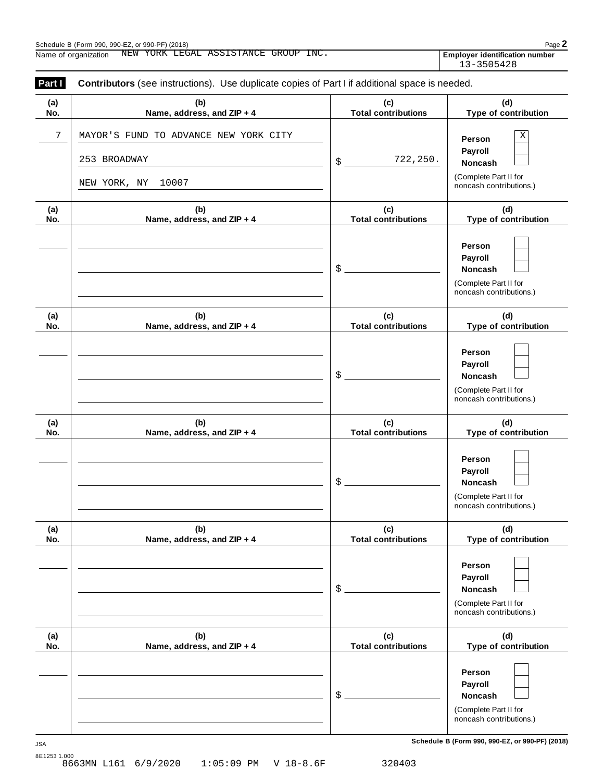**(a) No.**

**(a) No.**

**(a) No.**

**(a) No.**

**(a) No.**

**(a) No.**

Schedule <sup>B</sup> (Form 990, 990-EZ, or 990-PF) (2018) Page **2** Name of organization NEW YORK LEGAL ASSISTANCE GROUP INC. **The substitution investigation identification** number **Part <b>I** Contributors (see instructions). Use duplicate copies of Part I if additional space is needed. **(b) Name, address, and ZIP + 4 (c) Total contributions (d) Type of contribution Person Payroll** \$ **Noncash** (Complete Part II for noncash contributions.) **(b) Name, address, and ZIP + 4 (c) Total contributions (d) Type of contribution Person Payroll** \$ **Noncash** (Complete Part II for noncash contributions.) **(b) Name, address, and ZIP + 4 (c) Total contributions (d) Type of contribution Person Payroll** \$ **Noncash** (Complete Part II for noncash contributions.) **(b) Name, address, and ZIP + 4 (c) Total contributions (d) Type of contribution Person Payroll** \$ **Noncash** (Complete Part II for noncash contributions.) **(b) Name, address, and ZIP + 4 (c) Total contributions (d) Type of contribution Person Payroll** \$ **Noncash** (Complete Part II for noncash contributions.) **(b) Name, address, and ZIP + 4 (c) Total contributions (d) Type of contribution Person Payroll** \$ **Noncash** (Complete Part II for noncash contributions.) 13-3505428 7 | MAYOR'S FUND TO ADVANCE NEW YORK CITY | **NAYOR'S FUND TO ADVANCE NEW YORK CITY** 253 BROADWAY NEW YORK, NY 10007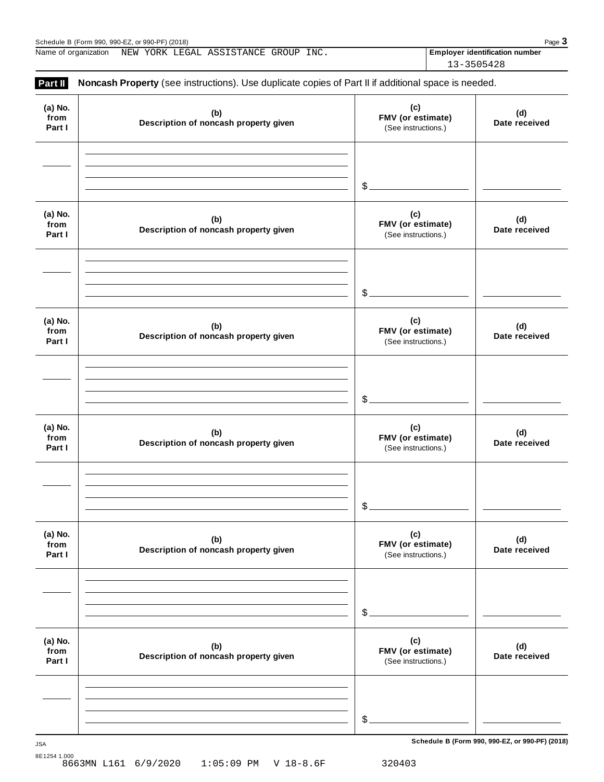Schedule B (Form 990, 990-EZ, or 990-PF) (2018)<br>Name of organization NEW YORK LEGAL ASSISTANCE GROUP INC. **Final proper identification number Page 3** Name of organization MEW YORK LEGAL ASSISTANCE GROUP INC. **The subset of the system of the system identification number** 

13-3505428

| Part II                   | Noncash Property (see instructions). Use duplicate copies of Part II if additional space is needed. |                                                 |                      |
|---------------------------|-----------------------------------------------------------------------------------------------------|-------------------------------------------------|----------------------|
| (a) No.<br>from<br>Part I | (b)<br>Description of noncash property given                                                        | (c)<br>FMV (or estimate)<br>(See instructions.) | (d)<br>Date received |
|                           |                                                                                                     | $$$ .                                           |                      |
| (a) No.<br>from<br>Part I | (b)<br>Description of noncash property given                                                        | (c)<br>FMV (or estimate)<br>(See instructions.) | (d)<br>Date received |
|                           |                                                                                                     | $\$\$ .                                         |                      |
| (a) No.<br>from<br>Part I | (b)<br>Description of noncash property given                                                        | (c)<br>FMV (or estimate)<br>(See instructions.) | (d)<br>Date received |
|                           |                                                                                                     | \$                                              |                      |
| (a) No.<br>from<br>Part I | (b)<br>Description of noncash property given                                                        | (c)<br>FMV (or estimate)<br>(See instructions.) | (d)<br>Date received |
|                           |                                                                                                     | \$                                              |                      |
| (a) No.<br>from<br>Part I | (b)<br>Description of noncash property given                                                        | (c)<br>FMV (or estimate)<br>(See instructions.) | (d)<br>Date received |
|                           |                                                                                                     | \$                                              |                      |
| (a) No.<br>from<br>Part I | (b)<br>Description of noncash property given                                                        | (c)<br>FMV (or estimate)<br>(See instructions.) | (d)<br>Date received |
|                           |                                                                                                     | $\frac{2}{2}$                                   |                      |
|                           |                                                                                                     |                                                 |                      |

**Schedule B (Form 990, 990-EZ, or 990-PF) (2018)** JSA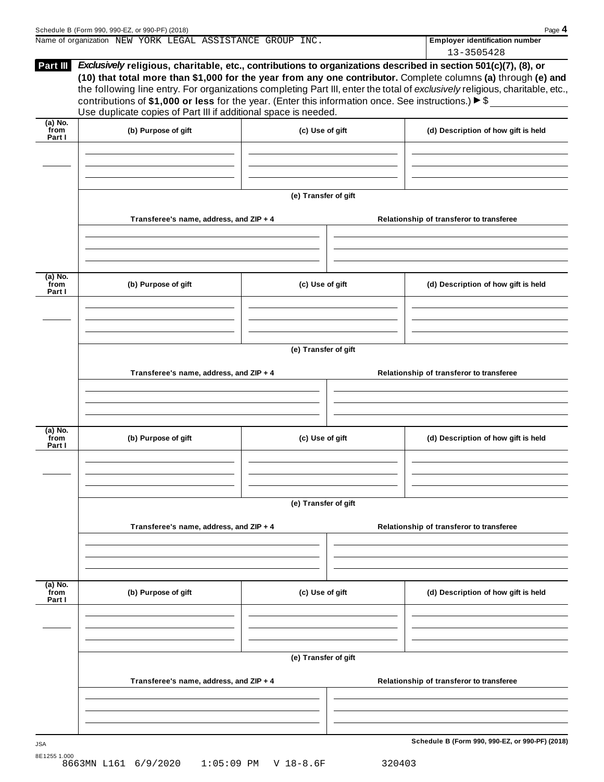|                             | Name of organization NEW YORK LEGAL ASSISTANCE GROUP INC.                                                                                                                                                                                                                                                          |                      |  | <b>Employer identification number</b><br>13-3505428                                                                                                                                                                                           |  |
|-----------------------------|--------------------------------------------------------------------------------------------------------------------------------------------------------------------------------------------------------------------------------------------------------------------------------------------------------------------|----------------------|--|-----------------------------------------------------------------------------------------------------------------------------------------------------------------------------------------------------------------------------------------------|--|
|                             | Part III Exclusively religious, charitable, etc., contributions to organizations described in section 501(c)(7), (8), or<br>contributions of \$1,000 or less for the year. (Enter this information once. See instructions.) $\triangleright$ \$<br>Use duplicate copies of Part III if additional space is needed. |                      |  | (10) that total more than \$1,000 for the year from any one contributor. Complete columns (a) through (e) and<br>the following line entry. For organizations completing Part III, enter the total of exclusively religious, charitable, etc., |  |
| $(a)$ No.<br>from<br>Part I | (b) Purpose of gift                                                                                                                                                                                                                                                                                                | (c) Use of gift      |  | (d) Description of how gift is held                                                                                                                                                                                                           |  |
|                             |                                                                                                                                                                                                                                                                                                                    | (e) Transfer of gift |  |                                                                                                                                                                                                                                               |  |
|                             | Transferee's name, address, and ZIP + 4                                                                                                                                                                                                                                                                            |                      |  | Relationship of transferor to transferee                                                                                                                                                                                                      |  |
| $(a)$ No.<br>from<br>Part I | (b) Purpose of gift                                                                                                                                                                                                                                                                                                | (c) Use of gift      |  | (d) Description of how gift is held                                                                                                                                                                                                           |  |
|                             | Transferee's name, address, and ZIP + 4                                                                                                                                                                                                                                                                            | (e) Transfer of gift |  | Relationship of transferor to transferee                                                                                                                                                                                                      |  |
| $(a)$ No.<br>from<br>Part I | (b) Purpose of gift                                                                                                                                                                                                                                                                                                | (c) Use of gift      |  | (d) Description of how gift is held                                                                                                                                                                                                           |  |
|                             |                                                                                                                                                                                                                                                                                                                    | (e) Transfer of gift |  |                                                                                                                                                                                                                                               |  |
|                             | Transferee's name, address, and ZIP + 4                                                                                                                                                                                                                                                                            |                      |  | Relationship of transferor to transferee                                                                                                                                                                                                      |  |
| $(a)$ No.<br>from<br>Part I | (b) Purpose of gift                                                                                                                                                                                                                                                                                                | (c) Use of gift      |  | (d) Description of how gift is held                                                                                                                                                                                                           |  |
|                             | (e) Transfer of gift                                                                                                                                                                                                                                                                                               |                      |  |                                                                                                                                                                                                                                               |  |
|                             | Transferee's name, address, and ZIP + 4                                                                                                                                                                                                                                                                            |                      |  | Relationship of transferor to transferee                                                                                                                                                                                                      |  |
|                             |                                                                                                                                                                                                                                                                                                                    |                      |  | Schedule B (Form 990, 990-EZ, or 990-PF) (2018)                                                                                                                                                                                               |  |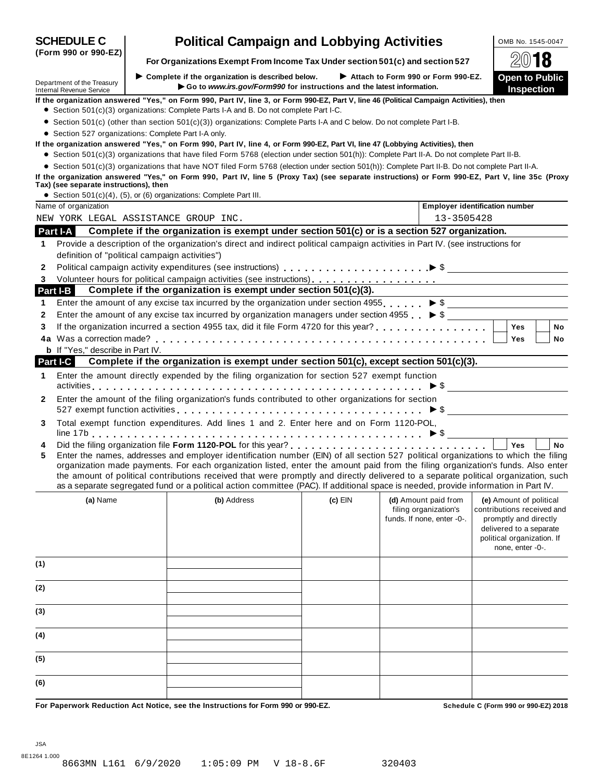|              | (Form 990 or 990-EZ)                                                                                                                                                                                                                                                                                                                                                                                                                                                                                                                                                            |  | For Organizations Exempt From Income Tax Under section 501(c) and section 527                                                                                                                                                                                                 |         |                                                                             |                                                                                                                                                             |  |
|--------------|---------------------------------------------------------------------------------------------------------------------------------------------------------------------------------------------------------------------------------------------------------------------------------------------------------------------------------------------------------------------------------------------------------------------------------------------------------------------------------------------------------------------------------------------------------------------------------|--|-------------------------------------------------------------------------------------------------------------------------------------------------------------------------------------------------------------------------------------------------------------------------------|---------|-----------------------------------------------------------------------------|-------------------------------------------------------------------------------------------------------------------------------------------------------------|--|
|              | Department of the Treasury<br>Internal Revenue Service                                                                                                                                                                                                                                                                                                                                                                                                                                                                                                                          |  | $\triangleright$ Complete if the organization is described below.<br>Go to www.irs.gov/Form990 for instructions and the latest information.                                                                                                                                   |         | Attach to Form 990 or Form 990-EZ.                                          | <b>Open to Public</b><br>Inspection                                                                                                                         |  |
|              | If the organization answered "Yes," on Form 990, Part IV, line 3, or Form 990-EZ, Part V, line 46 (Political Campaign Activities), then                                                                                                                                                                                                                                                                                                                                                                                                                                         |  |                                                                                                                                                                                                                                                                               |         |                                                                             |                                                                                                                                                             |  |
|              |                                                                                                                                                                                                                                                                                                                                                                                                                                                                                                                                                                                 |  | • Section 501(c)(3) organizations: Complete Parts I-A and B. Do not complete Part I-C.                                                                                                                                                                                        |         |                                                                             |                                                                                                                                                             |  |
|              |                                                                                                                                                                                                                                                                                                                                                                                                                                                                                                                                                                                 |  | • Section 501(c) (other than section 501(c)(3)) organizations: Complete Parts I-A and C below. Do not complete Part I-B.                                                                                                                                                      |         |                                                                             |                                                                                                                                                             |  |
|              | • Section 527 organizations: Complete Part I-A only.                                                                                                                                                                                                                                                                                                                                                                                                                                                                                                                            |  |                                                                                                                                                                                                                                                                               |         |                                                                             |                                                                                                                                                             |  |
|              |                                                                                                                                                                                                                                                                                                                                                                                                                                                                                                                                                                                 |  | If the organization answered "Yes," on Form 990, Part IV, line 4, or Form 990-EZ, Part VI, line 47 (Lobbying Activities), then<br>• Section 501(c)(3) organizations that have filed Form 5768 (election under section 501(h)): Complete Part II-A. Do not complete Part II-B. |         |                                                                             |                                                                                                                                                             |  |
|              |                                                                                                                                                                                                                                                                                                                                                                                                                                                                                                                                                                                 |  | • Section 501(c)(3) organizations that have NOT filed Form 5768 (election under section 501(h)): Complete Part II-B. Do not complete Part II-A.                                                                                                                               |         |                                                                             |                                                                                                                                                             |  |
|              | Tax) (see separate instructions), then                                                                                                                                                                                                                                                                                                                                                                                                                                                                                                                                          |  | If the organization answered "Yes," on Form 990, Part IV, line 5 (Proxy Tax) (see separate instructions) or Form 990-EZ, Part V, line 35c (Proxy                                                                                                                              |         |                                                                             |                                                                                                                                                             |  |
|              |                                                                                                                                                                                                                                                                                                                                                                                                                                                                                                                                                                                 |  | • Section 501(c)(4), (5), or (6) organizations: Complete Part III.                                                                                                                                                                                                            |         |                                                                             |                                                                                                                                                             |  |
|              | Name of organization                                                                                                                                                                                                                                                                                                                                                                                                                                                                                                                                                            |  |                                                                                                                                                                                                                                                                               |         | <b>Employer identification number</b>                                       |                                                                                                                                                             |  |
|              |                                                                                                                                                                                                                                                                                                                                                                                                                                                                                                                                                                                 |  | NEW YORK LEGAL ASSISTANCE GROUP INC.                                                                                                                                                                                                                                          |         | 13-3505428                                                                  |                                                                                                                                                             |  |
|              | Part I-A                                                                                                                                                                                                                                                                                                                                                                                                                                                                                                                                                                        |  | Complete if the organization is exempt under section 501(c) or is a section 527 organization.                                                                                                                                                                                 |         |                                                                             |                                                                                                                                                             |  |
| 1.           | definition of "political campaign activities")                                                                                                                                                                                                                                                                                                                                                                                                                                                                                                                                  |  | Provide a description of the organization's direct and indirect political campaign activities in Part IV. (see instructions for                                                                                                                                               |         |                                                                             |                                                                                                                                                             |  |
| 2            |                                                                                                                                                                                                                                                                                                                                                                                                                                                                                                                                                                                 |  |                                                                                                                                                                                                                                                                               |         |                                                                             |                                                                                                                                                             |  |
| 3            |                                                                                                                                                                                                                                                                                                                                                                                                                                                                                                                                                                                 |  |                                                                                                                                                                                                                                                                               |         |                                                                             |                                                                                                                                                             |  |
|              | Part I-B                                                                                                                                                                                                                                                                                                                                                                                                                                                                                                                                                                        |  | Complete if the organization is exempt under section 501(c)(3).                                                                                                                                                                                                               |         |                                                                             |                                                                                                                                                             |  |
| 1            |                                                                                                                                                                                                                                                                                                                                                                                                                                                                                                                                                                                 |  | Enter the amount of any excise tax incurred by the organization under section 4955. $\triangleright$ \$                                                                                                                                                                       |         |                                                                             |                                                                                                                                                             |  |
| 2            |                                                                                                                                                                                                                                                                                                                                                                                                                                                                                                                                                                                 |  | Enter the amount of any excise tax incurred by organization managers under section 4955 $\triangleright$ \$                                                                                                                                                                   |         |                                                                             |                                                                                                                                                             |  |
| 3            |                                                                                                                                                                                                                                                                                                                                                                                                                                                                                                                                                                                 |  |                                                                                                                                                                                                                                                                               |         |                                                                             | <b>No</b><br>Yes                                                                                                                                            |  |
|              |                                                                                                                                                                                                                                                                                                                                                                                                                                                                                                                                                                                 |  |                                                                                                                                                                                                                                                                               |         |                                                                             | Yes<br><b>No</b>                                                                                                                                            |  |
|              | <b>b</b> If "Yes," describe in Part IV.                                                                                                                                                                                                                                                                                                                                                                                                                                                                                                                                         |  |                                                                                                                                                                                                                                                                               |         |                                                                             |                                                                                                                                                             |  |
|              | Part I-C                                                                                                                                                                                                                                                                                                                                                                                                                                                                                                                                                                        |  | Complete if the organization is exempt under section 501(c), except section 501(c)(3).                                                                                                                                                                                        |         |                                                                             |                                                                                                                                                             |  |
| 1.           |                                                                                                                                                                                                                                                                                                                                                                                                                                                                                                                                                                                 |  | Enter the amount directly expended by the filing organization for section 527 exempt function                                                                                                                                                                                 |         |                                                                             |                                                                                                                                                             |  |
| $\mathbf{2}$ |                                                                                                                                                                                                                                                                                                                                                                                                                                                                                                                                                                                 |  | Enter the amount of the filing organization's funds contributed to other organizations for section                                                                                                                                                                            |         |                                                                             |                                                                                                                                                             |  |
| 3            |                                                                                                                                                                                                                                                                                                                                                                                                                                                                                                                                                                                 |  | Total exempt function expenditures. Add lines 1 and 2. Enter here and on Form 1120-POL,                                                                                                                                                                                       |         |                                                                             |                                                                                                                                                             |  |
| 4<br>5       | <b>No</b><br><b>Yes</b><br>Enter the names, addresses and employer identification number (EIN) of all section 527 political organizations to which the filing<br>organization made payments. For each organization listed, enter the amount paid from the filing organization's funds. Also enter<br>the amount of political contributions received that were promptly and directly delivered to a separate political organization, such<br>as a separate segregated fund or a political action committee (PAC). If additional space is needed, provide information in Part IV. |  |                                                                                                                                                                                                                                                                               |         |                                                                             |                                                                                                                                                             |  |
|              | (a) Name                                                                                                                                                                                                                                                                                                                                                                                                                                                                                                                                                                        |  | (b) Address                                                                                                                                                                                                                                                                   | (c) EIN | (d) Amount paid from<br>filing organization's<br>funds. If none, enter -0-. | (e) Amount of political<br>contributions received and<br>promptly and directly<br>delivered to a separate<br>political organization. If<br>none, enter -0-. |  |
| (1)          |                                                                                                                                                                                                                                                                                                                                                                                                                                                                                                                                                                                 |  |                                                                                                                                                                                                                                                                               |         |                                                                             |                                                                                                                                                             |  |
| (2)          |                                                                                                                                                                                                                                                                                                                                                                                                                                                                                                                                                                                 |  |                                                                                                                                                                                                                                                                               |         |                                                                             |                                                                                                                                                             |  |
| (3)          |                                                                                                                                                                                                                                                                                                                                                                                                                                                                                                                                                                                 |  |                                                                                                                                                                                                                                                                               |         |                                                                             |                                                                                                                                                             |  |
| (4)          |                                                                                                                                                                                                                                                                                                                                                                                                                                                                                                                                                                                 |  |                                                                                                                                                                                                                                                                               |         |                                                                             |                                                                                                                                                             |  |
| (5)          |                                                                                                                                                                                                                                                                                                                                                                                                                                                                                                                                                                                 |  |                                                                                                                                                                                                                                                                               |         |                                                                             |                                                                                                                                                             |  |
| (6)          |                                                                                                                                                                                                                                                                                                                                                                                                                                                                                                                                                                                 |  |                                                                                                                                                                                                                                                                               |         |                                                                             |                                                                                                                                                             |  |
|              |                                                                                                                                                                                                                                                                                                                                                                                                                                                                                                                                                                                 |  |                                                                                                                                                                                                                                                                               |         |                                                                             |                                                                                                                                                             |  |

**SCHEDULE C Political Campaign and Lobbying Activities LOMB No. 1545-0047** 

For Paperwork Reduction Act Notice, see the Instructions for Form 990 or 990-EZ. Schedule C (Form 990 or 990-EZ) 2018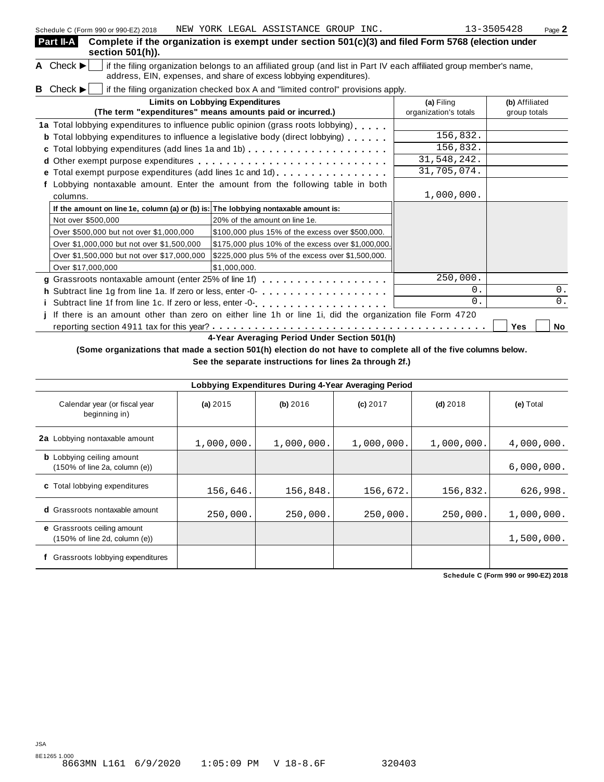| Part II-A<br>section 501(h)).                                                                                                                                                                                               | Complete if the organization is exempt under section 501(c)(3) and filed Form 5768 (election under      |                                     |                                |  |  |  |  |
|-----------------------------------------------------------------------------------------------------------------------------------------------------------------------------------------------------------------------------|---------------------------------------------------------------------------------------------------------|-------------------------------------|--------------------------------|--|--|--|--|
| A Check $\blacktriangleright$<br>if the filing organization belongs to an affiliated group (and list in Part IV each affiliated group member's name,<br>address, EIN, expenses, and share of excess lobbying expenditures). |                                                                                                         |                                     |                                |  |  |  |  |
| <b>B</b> Check $\blacktriangleright$                                                                                                                                                                                        | if the filing organization checked box A and "limited control" provisions apply.                        |                                     |                                |  |  |  |  |
|                                                                                                                                                                                                                             | <b>Limits on Lobbying Expenditures</b><br>(The term "expenditures" means amounts paid or incurred.)     | (a) Filing<br>organization's totals | (b) Affiliated<br>group totals |  |  |  |  |
|                                                                                                                                                                                                                             | 1a Total lobbying expenditures to influence public opinion (grass roots lobbying)                       |                                     |                                |  |  |  |  |
|                                                                                                                                                                                                                             | <b>b</b> Total lobbying expenditures to influence a legislative body (direct lobbying)                  | 156,832.                            |                                |  |  |  |  |
|                                                                                                                                                                                                                             |                                                                                                         | 156,832.                            |                                |  |  |  |  |
|                                                                                                                                                                                                                             |                                                                                                         | 31,548,242.                         |                                |  |  |  |  |
|                                                                                                                                                                                                                             | e Total exempt purpose expenditures (add lines 1c and 1d)                                               | 31,705,074.                         |                                |  |  |  |  |
|                                                                                                                                                                                                                             | f Lobbying nontaxable amount. Enter the amount from the following table in both                         |                                     |                                |  |  |  |  |
| columns.                                                                                                                                                                                                                    |                                                                                                         | 1,000,000.                          |                                |  |  |  |  |
| If the amount on line 1e, column (a) or (b) is: The lobbying nontaxable amount is:                                                                                                                                          |                                                                                                         |                                     |                                |  |  |  |  |
| Not over \$500,000                                                                                                                                                                                                          | 20% of the amount on line 1e.                                                                           |                                     |                                |  |  |  |  |
| Over \$500,000 but not over \$1,000,000                                                                                                                                                                                     | \$100,000 plus 15% of the excess over \$500,000.                                                        |                                     |                                |  |  |  |  |
| Over \$1,000,000 but not over \$1,500,000                                                                                                                                                                                   | \$175,000 plus 10% of the excess over \$1,000,000.                                                      |                                     |                                |  |  |  |  |
| Over \$1,500,000 but not over \$17,000,000                                                                                                                                                                                  | \$225,000 plus 5% of the excess over \$1,500,000.                                                       |                                     |                                |  |  |  |  |
| Over \$17,000,000                                                                                                                                                                                                           | \$1,000,000.                                                                                            |                                     |                                |  |  |  |  |
|                                                                                                                                                                                                                             |                                                                                                         | 250,000.                            |                                |  |  |  |  |
|                                                                                                                                                                                                                             | h Subtract line 1g from line 1a. If zero or less, enter -0-                                             | $\overline{0}$ .                    | $0$ .                          |  |  |  |  |
|                                                                                                                                                                                                                             | i Subtract line 1f from line 1c. If zero or less, enter -0-                                             | $\overline{0}$ .                    | $0$ .                          |  |  |  |  |
|                                                                                                                                                                                                                             | If there is an amount other than zero on either line 1h or line 1i, did the organization file Form 4720 |                                     |                                |  |  |  |  |
|                                                                                                                                                                                                                             |                                                                                                         |                                     | Yes<br>No                      |  |  |  |  |

**4-Year Averaging Period Under Section 501(h)**

(Some organizations that made a section 501(h) election do not have to complete all of the five columns below.

**See the separate instructions for lines 2a through 2f.)**

| Lobbying Expenditures During 4-Year Averaging Period                |            |            |            |            |            |  |  |
|---------------------------------------------------------------------|------------|------------|------------|------------|------------|--|--|
| Calendar year (or fiscal year<br>beginning in)                      | (a) 2015   | (b) 2016   | $(c)$ 2017 | $(d)$ 2018 | (e) Total  |  |  |
| 2a Lobbying nontaxable amount                                       | 1,000,000. | 1,000,000. | 1,000,000. | 1,000,000. | 4,000,000. |  |  |
| <b>b</b> Lobbying ceiling amount<br>(150% of line 2a, column (e))   |            |            |            |            | 6,000,000. |  |  |
| <b>c</b> Total lobbying expenditures                                | 156,646.   | 156,848.   | 156,672.   | 156,832.   | 626,998.   |  |  |
| <b>d</b> Grassroots nontaxable amount                               | 250,000.   | 250,000.   | 250,000.   | 250,000.   | 1,000,000. |  |  |
| <b>e</b> Grassroots ceiling amount<br>(150% of line 2d, column (e)) |            |            |            |            | 1,500,000. |  |  |
| Grassroots lobbying expenditures                                    |            |            |            |            |            |  |  |

**Schedule C (Form 990 or 990-EZ) 2018**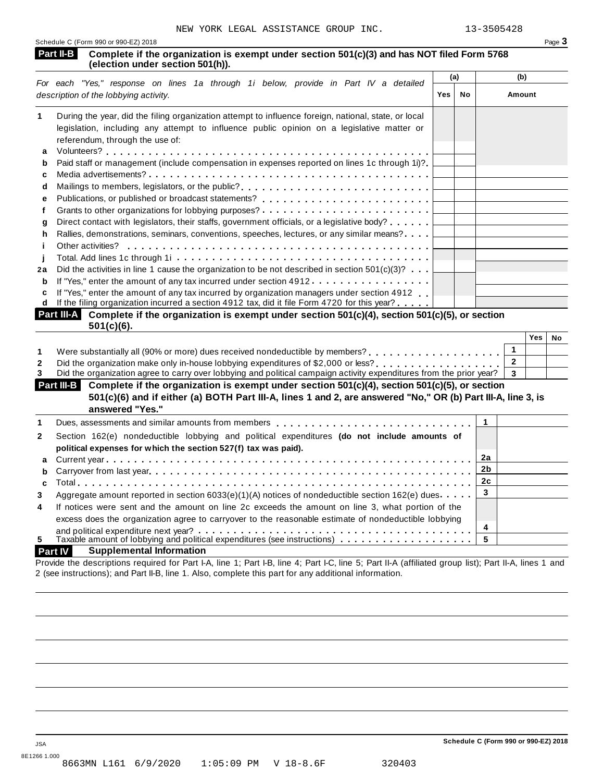| Schedule C (Form 990 or 990-EZ) 2018 | Page 3 |
|--------------------------------------|--------|
|                                      |        |

#### **Complete if the organization is exempt under section 501(c)(3) and has NOT filed Form 5768 (Part II-B** Complete if the organization is<br>(election under section 501(h)).

|    |                                                                                                                               | (a) |    | (b)    |
|----|-------------------------------------------------------------------------------------------------------------------------------|-----|----|--------|
|    | For each "Yes," response on lines 1a through 1i below, provide in Part IV a detailed<br>description of the lobbying activity. | Yes | No | Amount |
| 1  | During the year, did the filing organization attempt to influence foreign, national, state, or local                          |     |    |        |
|    | legislation, including any attempt to influence public opinion on a legislative matter or                                     |     |    |        |
|    | referendum, through the use of:                                                                                               |     |    |        |
| a  |                                                                                                                               |     |    |        |
| b  | Paid staff or management (include compensation in expenses reported on lines 1c through 1i)?                                  |     |    |        |
| c  |                                                                                                                               |     |    |        |
| d  |                                                                                                                               |     |    |        |
| е  |                                                                                                                               |     |    |        |
|    | Grants to other organizations for lobbying purposes?                                                                          |     |    |        |
| q  | Direct contact with legislators, their staffs, government officials, or a legislative body?                                   |     |    |        |
| h. | Rallies, demonstrations, seminars, conventions, speeches, lectures, or any similar means?                                     |     |    |        |
|    | Other activities?                                                                                                             |     |    |        |
|    |                                                                                                                               |     |    |        |
| 2a | Did the activities in line 1 cause the organization to be not described in section $501(c)(3)? \ldots$                        |     |    |        |
| b  | If "Yes," enter the amount of any tax incurred under section 4912                                                             |     |    |        |
| C  | If "Yes," enter the amount of any tax incurred by organization managers under section 4912.                                   |     |    |        |
| d  | If the filing organization incurred a section 4912 tax, did it file Form 4720 for this year? $\dots$                          |     |    |        |
|    | $Part III.$ Complete if the organization is exempt upder section $501(c)/4$ ) section $501(c)/5$ ) or section                 |     |    |        |

| <b>Part III-A</b> Complete if the organization is exempt under section $501(c)(4)$ , section $501(c)(5)$ , or section<br>$501(c)(6)$ . |     |    |
|----------------------------------------------------------------------------------------------------------------------------------------|-----|----|
|                                                                                                                                        | Yes | No |
|                                                                                                                                        |     |    |
| Cool the argent relation make any in house labbring expenditures of \$2,000 or less?                                                   |     |    |

|         |  | 2 Did the organization make only in-house lobbying expenditures of \$2,000 or less? |  |  |  |  |
|---------|--|-------------------------------------------------------------------------------------|--|--|--|--|
| _______ |  |                                                                                     |  |  |  |  |

Did the organization agree to carry over lobbying and political campaign activity expenditures from the prior year? **3** 

#### **Complete if the organization is exempt under section 501(c)(4), section 501(c)(5), or section Part III-B** 501(c)(6) and if either (a) BOTH Part III-A, lines 1 and 2, are answered "No," OR (b) Part III-A, line 3, is **answered "Yes."**

|                         | answered res.                                                                                        |    |  |
|-------------------------|------------------------------------------------------------------------------------------------------|----|--|
| 1                       |                                                                                                      |    |  |
| $\mathbf{2}$            | Section 162(e) nondeductible lobbying and political expenditures (do not include amounts of          |    |  |
|                         | political expenses for which the section 527(f) tax was paid).                                       |    |  |
|                         |                                                                                                      | 2a |  |
|                         |                                                                                                      |    |  |
|                         |                                                                                                      | 2c |  |
| 3                       | Aggregate amount reported in section 6033(e)(1)(A) notices of nondeductible section 162(e) dues.     | 3  |  |
| $\overline{\mathbf{4}}$ | If notices were sent and the amount on line 2c exceeds the amount on line 3, what portion of the     |    |  |
|                         | excess does the organization agree to carryover to the reasonable estimate of nondeductible lobbying |    |  |
|                         |                                                                                                      | 4  |  |
| 5                       | Taxable amount of lobbying and political expenditures (see instructions)                             | 5  |  |

#### **Part IV Supplemental Information**

Provide the descriptions required for Part I-A, line 1; Part I-B, line 4; Part I-C, line 5; Part II-A (affiliated group list); Part II-A, lines 1 and 2 (see instructions); and Part II-B, line 1. Also, complete this part for any additional information.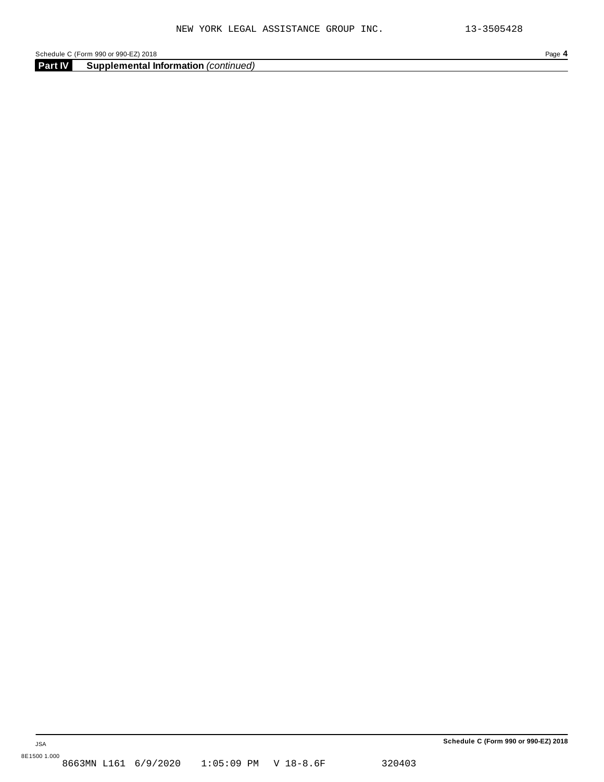**Part IV Supplemental Information** *(continued)*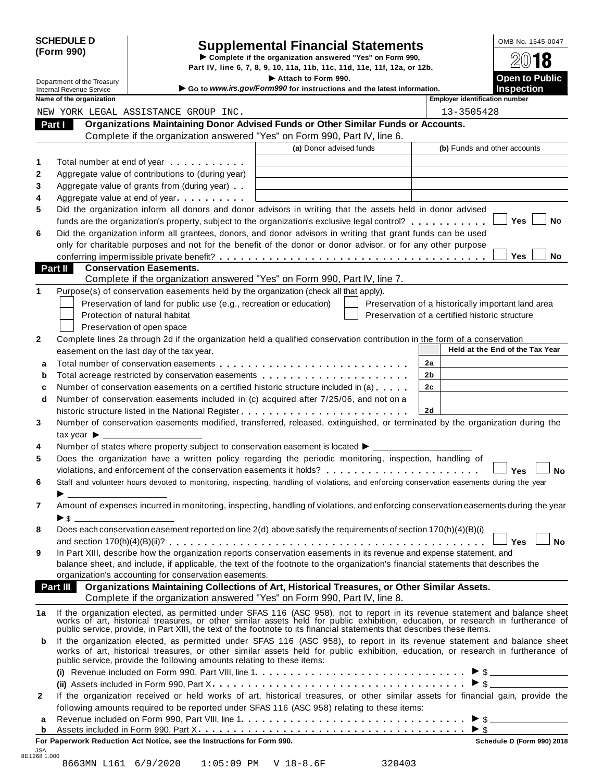|            | <b>SCHEDULE D</b> |
|------------|-------------------|
| (Form 990) |                   |

# SCHEDULE D<br>
Supplemental Financial Statements<br>
Form 990)<br>
Part IV, line 6, 7, 8, 9, 10, 11a, 11b, 11c, 11d, 11e, 11f, 12a, or 12b.<br>
Part IV, line 6, 7, 8, 9, 10, 11a, 11b, 11c, 11d, 11e, 11f, 12a, or 12b.

|         |                                                               |                                                                                                                                                                                                                                                                                                                                        | Part IV, line 6, 7, 8, 9, 10, 11a, 11b, 11c, 11d, 11e, 11f, 12a, or 12b.                      |    |                                                |                                                    |           |
|---------|---------------------------------------------------------------|----------------------------------------------------------------------------------------------------------------------------------------------------------------------------------------------------------------------------------------------------------------------------------------------------------------------------------------|-----------------------------------------------------------------------------------------------|----|------------------------------------------------|----------------------------------------------------|-----------|
|         | Department of the Treasury<br><b>Internal Revenue Service</b> |                                                                                                                                                                                                                                                                                                                                        | Attach to Form 990.<br>Go to www.irs.gov/Form990 for instructions and the latest information. |    |                                                | <b>Open to Public</b><br><b>Inspection</b>         |           |
|         | Name of the organization                                      |                                                                                                                                                                                                                                                                                                                                        |                                                                                               |    | <b>Employer identification number</b>          |                                                    |           |
|         |                                                               | NEW YORK LEGAL ASSISTANCE GROUP INC.                                                                                                                                                                                                                                                                                                   |                                                                                               |    | 13-3505428                                     |                                                    |           |
| Part I  |                                                               | Organizations Maintaining Donor Advised Funds or Other Similar Funds or Accounts.                                                                                                                                                                                                                                                      |                                                                                               |    |                                                |                                                    |           |
|         |                                                               | Complete if the organization answered "Yes" on Form 990, Part IV, line 6.                                                                                                                                                                                                                                                              |                                                                                               |    |                                                |                                                    |           |
|         |                                                               |                                                                                                                                                                                                                                                                                                                                        | (a) Donor advised funds                                                                       |    | (b) Funds and other accounts                   |                                                    |           |
| 1       |                                                               | Total number at end of year <b>that the state of the state of the state of the state of the state of the state of the state of the state of the state of the state of the state of the state of the state of the state of the st</b>                                                                                                   |                                                                                               |    |                                                |                                                    |           |
| 2       |                                                               | Aggregate value of contributions to (during year)                                                                                                                                                                                                                                                                                      |                                                                                               |    |                                                |                                                    |           |
| 3       |                                                               | Aggregate value of grants from (during year)                                                                                                                                                                                                                                                                                           |                                                                                               |    |                                                |                                                    |           |
| 4       |                                                               | Aggregate value at end of year                                                                                                                                                                                                                                                                                                         |                                                                                               |    |                                                |                                                    |           |
| 5       |                                                               | Did the organization inform all donors and donor advisors in writing that the assets held in donor advised                                                                                                                                                                                                                             |                                                                                               |    |                                                |                                                    |           |
|         |                                                               | funds are the organization's property, subject to the organization's exclusive legal control?                                                                                                                                                                                                                                          |                                                                                               |    |                                                | Yes                                                | No        |
| 6       |                                                               | Did the organization inform all grantees, donors, and donor advisors in writing that grant funds can be used                                                                                                                                                                                                                           |                                                                                               |    |                                                |                                                    |           |
|         |                                                               | only for charitable purposes and not for the benefit of the donor or donor advisor, or for any other purpose                                                                                                                                                                                                                           |                                                                                               |    |                                                |                                                    |           |
|         |                                                               |                                                                                                                                                                                                                                                                                                                                        |                                                                                               |    |                                                | Yes                                                | No        |
| Part II |                                                               | <b>Conservation Easements.</b>                                                                                                                                                                                                                                                                                                         |                                                                                               |    |                                                |                                                    |           |
|         |                                                               | Complete if the organization answered "Yes" on Form 990, Part IV, line 7.                                                                                                                                                                                                                                                              |                                                                                               |    |                                                |                                                    |           |
| 1       |                                                               | Purpose(s) of conservation easements held by the organization (check all that apply).                                                                                                                                                                                                                                                  |                                                                                               |    |                                                |                                                    |           |
|         |                                                               | Preservation of land for public use (e.g., recreation or education)                                                                                                                                                                                                                                                                    |                                                                                               |    |                                                | Preservation of a historically important land area |           |
|         |                                                               | Protection of natural habitat                                                                                                                                                                                                                                                                                                          |                                                                                               |    | Preservation of a certified historic structure |                                                    |           |
|         |                                                               | Preservation of open space                                                                                                                                                                                                                                                                                                             |                                                                                               |    |                                                |                                                    |           |
| 2       |                                                               | Complete lines 2a through 2d if the organization held a qualified conservation contribution in the form of a conservation                                                                                                                                                                                                              |                                                                                               |    |                                                |                                                    |           |
|         |                                                               | easement on the last day of the tax year.                                                                                                                                                                                                                                                                                              |                                                                                               |    |                                                | Held at the End of the Tax Year                    |           |
| a       |                                                               |                                                                                                                                                                                                                                                                                                                                        |                                                                                               | 2a |                                                |                                                    |           |
| b       |                                                               | Total acreage restricted by conservation easements                                                                                                                                                                                                                                                                                     |                                                                                               | 2b |                                                |                                                    |           |
| c       |                                                               | Number of conservation easements on a certified historic structure included in (a)                                                                                                                                                                                                                                                     |                                                                                               | 2c |                                                |                                                    |           |
| d       |                                                               | Number of conservation easements included in (c) acquired after 7/25/06, and not on a                                                                                                                                                                                                                                                  |                                                                                               |    |                                                |                                                    |           |
|         |                                                               |                                                                                                                                                                                                                                                                                                                                        |                                                                                               | 2d |                                                |                                                    |           |
| 3       |                                                               | Number of conservation easements modified, transferred, released, extinguished, or terminated by the organization during the                                                                                                                                                                                                           |                                                                                               |    |                                                |                                                    |           |
|         | tax year $\blacktriangleright$                                |                                                                                                                                                                                                                                                                                                                                        |                                                                                               |    |                                                |                                                    |           |
| 4       |                                                               | Number of states where property subject to conservation easement is located ▶ _________                                                                                                                                                                                                                                                |                                                                                               |    |                                                |                                                    |           |
| 5       |                                                               | Does the organization have a written policy regarding the periodic monitoring, inspection, handling of                                                                                                                                                                                                                                 |                                                                                               |    |                                                |                                                    |           |
|         |                                                               | violations, and enforcement of the conservation easements it holds?                                                                                                                                                                                                                                                                    |                                                                                               |    |                                                | Yes                                                | <b>No</b> |
| 6       |                                                               | Staff and volunteer hours devoted to monitoring, inspecting, handling of violations, and enforcing conservation easements during the year                                                                                                                                                                                              |                                                                                               |    |                                                |                                                    |           |
| 7       |                                                               |                                                                                                                                                                                                                                                                                                                                        |                                                                                               |    |                                                |                                                    |           |
|         |                                                               | Amount of expenses incurred in monitoring, inspecting, handling of violations, and enforcing conservation easements during the year                                                                                                                                                                                                    |                                                                                               |    |                                                |                                                    |           |
| 8       |                                                               | Does each conservation easement reported on line 2(d) above satisfy the requirements of section 170(h)(4)(B)(i)                                                                                                                                                                                                                        |                                                                                               |    |                                                |                                                    |           |
|         |                                                               |                                                                                                                                                                                                                                                                                                                                        |                                                                                               |    |                                                | Yes                                                | <b>No</b> |
| 9       |                                                               | In Part XIII, describe how the organization reports conservation easements in its revenue and expense statement, and                                                                                                                                                                                                                   |                                                                                               |    |                                                |                                                    |           |
|         |                                                               | balance sheet, and include, if applicable, the text of the footnote to the organization's financial statements that describes the                                                                                                                                                                                                      |                                                                                               |    |                                                |                                                    |           |
|         |                                                               | organization's accounting for conservation easements.                                                                                                                                                                                                                                                                                  |                                                                                               |    |                                                |                                                    |           |
|         |                                                               | Part III Organizations Maintaining Collections of Art, Historical Treasures, or Other Similar Assets.                                                                                                                                                                                                                                  |                                                                                               |    |                                                |                                                    |           |
|         |                                                               | Complete if the organization answered "Yes" on Form 990, Part IV, line 8.                                                                                                                                                                                                                                                              |                                                                                               |    |                                                |                                                    |           |
| 1a      |                                                               |                                                                                                                                                                                                                                                                                                                                        |                                                                                               |    |                                                |                                                    |           |
|         |                                                               | If the organization elected, as permitted under SFAS 116 (ASC 958), not to report in its revenue statement and balance sheet works of art, historical treasures, or other similar assets held for public exhibition, education                                                                                                         |                                                                                               |    |                                                |                                                    |           |
|         |                                                               |                                                                                                                                                                                                                                                                                                                                        |                                                                                               |    |                                                |                                                    |           |
| b       |                                                               | If the organization elected, as permitted under SFAS 116 (ASC 958), to report in its revenue statement and balance sheet<br>works of art, historical treasures, or other similar assets held for public exhibition, education, or research in furtherance of<br>public service, provide the following amounts relating to these items: |                                                                                               |    |                                                |                                                    |           |
|         |                                                               |                                                                                                                                                                                                                                                                                                                                        |                                                                                               |    |                                                |                                                    |           |
|         |                                                               |                                                                                                                                                                                                                                                                                                                                        |                                                                                               |    |                                                |                                                    |           |
| 2       |                                                               | If the organization received or held works of art, historical treasures, or other similar assets for financial gain, provide the                                                                                                                                                                                                       |                                                                                               |    |                                                |                                                    |           |
|         |                                                               | following amounts required to be reported under SFAS 116 (ASC 958) relating to these items:                                                                                                                                                                                                                                            |                                                                                               |    |                                                |                                                    |           |
| а       |                                                               |                                                                                                                                                                                                                                                                                                                                        |                                                                                               |    |                                                |                                                    |           |
| b       |                                                               |                                                                                                                                                                                                                                                                                                                                        |                                                                                               |    | $\blacktriangleright$ s                        |                                                    |           |
|         |                                                               |                                                                                                                                                                                                                                                                                                                                        |                                                                                               |    |                                                |                                                    |           |

**For Paperwork Reduction Act Notice, see the Instructions for Form 990. Schedule D (Form 990) 2018**

| .JSA<br>8E1268 1.000 |  |                      |                      |  |        |
|----------------------|--|----------------------|----------------------|--|--------|
|                      |  | 8663MN L161 6/9/2020 | 1:05:09 PM V 18-8.6F |  | 320403 |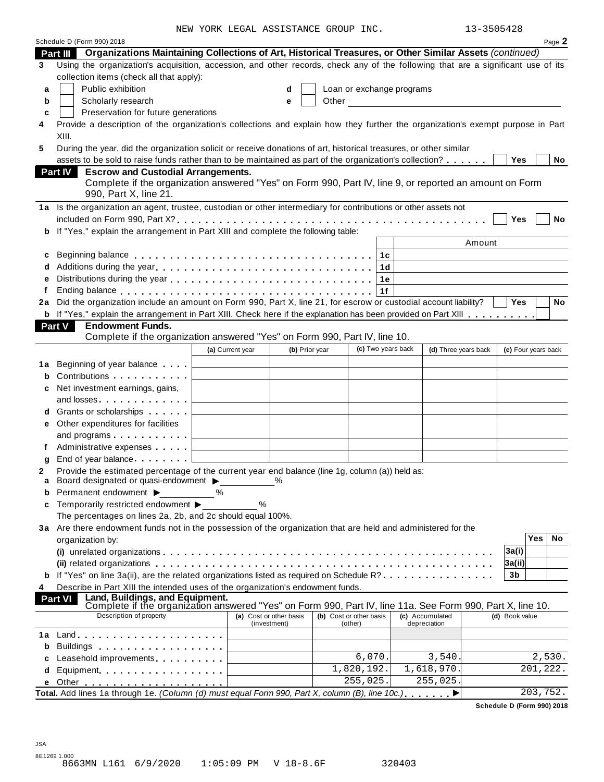NEW YORK LEGAL ASSISTANCE GROUP INC. 13-3505428

| 3–3505428 |  |
|-----------|--|
|           |  |

|    | Schedule D (Form 990) 2018                                                                                                                                      | ALW IOKK TRAHT HOOTSTANCE GKOOF INC. |              |                |                           |    |                                                            | エコーココロコキての |                     |            | Page 2    |
|----|-----------------------------------------------------------------------------------------------------------------------------------------------------------------|--------------------------------------|--------------|----------------|---------------------------|----|------------------------------------------------------------|------------|---------------------|------------|-----------|
|    | Part III Organizations Maintaining Collections of Art, Historical Treasures, or Other Similar Assets (continued)                                                |                                      |              |                |                           |    |                                                            |            |                     |            |           |
| 3  | Using the organization's acquisition, accession, and other records, check any of the following that are a significant use of its                                |                                      |              |                |                           |    |                                                            |            |                     |            |           |
|    | collection items (check all that apply):                                                                                                                        |                                      |              |                |                           |    |                                                            |            |                     |            |           |
| a  | Public exhibition                                                                                                                                               |                                      | d            |                | Loan or exchange programs |    |                                                            |            |                     |            |           |
| b  | Scholarly research                                                                                                                                              |                                      | e            |                | Other                     |    | <u> 1980 - Jan Stein Berlin, amerikan berlin besteht a</u> |            |                     |            |           |
| c  | Preservation for future generations                                                                                                                             |                                      |              |                |                           |    |                                                            |            |                     |            |           |
| 4  | Provide a description of the organization's collections and explain how they further the organization's exempt purpose in Part                                  |                                      |              |                |                           |    |                                                            |            |                     |            |           |
|    | XIII.                                                                                                                                                           |                                      |              |                |                           |    |                                                            |            |                     |            |           |
| 5  | During the year, did the organization solicit or receive donations of art, historical treasures, or other similar                                               |                                      |              |                |                           |    |                                                            |            |                     |            |           |
|    | assets to be sold to raise funds rather than to be maintained as part of the organization's collection?                                                         |                                      |              |                |                           |    |                                                            |            | <b>Yes</b>          |            | No        |
|    | Part IV<br><b>Escrow and Custodial Arrangements.</b>                                                                                                            |                                      |              |                |                           |    |                                                            |            |                     |            |           |
|    | Complete if the organization answered "Yes" on Form 990, Part IV, line 9, or reported an amount on Form<br>990, Part X, line 21.                                |                                      |              |                |                           |    |                                                            |            |                     |            |           |
|    | 1a Is the organization an agent, trustee, custodian or other intermediary for contributions or other assets not                                                 |                                      |              |                |                           |    |                                                            |            |                     |            |           |
|    |                                                                                                                                                                 |                                      |              |                |                           |    |                                                            |            | Yes                 |            | <b>No</b> |
|    | b If "Yes," explain the arrangement in Part XIII and complete the following table:                                                                              |                                      |              |                |                           |    |                                                            |            |                     |            |           |
|    |                                                                                                                                                                 |                                      |              |                |                           |    |                                                            | Amount     |                     |            |           |
| c  |                                                                                                                                                                 |                                      |              |                |                           | 1с |                                                            |            |                     |            |           |
| d  | Additions during the year                                                                                                                                       |                                      |              |                |                           | 1d |                                                            |            |                     |            |           |
|    |                                                                                                                                                                 |                                      |              |                |                           | 1e |                                                            |            |                     |            |           |
| f  |                                                                                                                                                                 |                                      |              |                |                           | 1f |                                                            |            |                     |            |           |
| 2a | Did the organization include an amount on Form 990, Part X, line 21, for escrow or custodial account liability?                                                 |                                      |              |                |                           |    |                                                            |            | Yes                 |            | <b>No</b> |
|    | <b>b</b> If "Yes," explain the arrangement in Part XIII. Check here if the explanation has been provided on Part XIII                                           |                                      |              |                |                           |    |                                                            |            |                     |            |           |
|    | <b>Part V</b><br><b>Endowment Funds.</b>                                                                                                                        |                                      |              |                |                           |    |                                                            |            |                     |            |           |
|    | Complete if the organization answered "Yes" on Form 990, Part IV, line 10.                                                                                      |                                      |              |                |                           |    |                                                            |            |                     |            |           |
|    |                                                                                                                                                                 | (a) Current year                     |              | (b) Prior year |                           |    | (c) Two years back<br>(d) Three years back                 |            | (e) Four years back |            |           |
|    | <b>1a</b> Beginning of year balance                                                                                                                             |                                      |              |                |                           |    |                                                            |            |                     |            |           |
| b  | Contributions                                                                                                                                                   |                                      |              |                |                           |    |                                                            |            |                     |            |           |
| c  | Net investment earnings, gains,                                                                                                                                 |                                      |              |                |                           |    |                                                            |            |                     |            |           |
|    |                                                                                                                                                                 |                                      |              |                |                           |    |                                                            |            |                     |            |           |
|    | <b>d</b> Grants or scholarships <b>contains</b>                                                                                                                 |                                      |              |                |                           |    |                                                            |            |                     |            |           |
| е  | Other expenditures for facilities                                                                                                                               |                                      |              |                |                           |    |                                                            |            |                     |            |           |
|    | and programs                                                                                                                                                    |                                      |              |                |                           |    |                                                            |            |                     |            |           |
|    | Administrative expenses <b>Administrative</b>                                                                                                                   |                                      |              |                |                           |    |                                                            |            |                     |            |           |
| g  | End of year balance                                                                                                                                             |                                      |              |                |                           |    |                                                            |            |                     |            |           |
|    | Provide the estimated percentage of the current year end balance (line 1g, column (a)) held as:<br>Board designated or quasi-endowment ▶                        |                                      | %            |                |                           |    |                                                            |            |                     |            |           |
| a  | Permanent endowment ▶                                                                                                                                           | %                                    |              |                |                           |    |                                                            |            |                     |            |           |
| c  | Temporarily restricted endowment ▶                                                                                                                              | %                                    |              |                |                           |    |                                                            |            |                     |            |           |
|    | The percentages on lines 2a, 2b, and 2c should equal 100%.                                                                                                      |                                      |              |                |                           |    |                                                            |            |                     |            |           |
|    | 3a Are there endowment funds not in the possession of the organization that are held and administered for the                                                   |                                      |              |                |                           |    |                                                            |            |                     |            |           |
|    | organization by:                                                                                                                                                |                                      |              |                |                           |    |                                                            |            |                     | <b>Yes</b> | No        |
|    |                                                                                                                                                                 |                                      |              |                |                           |    |                                                            |            | 3a(i)               |            |           |
|    |                                                                                                                                                                 |                                      |              |                |                           |    |                                                            |            | 3a(ii)              |            |           |
|    | <b>b</b> If "Yes" on line 3a(ii), are the related organizations listed as required on Schedule R?                                                               |                                      |              |                |                           |    |                                                            |            | 3b                  |            |           |
| 4  | Describe in Part XIII the intended uses of the organization's endowment funds.                                                                                  |                                      |              |                |                           |    |                                                            |            |                     |            |           |
|    | Land, Buildings, and Equipment.<br><b>Part VI</b><br>Complete if the organization answered "Yes" on Form 990, Part IV, line 11a. See Form 990, Part X, line 10. |                                      |              |                |                           |    |                                                            |            |                     |            |           |
|    | Description of property                                                                                                                                         | (a) Cost or other basis              |              |                | (b) Cost or other basis   |    | (c) Accumulated                                            |            | (d) Book value      |            |           |
|    |                                                                                                                                                                 |                                      | (investment) |                | (other)                   |    | depreciation                                               |            |                     |            |           |
| 1a |                                                                                                                                                                 |                                      |              |                |                           |    |                                                            |            |                     |            |           |
|    | Buildings                                                                                                                                                       |                                      |              |                |                           |    |                                                            |            |                     |            |           |
|    | Leasehold improvements expressions and the set of the set of the set of the set of the set of the set of the s                                                  |                                      |              |                | 6,070.<br>1,820,192.      |    | 3,540<br>1,618,970.                                        |            |                     | 2,530.     |           |
| d  | Equipment                                                                                                                                                       |                                      |              |                | 255,025.                  |    | 255,025.                                                   |            |                     | 201,222.   |           |
| е  | Total. Add lines 1a through 1e. (Column (d) must equal Form 990, Part X, column (B), line 10c.)                                                                 |                                      |              |                |                           |    |                                                            |            |                     | 203,752.   |           |
|    |                                                                                                                                                                 |                                      |              |                |                           |    |                                                            |            |                     |            |           |

**Schedule D (Form 990) 2018**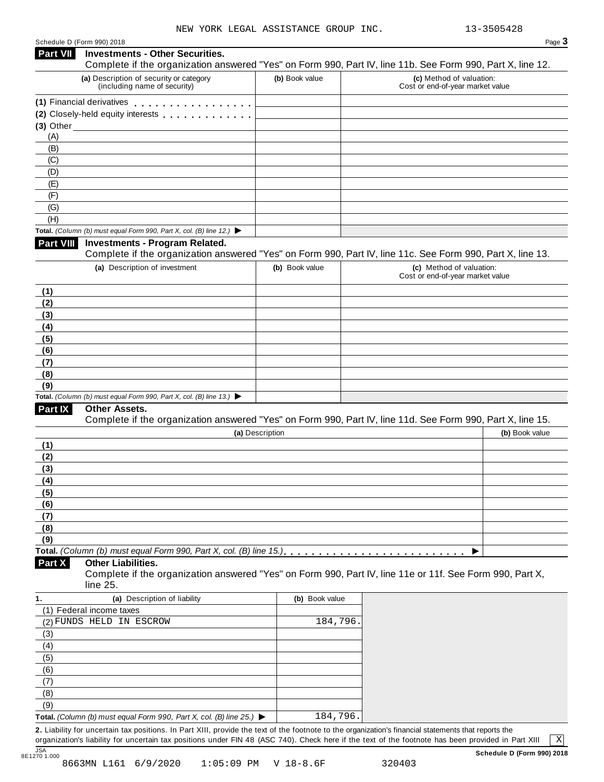| Schedule D (Form 990) 2018 |  |  |  |
|----------------------------|--|--|--|
|                            |  |  |  |

|                                                     | Schedule D (Form 990) 2018                                                                                                                           |                 | Page 3                                                       |
|-----------------------------------------------------|------------------------------------------------------------------------------------------------------------------------------------------------------|-----------------|--------------------------------------------------------------|
| <b>Part VII</b>                                     | <b>Investments - Other Securities.</b><br>Complete if the organization answered "Yes" on Form 990, Part IV, line 11b. See Form 990, Part X, line 12. |                 |                                                              |
|                                                     | (a) Description of security or category<br>(including name of security)                                                                              | (b) Book value  | (c) Method of valuation:<br>Cost or end-of-year market value |
|                                                     | (1) Financial derivatives <b>All Accords</b> Financial derivatives                                                                                   |                 |                                                              |
|                                                     | (2) Closely-held equity interests                                                                                                                    |                 |                                                              |
|                                                     | $(3)$ Other $\_\$                                                                                                                                    |                 |                                                              |
| (A)                                                 |                                                                                                                                                      |                 |                                                              |
| (B)                                                 |                                                                                                                                                      |                 |                                                              |
| (C)                                                 |                                                                                                                                                      |                 |                                                              |
| (D)                                                 |                                                                                                                                                      |                 |                                                              |
| (E)                                                 |                                                                                                                                                      |                 |                                                              |
| (F)                                                 |                                                                                                                                                      |                 |                                                              |
| (G)                                                 |                                                                                                                                                      |                 |                                                              |
| (H)                                                 |                                                                                                                                                      |                 |                                                              |
| <b>Part VIII</b>                                    | Total. (Column (b) must equal Form 990, Part X, col. (B) line 12.) $\blacktriangleright$<br><b>Investments - Program Related.</b>                    |                 |                                                              |
|                                                     | Complete if the organization answered "Yes" on Form 990, Part IV, line 11c. See Form 990, Part X, line 13.                                           |                 |                                                              |
|                                                     | (a) Description of investment                                                                                                                        | (b) Book value  | (c) Method of valuation:                                     |
|                                                     |                                                                                                                                                      |                 | Cost or end-of-year market value                             |
| (1)                                                 |                                                                                                                                                      |                 |                                                              |
| (2)                                                 |                                                                                                                                                      |                 |                                                              |
| (3)                                                 |                                                                                                                                                      |                 |                                                              |
| (4)                                                 |                                                                                                                                                      |                 |                                                              |
| (5)                                                 |                                                                                                                                                      |                 |                                                              |
| (6)                                                 |                                                                                                                                                      |                 |                                                              |
| (7)                                                 |                                                                                                                                                      |                 |                                                              |
| (8)                                                 |                                                                                                                                                      |                 |                                                              |
| (9)                                                 | Total. (Column (b) must equal Form 990, Part X, col. (B) line 13.) $\blacktriangleright$                                                             |                 |                                                              |
| <b>Part IX</b>                                      | <b>Other Assets.</b>                                                                                                                                 |                 |                                                              |
|                                                     | Complete if the organization answered "Yes" on Form 990, Part IV, line 11d. See Form 990, Part X, line 15.                                           |                 |                                                              |
|                                                     |                                                                                                                                                      | (a) Description | (b) Book value                                               |
| (1)                                                 |                                                                                                                                                      |                 |                                                              |
| (2)                                                 |                                                                                                                                                      |                 |                                                              |
|                                                     |                                                                                                                                                      |                 |                                                              |
|                                                     |                                                                                                                                                      |                 |                                                              |
|                                                     |                                                                                                                                                      |                 |                                                              |
|                                                     |                                                                                                                                                      |                 |                                                              |
|                                                     |                                                                                                                                                      |                 |                                                              |
|                                                     |                                                                                                                                                      |                 |                                                              |
|                                                     |                                                                                                                                                      |                 |                                                              |
|                                                     |                                                                                                                                                      |                 |                                                              |
| (3)<br>(4)<br>(5)<br>(6)<br>(7)<br>(8)<br>(9)       |                                                                                                                                                      |                 |                                                              |
| Part X                                              | <b>Other Liabilities.</b>                                                                                                                            |                 |                                                              |
|                                                     | Complete if the organization answered "Yes" on Form 990, Part IV, line 11e or 11f. See Form 990, Part X,                                             |                 |                                                              |
|                                                     | line 25.                                                                                                                                             |                 |                                                              |
|                                                     | (a) Description of liability                                                                                                                         | (b) Book value  |                                                              |
|                                                     | (1) Federal income taxes                                                                                                                             |                 |                                                              |
|                                                     | (2) FUNDS HELD IN ESCROW                                                                                                                             | 184,796         |                                                              |
|                                                     |                                                                                                                                                      |                 |                                                              |
|                                                     |                                                                                                                                                      |                 |                                                              |
|                                                     |                                                                                                                                                      |                 |                                                              |
|                                                     |                                                                                                                                                      |                 |                                                              |
|                                                     |                                                                                                                                                      |                 |                                                              |
| 1.<br>(3)<br>(4)<br>(5)<br>(6)<br>(7)<br>(8)<br>(9) |                                                                                                                                                      |                 |                                                              |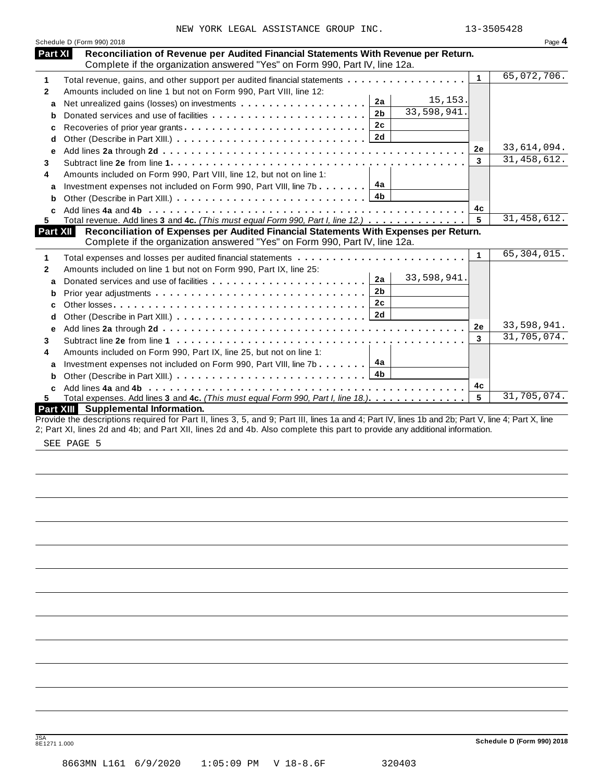|              | Schedule D (Form 990) 2018                                                                                                                                           |              | Page 4        |
|--------------|----------------------------------------------------------------------------------------------------------------------------------------------------------------------|--------------|---------------|
| Part XI      | Reconciliation of Revenue per Audited Financial Statements With Revenue per Return.<br>Complete if the organization answered "Yes" on Form 990, Part IV, line 12a.   |              |               |
| 1            | Total revenue, gains, and other support per audited financial statements                                                                                             | $\mathbf{1}$ | 65,072,706.   |
| $\mathbf{2}$ | Amounts included on line 1 but not on Form 990, Part VIII, line 12:                                                                                                  |              |               |
| a            | 15, 153.<br>2a                                                                                                                                                       |              |               |
| b            | 33,598,941.<br>2 <sub>b</sub>                                                                                                                                        |              |               |
| c            | 2c<br>Recoveries of prior year grants                                                                                                                                |              |               |
| d            |                                                                                                                                                                      |              |               |
| е            |                                                                                                                                                                      | 2e           | 33,614,094.   |
| 3            |                                                                                                                                                                      | 3            | 31, 458, 612. |
| 4            | Amounts included on Form 990, Part VIII, line 12, but not on line 1:                                                                                                 |              |               |
| a            | 4a<br>Investment expenses not included on Form 990, Part VIII, line 7b                                                                                               |              |               |
| b            | 4b                                                                                                                                                                   |              |               |
| C.           |                                                                                                                                                                      | 4с           |               |
| 5.           | Total revenue. Add lines 3 and 4c. (This must equal Form 990, Part I, line 12.)                                                                                      | 5            | 31, 458, 612. |
| Part XII     | Reconciliation of Expenses per Audited Financial Statements With Expenses per Return.<br>Complete if the organization answered "Yes" on Form 990, Part IV, line 12a. |              |               |
| 1            |                                                                                                                                                                      | $\mathbf{1}$ | 65,304,015.   |
| $\mathbf{2}$ | Amounts included on line 1 but not on Form 990, Part IX, line 25:                                                                                                    |              |               |
| a            | 33,598,941.<br>2a                                                                                                                                                    |              |               |
|              | 2 <sub>b</sub>                                                                                                                                                       |              |               |
| b            | 2c                                                                                                                                                                   |              |               |
| c            |                                                                                                                                                                      |              |               |
| d            |                                                                                                                                                                      | 2e           | 33,598,941.   |
| e            |                                                                                                                                                                      | 3            | 31,705,074.   |
| 3            |                                                                                                                                                                      |              |               |
| 4            | Amounts included on Form 990, Part IX, line 25, but not on line 1:                                                                                                   |              |               |
| a            | Investment expenses not included on Form 990, Part VIII, line 7b $\ldots \ldots$ $4a$<br>4 <sub>b</sub>                                                              |              |               |
| b            |                                                                                                                                                                      |              |               |
|              |                                                                                                                                                                      | 4c<br>5      | 31,705,074.   |
| 5.           | Total expenses. Add lines 3 and 4c. (This must equal Form 990, Part I, line 18.)<br>Part XIII Supplemental Information.                                              |              |               |
|              | Provide the descriptions required for Part II, lines 3, 5, and 9; Part III, lines 1a and 4; Part IV, lines 1b and 2b; Part V, line 4; Part X, line                   |              |               |
|              | 2; Part XI, lines 2d and 4b; and Part XII, lines 2d and 4b. Also complete this part to provide any additional information.                                           |              |               |
|              | CDD, D2CD, C                                                                                                                                                         |              |               |

SEE PAGE 5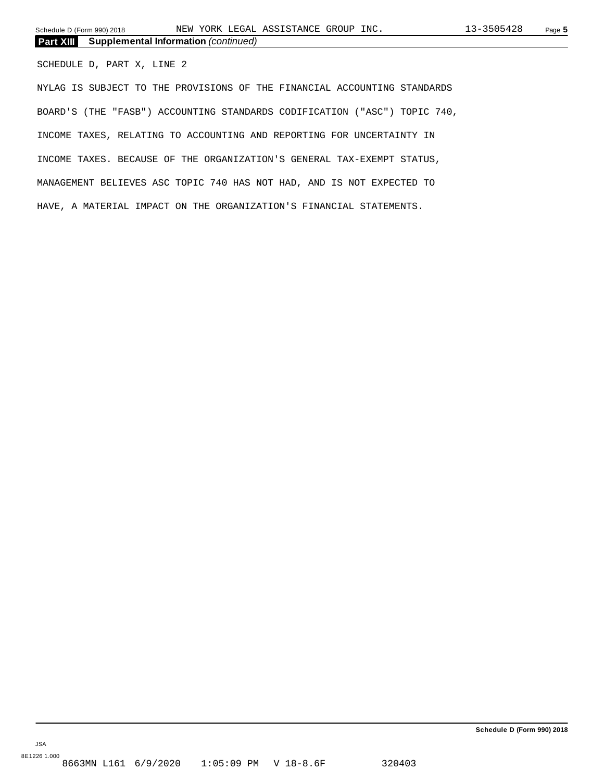Schedule D (Form 990) 2018 NEW YORK LEGAL ASSISTANCE GROUP INC. 13-3505428 Page **5** 

| <b>Part XIII</b> Supplemental Information (continued) |  |
|-------------------------------------------------------|--|
|                                                       |  |

SCHEDULE D, PART X, LINE 2

NYLAG IS SUBJECT TO THE PROVISIONS OF THE FINANCIAL ACCOUNTING STANDARDS BOARD'S (THE "FASB") ACCOUNTING STANDARDS CODIFICATION ("ASC") TOPIC 740, INCOME TAXES, RELATING TO ACCOUNTING AND REPORTING FOR UNCERTAINTY IN INCOME TAXES. BECAUSE OF THE ORGANIZATION'S GENERAL TAX-EXEMPT STATUS, MANAGEMENT BELIEVES ASC TOPIC 740 HAS NOT HAD, AND IS NOT EXPECTED TO HAVE, A MATERIAL IMPACT ON THE ORGANIZATION'S FINANCIAL STATEMENTS.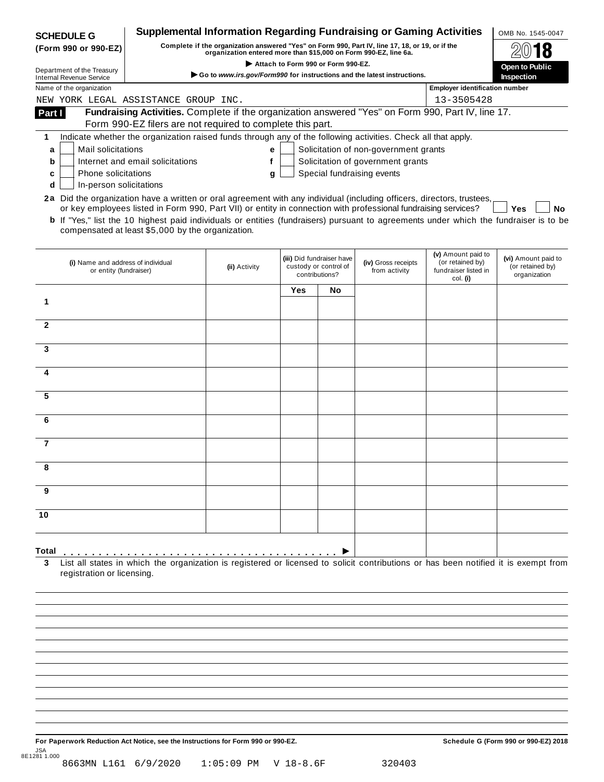|                | <b>SCHEDULE G</b>                                             | <b>Supplemental Information Regarding Fundraising or Gaming Activities</b>                                                                                                                        |                                                                                                                                                                     |                                                      |                           |                                       |                                        | OMB No. 1545-0047                |  |  |
|----------------|---------------------------------------------------------------|---------------------------------------------------------------------------------------------------------------------------------------------------------------------------------------------------|---------------------------------------------------------------------------------------------------------------------------------------------------------------------|------------------------------------------------------|---------------------------|---------------------------------------|----------------------------------------|----------------------------------|--|--|
|                | (Form 990 or 990-EZ)                                          |                                                                                                                                                                                                   | Complete if the organization answered "Yes" on Form 990, Part IV, line 17, 18, or 19, or if the<br>organization entered more than \$15,000 on Form 990-EZ, line 6a. |                                                      |                           |                                       |                                        |                                  |  |  |
|                |                                                               |                                                                                                                                                                                                   |                                                                                                                                                                     | Attach to Form 990 or Form 990-EZ.<br>Open to Public |                           |                                       |                                        |                                  |  |  |
|                | Department of the Treasury<br><b>Internal Revenue Service</b> |                                                                                                                                                                                                   | Go to www.irs.gov/Form990 for instructions and the latest instructions.                                                                                             |                                                      |                           |                                       | <b>Inspection</b>                      |                                  |  |  |
|                | Name of the organization                                      |                                                                                                                                                                                                   |                                                                                                                                                                     |                                                      |                           |                                       | <b>Employer identification number</b>  |                                  |  |  |
|                |                                                               | NEW YORK LEGAL ASSISTANCE GROUP INC.                                                                                                                                                              |                                                                                                                                                                     |                                                      |                           |                                       | 13-3505428                             |                                  |  |  |
| Part I         |                                                               | Fundraising Activities. Complete if the organization answered "Yes" on Form 990, Part IV, line 17.                                                                                                |                                                                                                                                                                     |                                                      |                           |                                       |                                        |                                  |  |  |
|                |                                                               | Form 990-EZ filers are not required to complete this part.                                                                                                                                        |                                                                                                                                                                     |                                                      |                           |                                       |                                        |                                  |  |  |
| 1              |                                                               | Indicate whether the organization raised funds through any of the following activities. Check all that apply.                                                                                     |                                                                                                                                                                     |                                                      |                           |                                       |                                        |                                  |  |  |
| a              | Mail solicitations                                            |                                                                                                                                                                                                   | е                                                                                                                                                                   |                                                      |                           | Solicitation of non-government grants |                                        |                                  |  |  |
| b              |                                                               | Internet and email solicitations                                                                                                                                                                  | f                                                                                                                                                                   |                                                      |                           | Solicitation of government grants     |                                        |                                  |  |  |
| c              | <b>Phone solicitations</b>                                    |                                                                                                                                                                                                   | g                                                                                                                                                                   |                                                      |                           | Special fundraising events            |                                        |                                  |  |  |
| d              | In-person solicitations                                       |                                                                                                                                                                                                   |                                                                                                                                                                     |                                                      |                           |                                       |                                        |                                  |  |  |
|                |                                                               | 2a Did the organization have a written or oral agreement with any individual (including officers, directors, trustees,                                                                            |                                                                                                                                                                     |                                                      |                           |                                       |                                        |                                  |  |  |
|                |                                                               | or key employees listed in Form 990, Part VII) or entity in connection with professional fundraising services?                                                                                    |                                                                                                                                                                     |                                                      |                           |                                       |                                        | Yes<br>No                        |  |  |
|                |                                                               | <b>b</b> If "Yes," list the 10 highest paid individuals or entities (fundraisers) pursuant to agreements under which the fundraiser is to be<br>compensated at least \$5,000 by the organization. |                                                                                                                                                                     |                                                      |                           |                                       |                                        |                                  |  |  |
|                |                                                               |                                                                                                                                                                                                   |                                                                                                                                                                     |                                                      |                           |                                       |                                        |                                  |  |  |
|                |                                                               |                                                                                                                                                                                                   |                                                                                                                                                                     |                                                      |                           |                                       |                                        |                                  |  |  |
|                | (i) Name and address of individual                            |                                                                                                                                                                                                   |                                                                                                                                                                     |                                                      | (iii) Did fundraiser have | (iv) Gross receipts                   | (v) Amount paid to<br>(or retained by) | (vi) Amount paid to              |  |  |
|                | or entity (fundraiser)                                        |                                                                                                                                                                                                   | (ii) Activity                                                                                                                                                       | custody or control of<br>contributions?              |                           | from activity                         | fundraiser listed in                   | (or retained by)<br>organization |  |  |
|                |                                                               |                                                                                                                                                                                                   |                                                                                                                                                                     |                                                      |                           |                                       | col. (i)                               |                                  |  |  |
|                |                                                               |                                                                                                                                                                                                   |                                                                                                                                                                     | Yes                                                  | No                        |                                       |                                        |                                  |  |  |
| 1              |                                                               |                                                                                                                                                                                                   |                                                                                                                                                                     |                                                      |                           |                                       |                                        |                                  |  |  |
| $\overline{2}$ |                                                               |                                                                                                                                                                                                   |                                                                                                                                                                     |                                                      |                           |                                       |                                        |                                  |  |  |
|                |                                                               |                                                                                                                                                                                                   |                                                                                                                                                                     |                                                      |                           |                                       |                                        |                                  |  |  |
| 3              |                                                               |                                                                                                                                                                                                   |                                                                                                                                                                     |                                                      |                           |                                       |                                        |                                  |  |  |
|                |                                                               |                                                                                                                                                                                                   |                                                                                                                                                                     |                                                      |                           |                                       |                                        |                                  |  |  |
| 4              |                                                               |                                                                                                                                                                                                   |                                                                                                                                                                     |                                                      |                           |                                       |                                        |                                  |  |  |
|                |                                                               |                                                                                                                                                                                                   |                                                                                                                                                                     |                                                      |                           |                                       |                                        |                                  |  |  |
| 5              |                                                               |                                                                                                                                                                                                   |                                                                                                                                                                     |                                                      |                           |                                       |                                        |                                  |  |  |
|                |                                                               |                                                                                                                                                                                                   |                                                                                                                                                                     |                                                      |                           |                                       |                                        |                                  |  |  |
| 6              |                                                               |                                                                                                                                                                                                   |                                                                                                                                                                     |                                                      |                           |                                       |                                        |                                  |  |  |
|                |                                                               |                                                                                                                                                                                                   |                                                                                                                                                                     |                                                      |                           |                                       |                                        |                                  |  |  |
| $\overline{7}$ |                                                               |                                                                                                                                                                                                   |                                                                                                                                                                     |                                                      |                           |                                       |                                        |                                  |  |  |
|                |                                                               |                                                                                                                                                                                                   |                                                                                                                                                                     |                                                      |                           |                                       |                                        |                                  |  |  |
|                |                                                               |                                                                                                                                                                                                   |                                                                                                                                                                     |                                                      |                           |                                       |                                        |                                  |  |  |
|                |                                                               |                                                                                                                                                                                                   |                                                                                                                                                                     |                                                      |                           |                                       |                                        |                                  |  |  |
| 9              |                                                               |                                                                                                                                                                                                   |                                                                                                                                                                     |                                                      |                           |                                       |                                        |                                  |  |  |
|                |                                                               |                                                                                                                                                                                                   |                                                                                                                                                                     |                                                      |                           |                                       |                                        |                                  |  |  |
| 10             |                                                               |                                                                                                                                                                                                   |                                                                                                                                                                     |                                                      |                           |                                       |                                        |                                  |  |  |
|                |                                                               |                                                                                                                                                                                                   |                                                                                                                                                                     |                                                      |                           |                                       |                                        |                                  |  |  |
|                |                                                               |                                                                                                                                                                                                   |                                                                                                                                                                     |                                                      |                           |                                       |                                        |                                  |  |  |
| Total          |                                                               |                                                                                                                                                                                                   |                                                                                                                                                                     |                                                      |                           |                                       |                                        |                                  |  |  |
| 3              |                                                               | List all states in which the organization is registered or licensed to solicit contributions or has been notified it is exempt from                                                               |                                                                                                                                                                     |                                                      |                           |                                       |                                        |                                  |  |  |
|                | registration or licensing.                                    |                                                                                                                                                                                                   |                                                                                                                                                                     |                                                      |                           |                                       |                                        |                                  |  |  |
|                |                                                               |                                                                                                                                                                                                   |                                                                                                                                                                     |                                                      |                           |                                       |                                        |                                  |  |  |

For Paperwork Reduction Act Notice, see the Instructions for Form 990 or 990-EZ. Schedule G (Form 990 or 990-EZ) 2018 JSA 8E1281 1.000 8663MN L161 6/9/2020 1:05:09 PM V 18-8.6F 320403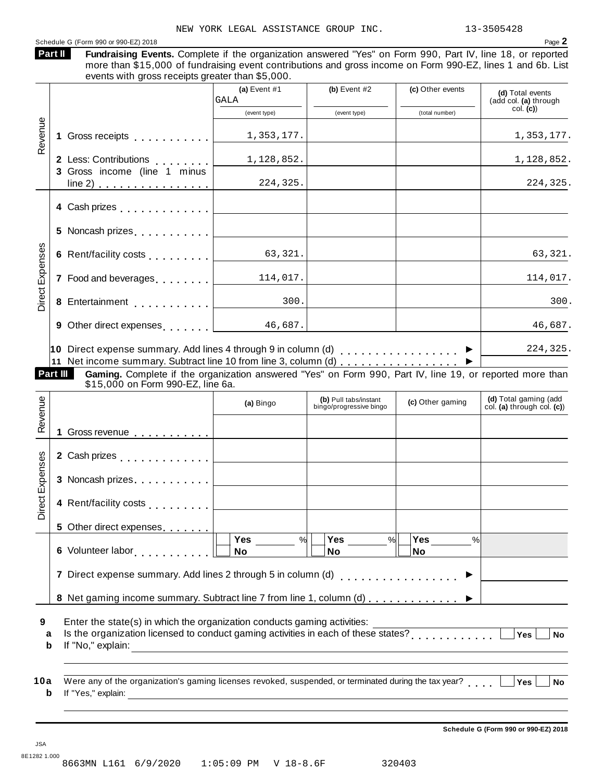| events with gross receipts greater than \$5,000.                                                                                                                                                | (a) Event $#1$<br>GALA | (b) Event $#2$                                   | (c) Other events      | (d) Total events<br>(add col. (a) through |
|-------------------------------------------------------------------------------------------------------------------------------------------------------------------------------------------------|------------------------|--------------------------------------------------|-----------------------|-------------------------------------------|
|                                                                                                                                                                                                 | (event type)           | (event type)                                     | (total number)        | col. (c)                                  |
| Gross receipts experiences                                                                                                                                                                      | 1,353,177.             |                                                  |                       | 1,353,177.                                |
| 2 Less: Contributions                                                                                                                                                                           | 1,128,852.             |                                                  |                       | 1,128,852.                                |
| 3 Gross income (line 1 minus                                                                                                                                                                    | 224,325.               |                                                  |                       | 224,325.                                  |
|                                                                                                                                                                                                 |                        |                                                  |                       |                                           |
|                                                                                                                                                                                                 |                        |                                                  |                       |                                           |
| 6 Rent/facility costs                                                                                                                                                                           | 63,321.                |                                                  |                       | 63,321.                                   |
| 7 Food and beverages [1, 1, 1, 1, 1]                                                                                                                                                            | 114,017.               |                                                  |                       | 114,017.                                  |
|                                                                                                                                                                                                 | 300.                   |                                                  |                       | 300.                                      |
| 9 Other direct expenses $\begin{array}{ c c c c c c c c c }\n\hline\n\text{9} & \text{6,687.} \\ \hline\n\end{array}$                                                                           |                        |                                                  |                       | 46,687.                                   |
| 10 Direct expense summary. Add lines 4 through 9 in column (d) $\ldots$<br>Gaming. Complete if the organization answered "Yes" on Form 990, Part IV, line 19, or reported more than<br>Part III |                        |                                                  |                       |                                           |
| \$15,000 on Form 990-EZ, line 6a.                                                                                                                                                               | (a) Bingo              | (b) Pull tabs/instant<br>bingo/progressive bingo | (c) Other gaming      | (d) Total gaming (add                     |
| Gross revenue 1                                                                                                                                                                                 |                        |                                                  |                       |                                           |
|                                                                                                                                                                                                 |                        |                                                  |                       |                                           |
| 3 Noncash prizes                                                                                                                                                                                |                        |                                                  |                       |                                           |
|                                                                                                                                                                                                 |                        |                                                  |                       |                                           |
| 5 Other direct expenses                                                                                                                                                                         |                        |                                                  |                       | 224,325.<br>col. (a) through col. (c))    |
| 6 Volunteer labor [1]                                                                                                                                                                           | Yes<br>%<br>No         | Yes<br>$\%$<br><b>No</b>                         | Yes<br>%<br><b>No</b> |                                           |
| 7 Direct expense summary. Add lines 2 through 5 in column (d)                                                                                                                                   |                        |                                                  |                       |                                           |
| 8 Net gaming income summary. Subtract line 7 from line 1, column (d)                                                                                                                            |                        |                                                  |                       |                                           |

**Schedule G (Form 990 or 990-EZ) 2018**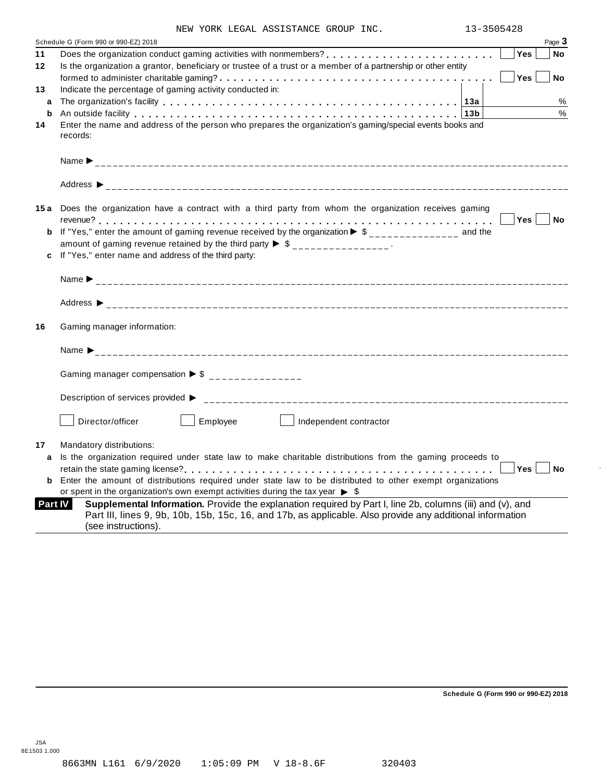|  |  |  |  | NEW YORK LEGAL ASSISTANCE GROUP INC. |  |  |
|--|--|--|--|--------------------------------------|--|--|
|--|--|--|--|--------------------------------------|--|--|

|         | Schedule G (Form 990 or 990-EZ) 2018<br>Page 3                                                                                                                                                                                                           |
|---------|----------------------------------------------------------------------------------------------------------------------------------------------------------------------------------------------------------------------------------------------------------|
| 11      | <b>Yes</b><br><b>No</b>                                                                                                                                                                                                                                  |
| $12 \,$ | Is the organization a grantor, beneficiary or trustee of a trust or a member of a partnership or other entity                                                                                                                                            |
|         | Yes<br>No                                                                                                                                                                                                                                                |
| 13      | Indicate the percentage of gaming activity conducted in:                                                                                                                                                                                                 |
| a       | %                                                                                                                                                                                                                                                        |
| b       | %<br>An outside facility enterpretation of the control of the control of the control of the control of the control o                                                                                                                                     |
| 14      | Enter the name and address of the person who prepares the organization's gaming/special events books and<br>records:                                                                                                                                     |
|         |                                                                                                                                                                                                                                                          |
|         |                                                                                                                                                                                                                                                          |
|         | 15a Does the organization have a contract with a third party from whom the organization receives gaming                                                                                                                                                  |
|         | Yes No                                                                                                                                                                                                                                                   |
|         | <b>b</b> If "Yes," enter the amount of gaming revenue received by the organization $\triangleright$ \$_______________ and the                                                                                                                            |
|         | amount of gaming revenue retained by the third party $\triangleright$ \$ _______________.                                                                                                                                                                |
| c       | If "Yes," enter name and address of the third party:                                                                                                                                                                                                     |
|         |                                                                                                                                                                                                                                                          |
|         |                                                                                                                                                                                                                                                          |
| 16      | Gaming manager information:                                                                                                                                                                                                                              |
|         |                                                                                                                                                                                                                                                          |
|         | Gaming manager compensation $\triangleright$ \$ _______________                                                                                                                                                                                          |
|         | Description of services provided ▶                                                                                                                                                                                                                       |
|         | Director/officer<br>Employee<br>Independent contractor                                                                                                                                                                                                   |
| 17      | Mandatory distributions:                                                                                                                                                                                                                                 |
| a       | Is the organization required under state law to make charitable distributions from the gaming proceeds to                                                                                                                                                |
|         | Yes<br><b>No</b>                                                                                                                                                                                                                                         |
| b       | Enter the amount of distributions required under state law to be distributed to other exempt organizations                                                                                                                                               |
|         | or spent in the organization's own exempt activities during the tax year $\triangleright$ \$                                                                                                                                                             |
|         | Supplemental Information. Provide the explanation required by Part I, line 2b, columns (iii) and (v), and<br>Part IV<br>Part III, lines 9, 9b, 10b, 15b, 15c, 16, and 17b, as applicable. Also provide any additional information<br>(see instructions). |

**Schedule G (Form 990 or 990-EZ) 2018**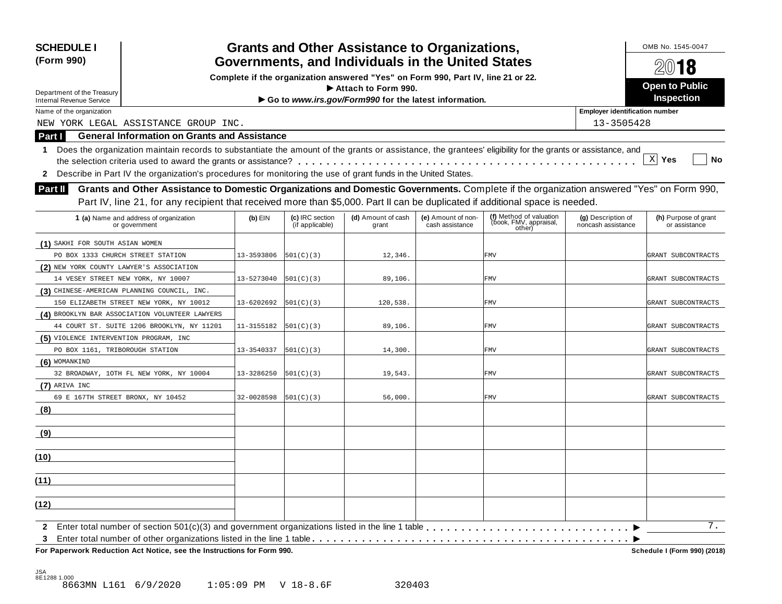| <b>SCHEDULE I</b><br>(Form 990)                                                                                                                                  |            |                                    | <b>Grants and Other Assistance to Organizations,</b><br>Governments, and Individuals in the United States |                                       |                                                             |                                          | OMB No. 1545-0047                     |  |  |
|------------------------------------------------------------------------------------------------------------------------------------------------------------------|------------|------------------------------------|-----------------------------------------------------------------------------------------------------------|---------------------------------------|-------------------------------------------------------------|------------------------------------------|---------------------------------------|--|--|
|                                                                                                                                                                  |            | 2018                               |                                                                                                           |                                       |                                                             |                                          |                                       |  |  |
| Complete if the organization answered "Yes" on Form 990, Part IV, line 21 or 22.                                                                                 |            | <b>Open to Public</b>              |                                                                                                           |                                       |                                                             |                                          |                                       |  |  |
| Department of the Treasury                                                                                                                                       |            | Inspection                         |                                                                                                           |                                       |                                                             |                                          |                                       |  |  |
| <b>Internal Revenue Service</b><br>Name of the organization                                                                                                      |            |                                    | Go to www.irs.gov/Form990 for the latest information.                                                     |                                       |                                                             | <b>Employer identification number</b>    |                                       |  |  |
| NEW YORK LEGAL ASSISTANCE GROUP INC.                                                                                                                             |            |                                    |                                                                                                           |                                       |                                                             | 13-3505428                               |                                       |  |  |
| <b>General Information on Grants and Assistance</b><br>Part I                                                                                                    |            |                                    |                                                                                                           |                                       |                                                             |                                          |                                       |  |  |
|                                                                                                                                                                  |            |                                    |                                                                                                           |                                       |                                                             |                                          |                                       |  |  |
| Does the organization maintain records to substantiate the amount of the grants or assistance, the grantees' eligibility for the grants or assistance, and<br>1. |            |                                    |                                                                                                           |                                       |                                                             |                                          | $X$ Yes<br>No                         |  |  |
| Describe in Part IV the organization's procedures for monitoring the use of grant funds in the United States.                                                    |            |                                    |                                                                                                           |                                       |                                                             |                                          |                                       |  |  |
| $\mathbf{2}$                                                                                                                                                     |            |                                    |                                                                                                           |                                       |                                                             |                                          |                                       |  |  |
| Grants and Other Assistance to Domestic Organizations and Domestic Governments. Complete if the organization answered "Yes" on Form 990,<br><b>Part II</b>       |            |                                    |                                                                                                           |                                       |                                                             |                                          |                                       |  |  |
| Part IV, line 21, for any recipient that received more than \$5,000. Part II can be duplicated if additional space is needed.                                    |            |                                    |                                                                                                           |                                       |                                                             |                                          |                                       |  |  |
| 1 (a) Name and address of organization<br>or government                                                                                                          | $(b)$ EIN  | (c) IRC section<br>(if applicable) | (d) Amount of cash<br>grant                                                                               | (e) Amount of non-<br>cash assistance | (f) Method of valuation<br>(book, FMV, appraisal,<br>other) | (g) Description of<br>noncash assistance | (h) Purpose of grant<br>or assistance |  |  |
| (1) SAKHI FOR SOUTH ASIAN WOMEN                                                                                                                                  |            |                                    |                                                                                                           |                                       |                                                             |                                          |                                       |  |  |
| PO BOX 1333 CHURCH STREET STATION                                                                                                                                | 13-3593806 | 501(C)(3)                          | 12,346.                                                                                                   |                                       | <b>FMV</b>                                                  |                                          | GRANT SUBCONTRACTS                    |  |  |
| (2) NEW YORK COUNTY LAWYER'S ASSOCIATION                                                                                                                         |            |                                    |                                                                                                           |                                       |                                                             |                                          |                                       |  |  |
| 14 VESEY STREET NEW YORK, NY 10007                                                                                                                               | 13-5273040 | 501(C)(3)                          | 89,106.                                                                                                   |                                       | <b>FMV</b>                                                  |                                          | GRANT SUBCONTRACTS                    |  |  |
| (3) CHINESE-AMERICAN PLANNING COUNCIL, INC.                                                                                                                      |            |                                    |                                                                                                           |                                       |                                                             |                                          |                                       |  |  |
| 150 ELIZABETH STREET NEW YORK, NY 10012                                                                                                                          | 13-6202692 | 501(C)(3)                          | 120,538.                                                                                                  |                                       | <b>FMV</b>                                                  |                                          | GRANT SUBCONTRACTS                    |  |  |
| (4) BROOKLYN BAR ASSOCIATION VOLUNTEER LAWYERS                                                                                                                   |            |                                    |                                                                                                           |                                       |                                                             |                                          |                                       |  |  |
| 44 COURT ST. SUITE 1206 BROOKLYN, NY 11201                                                                                                                       | 11-3155182 | 501(C)(3)                          | 89,106.                                                                                                   |                                       | <b>FMV</b>                                                  |                                          | GRANT SUBCONTRACTS                    |  |  |
| (5) VIOLENCE INTERVENTION PROGRAM, INC                                                                                                                           |            |                                    |                                                                                                           |                                       |                                                             |                                          |                                       |  |  |
| PO BOX 1161, TRIBOROUGH STATION                                                                                                                                  | 13-3540337 | 501(C)(3)                          | 14,300.                                                                                                   |                                       | <b>FMV</b>                                                  |                                          | GRANT SUBCONTRACTS                    |  |  |
| (6) WOMANKIND                                                                                                                                                    |            |                                    |                                                                                                           |                                       |                                                             |                                          |                                       |  |  |
| 32 BROADWAY, 10TH FL NEW YORK, NY 10004                                                                                                                          | 13-3286250 | 501(C)(3)                          | 19,543.                                                                                                   |                                       | <b>FMV</b>                                                  |                                          | GRANT SUBCONTRACTS                    |  |  |
| (7) ARIVA INC                                                                                                                                                    |            |                                    |                                                                                                           |                                       |                                                             |                                          |                                       |  |  |
| 69 E 167TH STREET BRONX, NY 10452                                                                                                                                | 32-0028598 | 501(C)(3)                          | 56,000.                                                                                                   |                                       | <b>FMV</b>                                                  |                                          | GRANT SUBCONTRACTS                    |  |  |
| (8)                                                                                                                                                              |            |                                    |                                                                                                           |                                       |                                                             |                                          |                                       |  |  |
| (9)                                                                                                                                                              |            |                                    |                                                                                                           |                                       |                                                             |                                          |                                       |  |  |
| (10)                                                                                                                                                             |            |                                    |                                                                                                           |                                       |                                                             |                                          |                                       |  |  |
| (11)                                                                                                                                                             |            |                                    |                                                                                                           |                                       |                                                             |                                          |                                       |  |  |
|                                                                                                                                                                  |            |                                    |                                                                                                           |                                       |                                                             |                                          |                                       |  |  |
| (12)                                                                                                                                                             |            |                                    |                                                                                                           |                                       |                                                             |                                          |                                       |  |  |
| $\mathbf{2}$                                                                                                                                                     |            |                                    |                                                                                                           |                                       |                                                             |                                          | 7.                                    |  |  |
| 3<br>For Paperwork Reduction Act Notice, see the Instructions for Form 990.                                                                                      |            |                                    |                                                                                                           |                                       |                                                             |                                          | Schedule I (Form 990) (2018)          |  |  |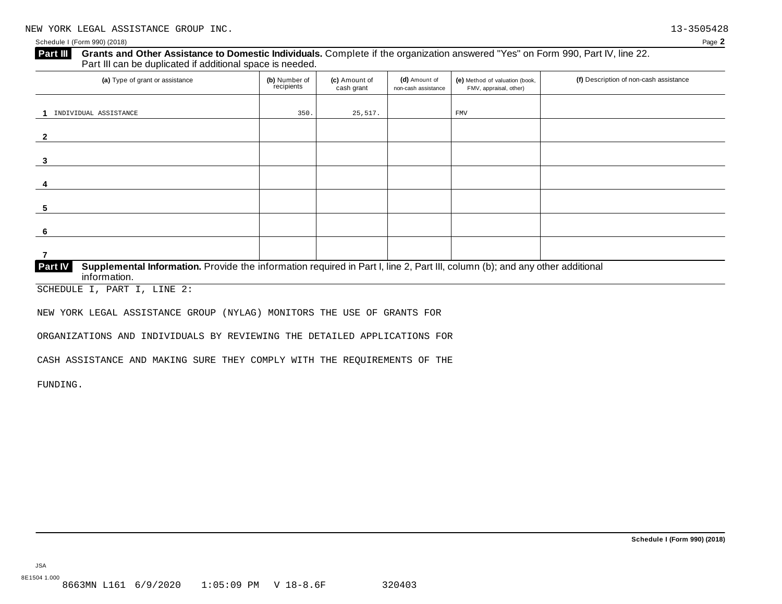### Grants and Other Assistance to Domestic Individuals. Complete if the organization answered "Yes" on Form 990, Part IV, line 22. **Part III** Grants and Other Assistance to Domestic Individuals<br>Part III can be duplicated if additional space is needed.

| (a) Type of grant or assistance                                                                                                                                | (b) Number of<br>recipients | (c) Amount of<br>cash grant | (d) Amount of<br>non-cash assistance | (e) Method of valuation (book,<br>FMV, appraisal, other) | (f) Description of non-cash assistance |
|----------------------------------------------------------------------------------------------------------------------------------------------------------------|-----------------------------|-----------------------------|--------------------------------------|----------------------------------------------------------|----------------------------------------|
| INDIVIDUAL ASSISTANCE                                                                                                                                          | 350.                        | 25,517.                     |                                      | <b>FMV</b>                                               |                                        |
|                                                                                                                                                                |                             |                             |                                      |                                                          |                                        |
|                                                                                                                                                                |                             |                             |                                      |                                                          |                                        |
| 3                                                                                                                                                              |                             |                             |                                      |                                                          |                                        |
| 4                                                                                                                                                              |                             |                             |                                      |                                                          |                                        |
| 5                                                                                                                                                              |                             |                             |                                      |                                                          |                                        |
| -6                                                                                                                                                             |                             |                             |                                      |                                                          |                                        |
| 7                                                                                                                                                              |                             |                             |                                      |                                                          |                                        |
| Supplemental Information. Provide the information required in Part I, line 2, Part III, column (b); and any other additional<br><b>Part IV</b><br>information. |                             |                             |                                      |                                                          |                                        |

SCHEDULE I, PART I, LINE 2:

NEW YORK LEGAL ASSISTANCE GROUP (NYLAG) MONITORS THE USE OF GRANTS FOR

ORGANIZATIONS AND INDIVIDUALS BY REVIEWING THE DETAILED APPLICATIONS FOR

CASH ASSISTANCE AND MAKING SURE THEY COMPLY WITH THE REQUIREMENTS OF THE

FUNDING.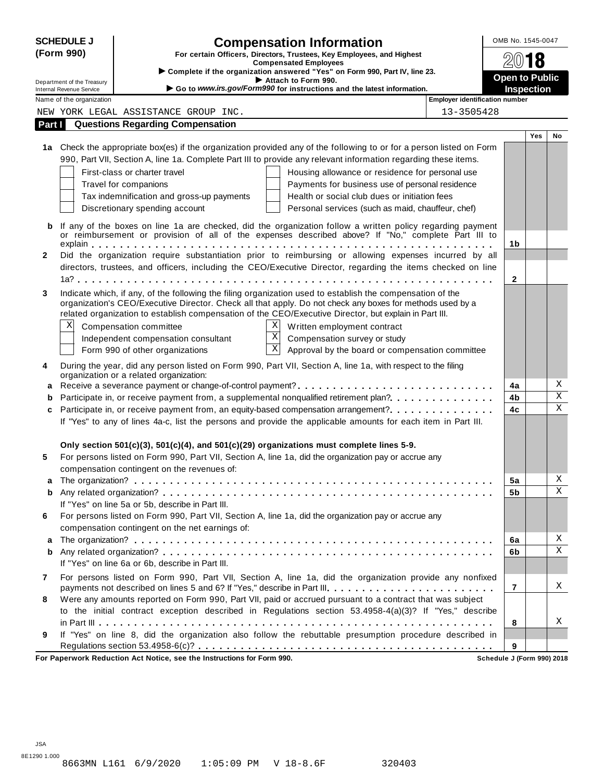| <b>SCHEDULE J</b> |                            |                                                                        | <b>Compensation Information</b>                                                                                                                                                                                         |                                       | OMB No. 1545-0047          |            |                         |  |
|-------------------|----------------------------|------------------------------------------------------------------------|-------------------------------------------------------------------------------------------------------------------------------------------------------------------------------------------------------------------------|---------------------------------------|----------------------------|------------|-------------------------|--|
| (Form 990)        |                            |                                                                        | For certain Officers, Directors, Trustees, Key Employees, and Highest                                                                                                                                                   |                                       | 18                         |            |                         |  |
|                   |                            |                                                                        | <b>Compensated Employees</b><br>Complete if the organization answered "Yes" on Form 990, Part IV, line 23.                                                                                                              |                                       |                            |            |                         |  |
|                   | Department of the Treasury |                                                                        | Attach to Form 990.                                                                                                                                                                                                     |                                       | <b>Open to Public</b>      |            |                         |  |
|                   | Internal Revenue Service   |                                                                        | Go to www.irs.gov/Form990 for instructions and the latest information.                                                                                                                                                  | <b>Employer identification number</b> | <b>Inspection</b>          |            |                         |  |
|                   | Name of the organization   |                                                                        |                                                                                                                                                                                                                         | 13-3505428                            |                            |            |                         |  |
|                   |                            | NEW YORK LEGAL ASSISTANCE GROUP INC.                                   |                                                                                                                                                                                                                         |                                       |                            |            |                         |  |
| Part I            |                            | <b>Questions Regarding Compensation</b>                                |                                                                                                                                                                                                                         |                                       |                            | <b>Yes</b> | No                      |  |
|                   |                            |                                                                        | 1a Check the appropriate box(es) if the organization provided any of the following to or for a person listed on Form                                                                                                    |                                       |                            |            |                         |  |
|                   |                            |                                                                        | 990, Part VII, Section A, line 1a. Complete Part III to provide any relevant information regarding these items.                                                                                                         |                                       |                            |            |                         |  |
|                   |                            | First-class or charter travel                                          | Housing allowance or residence for personal use                                                                                                                                                                         |                                       |                            |            |                         |  |
|                   |                            | Travel for companions                                                  | Payments for business use of personal residence                                                                                                                                                                         |                                       |                            |            |                         |  |
|                   |                            | Tax indemnification and gross-up payments                              | Health or social club dues or initiation fees                                                                                                                                                                           |                                       |                            |            |                         |  |
|                   |                            | Discretionary spending account                                         | Personal services (such as maid, chauffeur, chef)                                                                                                                                                                       |                                       |                            |            |                         |  |
|                   |                            |                                                                        |                                                                                                                                                                                                                         |                                       |                            |            |                         |  |
| b                 |                            |                                                                        | If any of the boxes on line 1a are checked, did the organization follow a written policy regarding payment                                                                                                              |                                       |                            |            |                         |  |
|                   |                            |                                                                        | or reimbursement or provision of all of the expenses described above? If "No," complete Part III to                                                                                                                     |                                       | 1 <sub>b</sub>             |            |                         |  |
| $\mathbf{2}$      |                            |                                                                        | Did the organization require substantiation prior to reimbursing or allowing expenses incurred by all                                                                                                                   |                                       |                            |            |                         |  |
|                   |                            |                                                                        | directors, trustees, and officers, including the CEO/Executive Director, regarding the items checked on line                                                                                                            |                                       |                            |            |                         |  |
|                   |                            |                                                                        |                                                                                                                                                                                                                         |                                       | 2                          |            |                         |  |
| 3                 |                            |                                                                        |                                                                                                                                                                                                                         |                                       |                            |            |                         |  |
|                   |                            |                                                                        | Indicate which, if any, of the following the filing organization used to establish the compensation of the<br>organization's CEO/Executive Director. Check all that apply. Do not check any boxes for methods used by a |                                       |                            |            |                         |  |
|                   |                            |                                                                        | related organization to establish compensation of the CEO/Executive Director, but explain in Part III.                                                                                                                  |                                       |                            |            |                         |  |
|                   | Χ                          | Compensation committee                                                 | Χ<br>Written employment contract                                                                                                                                                                                        |                                       |                            |            |                         |  |
|                   |                            | Independent compensation consultant                                    | $\boldsymbol{\mathrm{X}}$<br>Compensation survey or study                                                                                                                                                               |                                       |                            |            |                         |  |
|                   |                            | Form 990 of other organizations                                        | $\overline{\mathbf{X}}$<br>Approval by the board or compensation committee                                                                                                                                              |                                       |                            |            |                         |  |
|                   |                            |                                                                        |                                                                                                                                                                                                                         |                                       |                            |            |                         |  |
| 4                 |                            | organization or a related organization:                                | During the year, did any person listed on Form 990, Part VII, Section A, line 1a, with respect to the filing                                                                                                            |                                       |                            |            |                         |  |
| a                 |                            |                                                                        | Receive a severance payment or change-of-control payment?                                                                                                                                                               |                                       | 4a                         |            | Χ                       |  |
| b                 |                            |                                                                        | Participate in, or receive payment from, a supplemental nonqualified retirement plan?                                                                                                                                   |                                       | 4b                         |            | $\overline{\textbf{X}}$ |  |
| c                 |                            |                                                                        | Participate in, or receive payment from, an equity-based compensation arrangement?                                                                                                                                      |                                       | 4c                         |            | $\overline{\mathbf{x}}$ |  |
|                   |                            |                                                                        | If "Yes" to any of lines 4a-c, list the persons and provide the applicable amounts for each item in Part III.                                                                                                           |                                       |                            |            |                         |  |
|                   |                            |                                                                        |                                                                                                                                                                                                                         |                                       |                            |            |                         |  |
|                   |                            |                                                                        | Only section $501(c)(3)$ , $501(c)(4)$ , and $501(c)(29)$ organizations must complete lines 5-9.                                                                                                                        |                                       |                            |            |                         |  |
| 5                 |                            |                                                                        | For persons listed on Form 990, Part VII, Section A, line 1a, did the organization pay or accrue any                                                                                                                    |                                       |                            |            |                         |  |
|                   |                            | compensation contingent on the revenues of:                            |                                                                                                                                                                                                                         |                                       |                            |            |                         |  |
|                   |                            |                                                                        |                                                                                                                                                                                                                         |                                       | 5a                         |            | Χ                       |  |
| b                 |                            |                                                                        |                                                                                                                                                                                                                         |                                       | 5b                         |            | $\mathbf X$             |  |
|                   |                            | If "Yes" on line 5a or 5b, describe in Part III.                       |                                                                                                                                                                                                                         |                                       |                            |            |                         |  |
| 6                 |                            |                                                                        | For persons listed on Form 990, Part VII, Section A, line 1a, did the organization pay or accrue any                                                                                                                    |                                       |                            |            |                         |  |
|                   |                            | compensation contingent on the net earnings of:                        |                                                                                                                                                                                                                         |                                       |                            |            |                         |  |
| a                 |                            |                                                                        |                                                                                                                                                                                                                         |                                       | 6a                         |            | Χ                       |  |
| b                 |                            |                                                                        |                                                                                                                                                                                                                         |                                       | 6b                         |            | $\mathbf X$             |  |
|                   |                            | If "Yes" on line 6a or 6b, describe in Part III.                       |                                                                                                                                                                                                                         |                                       |                            |            |                         |  |
| 7                 |                            |                                                                        | For persons listed on Form 990, Part VII, Section A, line 1a, did the organization provide any nonfixed                                                                                                                 |                                       |                            |            |                         |  |
|                   |                            |                                                                        | payments not described on lines 5 and 6? If "Yes," describe in Part III.                                                                                                                                                |                                       | 7                          |            | Χ                       |  |
| 8                 |                            |                                                                        | Were any amounts reported on Form 990, Part VII, paid or accrued pursuant to a contract that was subject                                                                                                                |                                       |                            |            |                         |  |
|                   |                            |                                                                        | to the initial contract exception described in Regulations section 53.4958-4(a)(3)? If "Yes," describe                                                                                                                  |                                       |                            |            |                         |  |
|                   |                            |                                                                        |                                                                                                                                                                                                                         |                                       | 8                          |            | X                       |  |
| 9                 |                            |                                                                        | If "Yes" on line 8, did the organization also follow the rebuttable presumption procedure described in                                                                                                                  |                                       |                            |            |                         |  |
|                   |                            |                                                                        |                                                                                                                                                                                                                         |                                       | 9                          |            |                         |  |
|                   |                            | For Paperwork Reduction Act Notice, see the Instructions for Form 990. |                                                                                                                                                                                                                         |                                       | Schedule J (Form 990) 2018 |            |                         |  |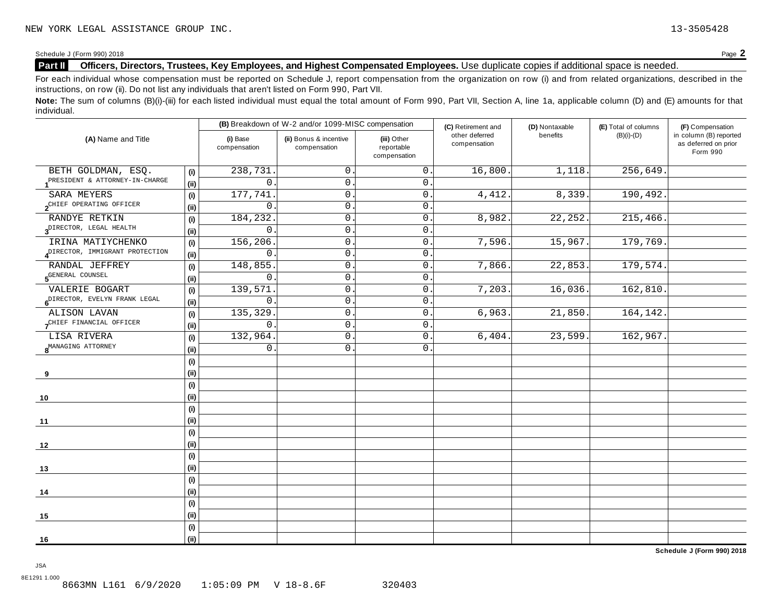## **Part II Officers, Directors, Trustees, Key Employees, and Highest Compensated Employees.** Use duplicate copies ifadditional space is needed.

For each individual whose compensation must be reported on Schedule J, report compensation from the organization on row (i) and from related organizations, described in the instructions, on row (ii). Do not list any individuals that aren't listed on Form 990, Part VII.

Note: The sum of columns (B)(i)-(iii) for each listed individual must equal the total amount of Form 990, Part VII, Section A, line 1a, applicable column (D) and (E) amounts for that individual.

| (A) Name and Title                        |                              |                          | (B) Breakdown of W-2 and/or 1099-MISC compensation |                                           | (C) Retirement and             | (D) Nontaxable | (E) Total of columns | (F) Compensation                                           |
|-------------------------------------------|------------------------------|--------------------------|----------------------------------------------------|-------------------------------------------|--------------------------------|----------------|----------------------|------------------------------------------------------------|
|                                           |                              | (i) Base<br>compensation | (ii) Bonus & incentive<br>compensation             | (iii) Other<br>reportable<br>compensation | other deferred<br>compensation | benefits       | $(B)(i)-(D)$         | in column (B) reported<br>as deferred on prior<br>Form 990 |
| BETH GOLDMAN, ESQ.                        | (i)                          | 238,731                  | $\mathbf 0$                                        | $\mathsf 0$ .                             | 16,800.                        | 1,118.         | 256,649              |                                                            |
| PRESIDENT & ATTORNEY-IN-CHARGE            | (i)                          | $\mathbf 0$              | $0\,$ .                                            | $0$ .                                     |                                |                |                      |                                                            |
| SARA MEYERS                               | (i)                          | 177,741                  | $\mathsf{O}$                                       | 0.                                        | 4,412.                         | 8,339.         | 190,492.             |                                                            |
| 2 <sup>CHIEF</sup> OPERATING OFFICER      | (i)                          | 0                        | $\mathsf{0}$ .                                     | 0.                                        |                                |                |                      |                                                            |
| RANDYE RETKIN                             | (i)                          | 184,232                  | $\mathsf{0}$ .                                     | $\mathsf{O}$ .                            | 8,982                          | 22, 252.       | 215,466.             |                                                            |
| $3^{\text{DIFFOR}}$ , LEGAL HEALTH        | (i)                          | $\mathsf{O}$             | $\mathsf{O}$ .                                     | $\mathsf{O}$ .                            |                                |                |                      |                                                            |
| IRINA MATIYCHENKO                         | (i)                          | 156,206                  | 0                                                  | $\mathsf{O}$ .                            | 7,596.                         | 15,967.        | 179,769.             |                                                            |
| ADIRECTOR, IMMIGRANT PROTECTION           | (ii)                         | $\mathbf 0$              | 0                                                  | $\mathbf 0$                               |                                |                |                      |                                                            |
| RANDAL JEFFREY                            | (i)                          | 148,855.                 | $\mathsf{O}$ .                                     | 0.                                        | 7,866.                         | 22,853.        | 179,574.             |                                                            |
| 5 <sup>GENERAL</sup> COUNSEL              | (i)                          | 0                        | 0                                                  | $\mathbf 0$                               |                                |                |                      |                                                            |
| VALERIE BOGART                            | $\qquad \qquad \textbf{(i)}$ | 139,571                  | $\mathsf{O}$ .                                     | $\mathbf 0$ .                             | 7,203                          | 16,036.        | 162,810.             |                                                            |
| 6 <sup>DIRECTOR, EVELYN FRANK LEGAL</sup> | (i)                          | $\mathsf{O}$             | $\mathsf{O}$ .                                     | 0                                         |                                |                |                      |                                                            |
| ALISON LAVAN                              | (i)                          | 135,329                  | $\mathsf{O}$ .                                     | $0$ .                                     | 6,963.                         | 21,850.        | 164,142.             |                                                            |
| CHIEF FINANCIAL OFFICER                   | (i)                          | $\Omega$                 | $\mathbf 0$                                        | 0.                                        |                                |                |                      |                                                            |
| LISA RIVERA                               | (i)                          | 132,964.                 | $\mathsf{O}$ .                                     | 0.                                        | 6,404.                         | 23,599.        | 162,967.             |                                                            |
| 8 <sup>MANAGING</sup> ATTORNEY            | (i)                          | 0                        | 0.                                                 | 0.                                        |                                |                |                      |                                                            |
|                                           | (i)                          |                          |                                                    |                                           |                                |                |                      |                                                            |
| 9                                         | (i)                          |                          |                                                    |                                           |                                |                |                      |                                                            |
|                                           | (i)                          |                          |                                                    |                                           |                                |                |                      |                                                            |
| 10                                        | (i)                          |                          |                                                    |                                           |                                |                |                      |                                                            |
|                                           | (i)                          |                          |                                                    |                                           |                                |                |                      |                                                            |
| 11                                        | (ii)                         |                          |                                                    |                                           |                                |                |                      |                                                            |
|                                           | (i)                          |                          |                                                    |                                           |                                |                |                      |                                                            |
| 12                                        | (i)                          |                          |                                                    |                                           |                                |                |                      |                                                            |
|                                           | (i)                          |                          |                                                    |                                           |                                |                |                      |                                                            |
| 13                                        | (i)                          |                          |                                                    |                                           |                                |                |                      |                                                            |
|                                           | (i)                          |                          |                                                    |                                           |                                |                |                      |                                                            |
| 14                                        | (i)                          |                          |                                                    |                                           |                                |                |                      |                                                            |
|                                           | (i)                          |                          |                                                    |                                           |                                |                |                      |                                                            |
| 15                                        | (i)                          |                          |                                                    |                                           |                                |                |                      |                                                            |
|                                           | (i)                          |                          |                                                    |                                           |                                |                |                      |                                                            |
| 16                                        | (i)                          |                          |                                                    |                                           |                                |                |                      |                                                            |

**Schedule J (Form 990) 2018**

JSA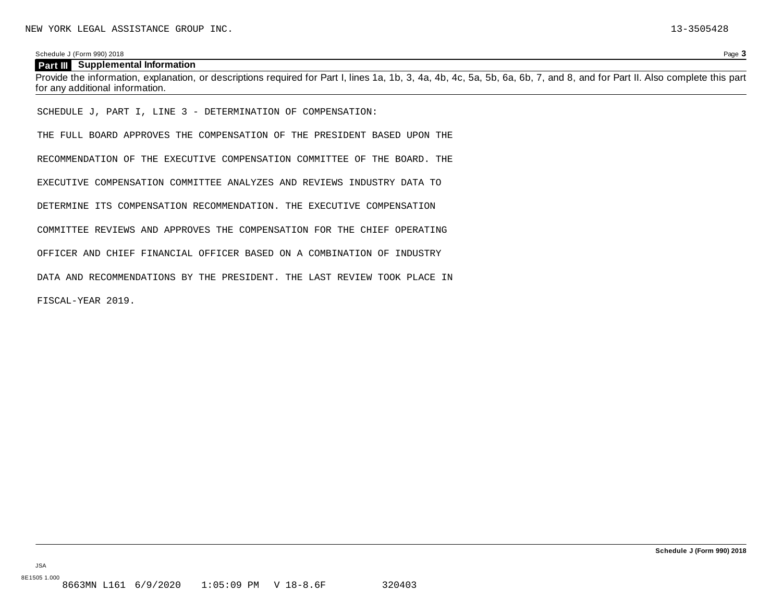#### **Part III Supplemental Information**

Provide the information, explanation, or descriptions required for Part I, lines 1a, 1b, 3, 4a, 4b, 4c, 5a, 5b, 6a, 6b, 7, and 8, and for Part II. Also complete this part for any additional information.

SCHEDULE J, PART I, LINE 3 - DETERMINATION OF COMPENSATION:

THE FULL BOARD APPROVES THE COMPENSATION OF THE PRESIDENT BASED UPON THE

RECOMMENDATION OF THE EXECUTIVE COMPENSATION COMMITTEE OF THE BOARD. THE

EXECUTIVE COMPENSATION COMMITTEE ANALYZES AND REVIEWS INDUSTRY DATA TO

DETERMINE ITS COMPENSATION RECOMMENDATION. THE EXECUTIVE COMPENSATION

COMMITTEE REVIEWS AND APPROVES THE COMPENSATION FOR THE CHIEF OPERATING

OFFICER AND CHIEF FINANCIAL OFFICER BASED ON A COMBINATION OF INDUSTRY

DATA AND RECOMMENDATIONS BY THE PRESIDENT. THE LAST REVIEW TOOK PLACE IN

FISCAL-YEAR 2019.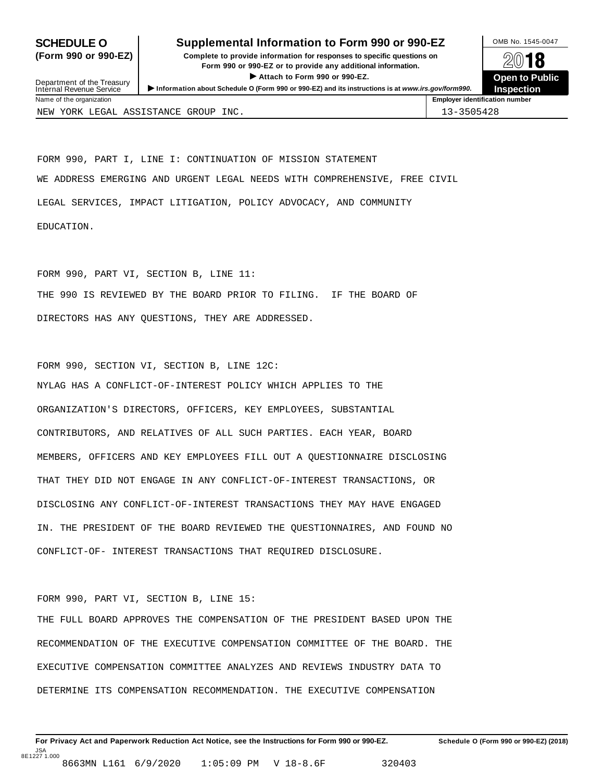## **SCHEDULE O** Supplemental Information to Form 990 or 990-EZ DAMB No. 1545-0047

(Form 990 or 990-EZ) Complete to provide information for responses to specific questions on  $\otimes$  0 18 plete to provide information for responses to specific questions on<br>
Form 990 or 990-EZ or to provide any additional information.<br> **Open to Public**<br> **Open to Public** 



**Inspection** Department of the Treasury<br>Internal Revenue Service Internal Revenue Service<br>Internal Revenue Service<br>Name of the organization<br>Name of the organization NEW YORK LEGAL ASSISTANCE GROUP INC. 13-3505428

FORM 990, PART I, LINE I: CONTINUATION OF MISSION STATEMENT WE ADDRESS EMERGING AND URGENT LEGAL NEEDS WITH COMPREHENSIVE, FREE CIVIL LEGAL SERVICES, IMPACT LITIGATION, POLICY ADVOCACY, AND COMMUNITY EDUCATION.

FORM 990, PART VI, SECTION B, LINE 11: THE 990 IS REVIEWED BY THE BOARD PRIOR TO FILING. IF THE BOARD OF DIRECTORS HAS ANY QUESTIONS, THEY ARE ADDRESSED.

FORM 990, SECTION VI, SECTION B, LINE 12C: NYLAG HAS A CONFLICT-OF-INTEREST POLICY WHICH APPLIES TO THE ORGANIZATION'S DIRECTORS, OFFICERS, KEY EMPLOYEES, SUBSTANTIAL CONTRIBUTORS, AND RELATIVES OF ALL SUCH PARTIES. EACH YEAR, BOARD MEMBERS, OFFICERS AND KEY EMPLOYEES FILL OUT A QUESTIONNAIRE DISCLOSING THAT THEY DID NOT ENGAGE IN ANY CONFLICT-OF-INTEREST TRANSACTIONS, OR DISCLOSING ANY CONFLICT-OF-INTEREST TRANSACTIONS THEY MAY HAVE ENGAGED IN. THE PRESIDENT OF THE BOARD REVIEWED THE QUESTIONNAIRES, AND FOUND NO CONFLICT-OF- INTEREST TRANSACTIONS THAT REQUIRED DISCLOSURE.

#### FORM 990, PART VI, SECTION B, LINE 15:

THE FULL BOARD APPROVES THE COMPENSATION OF THE PRESIDENT BASED UPON THE RECOMMENDATION OF THE EXECUTIVE COMPENSATION COMMITTEE OF THE BOARD. THE EXECUTIVE COMPENSATION COMMITTEE ANALYZES AND REVIEWS INDUSTRY DATA TO DETERMINE ITS COMPENSATION RECOMMENDATION. THE EXECUTIVE COMPENSATION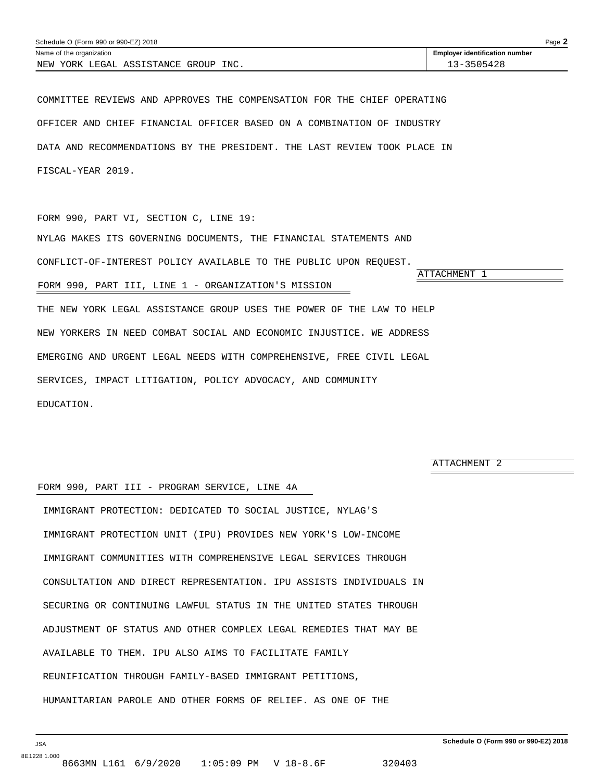<span id="page-45-0"></span>

| Schedule O (Form 990 or 990-EZ) 2018    |                                       |  |  |  |
|-----------------------------------------|---------------------------------------|--|--|--|
| Name of the organization                | <b>Employer identification number</b> |  |  |  |
| INC.<br>NEW YORK LEGAL ASSISTANCE GROUP | $-3 - 3505428$                        |  |  |  |

COMMITTEE REVIEWS AND APPROVES THE COMPENSATION FOR THE CHIEF OPERATING OFFICER AND CHIEF FINANCIAL OFFICER BASED ON A COMBINATION OF INDUSTRY DATA AND RECOMMENDATIONS BY THE PRESIDENT. THE LAST REVIEW TOOK PLACE IN FISCAL-YEAR 2019.

FORM 990, PART VI, SECTION C, LINE 19: NYLAG MAKES ITS GOVERNING DOCUMENTS, THE FINANCIAL STATEMENTS AND CONFLICT-OF-INTEREST POLICY AVAILABLE TO THE PUBLIC UPON REQUEST. ATTACHMENT 1 FORM 990, PART III, LINE 1 - ORGANIZATION'S MISSION

THE NEW YORK LEGAL ASSISTANCE GROUP USES THE POWER OF THE LAW TO HELP NEW YORKERS IN NEED COMBAT SOCIAL AND ECONOMIC INJUSTICE. WE ADDRESS EMERGING AND URGENT LEGAL NEEDS WITH COMPREHENSIVE, FREE CIVIL LEGAL SERVICES, IMPACT LITIGATION, POLICY ADVOCACY, AND COMMUNITY EDUCATION.

ATTACHMENT 2

#### FORM 990, PART III - PROGRAM SERVICE, LINE 4A

IMMIGRANT PROTECTION: DEDICATED TO SOCIAL JUSTICE, NYLAG'S IMMIGRANT PROTECTION UNIT (IPU) PROVIDES NEW YORK'S LOW-INCOME IMMIGRANT COMMUNITIES WITH COMPREHENSIVE LEGAL SERVICES THROUGH CONSULTATION AND DIRECT REPRESENTATION. IPU ASSISTS INDIVIDUALS IN SECURING OR CONTINUING LAWFUL STATUS IN THE UNITED STATES THROUGH ADJUSTMENT OF STATUS AND OTHER COMPLEX LEGAL REMEDIES THAT MAY BE AVAILABLE TO THEM. IPU ALSO AIMS TO FACILITATE FAMILY REUNIFICATION THROUGH FAMILY-BASED IMMIGRANT PETITIONS, HUMANITARIAN PAROLE AND OTHER FORMS OF RELIEF. AS ONE OF THE

JSA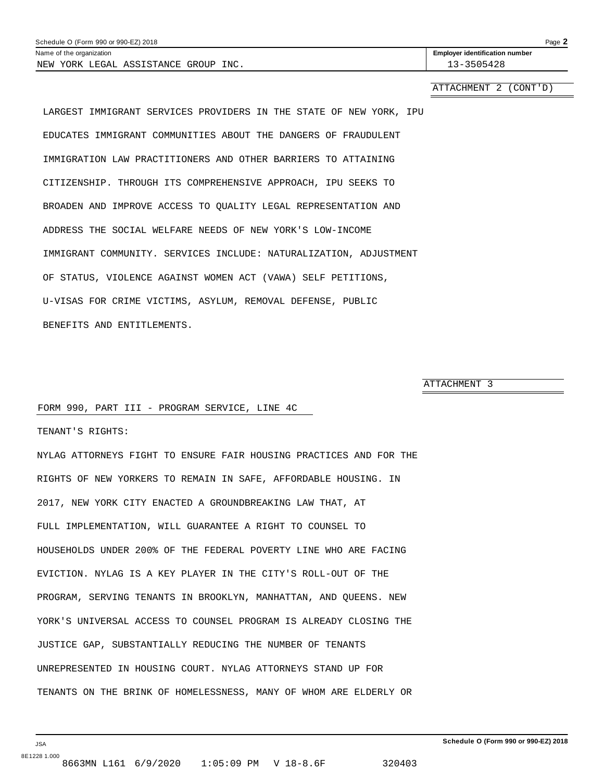<span id="page-46-0"></span>

| Schedule O (Form 990 or 990-EZ) 2018    |                                       |  |  |
|-----------------------------------------|---------------------------------------|--|--|
| Name of the organization                | <b>Employer identification number</b> |  |  |
| YORK LEGAL ASSISTANCE GROUP INC.<br>NEW | 13-3505428                            |  |  |

ATTACHMENT 2 (CONT'D)

LARGEST IMMIGRANT SERVICES PROVIDERS IN THE STATE OF NEW YORK, IPU EDUCATES IMMIGRANT COMMUNITIES ABOUT THE DANGERS OF FRAUDULENT IMMIGRATION LAW PRACTITIONERS AND OTHER BARRIERS TO ATTAINING CITIZENSHIP. THROUGH ITS COMPREHENSIVE APPROACH, IPU SEEKS TO BROADEN AND IMPROVE ACCESS TO QUALITY LEGAL REPRESENTATION AND ADDRESS THE SOCIAL WELFARE NEEDS OF NEW YORK'S LOW-INCOME IMMIGRANT COMMUNITY. SERVICES INCLUDE: NATURALIZATION, ADJUSTMENT OF STATUS, VIOLENCE AGAINST WOMEN ACT (VAWA) SELF PETITIONS, U-VISAS FOR CRIME VICTIMS, ASYLUM, REMOVAL DEFENSE, PUBLIC BENEFITS AND ENTITLEMENTS.

ATTACHMENT 3

#### FORM 990, PART III - PROGRAM SERVICE, LINE 4C

TENANT'S RIGHTS:

NYLAG ATTORNEYS FIGHT TO ENSURE FAIR HOUSING PRACTICES AND FOR THE RIGHTS OF NEW YORKERS TO REMAIN IN SAFE, AFFORDABLE HOUSING. IN 2017, NEW YORK CITY ENACTED A GROUNDBREAKING LAW THAT, AT FULL IMPLEMENTATION, WILL GUARANTEE A RIGHT TO COUNSEL TO HOUSEHOLDS UNDER 200% OF THE FEDERAL POVERTY LINE WHO ARE FACING EVICTION. NYLAG IS A KEY PLAYER IN THE CITY'S ROLL-OUT OF THE PROGRAM, SERVING TENANTS IN BROOKLYN, MANHATTAN, AND QUEENS. NEW YORK'S UNIVERSAL ACCESS TO COUNSEL PROGRAM IS ALREADY CLOSING THE JUSTICE GAP, SUBSTANTIALLY REDUCING THE NUMBER OF TENANTS UNREPRESENTED IN HOUSING COURT. NYLAG ATTORNEYS STAND UP FOR TENANTS ON THE BRINK OF HOMELESSNESS, MANY OF WHOM ARE ELDERLY OR